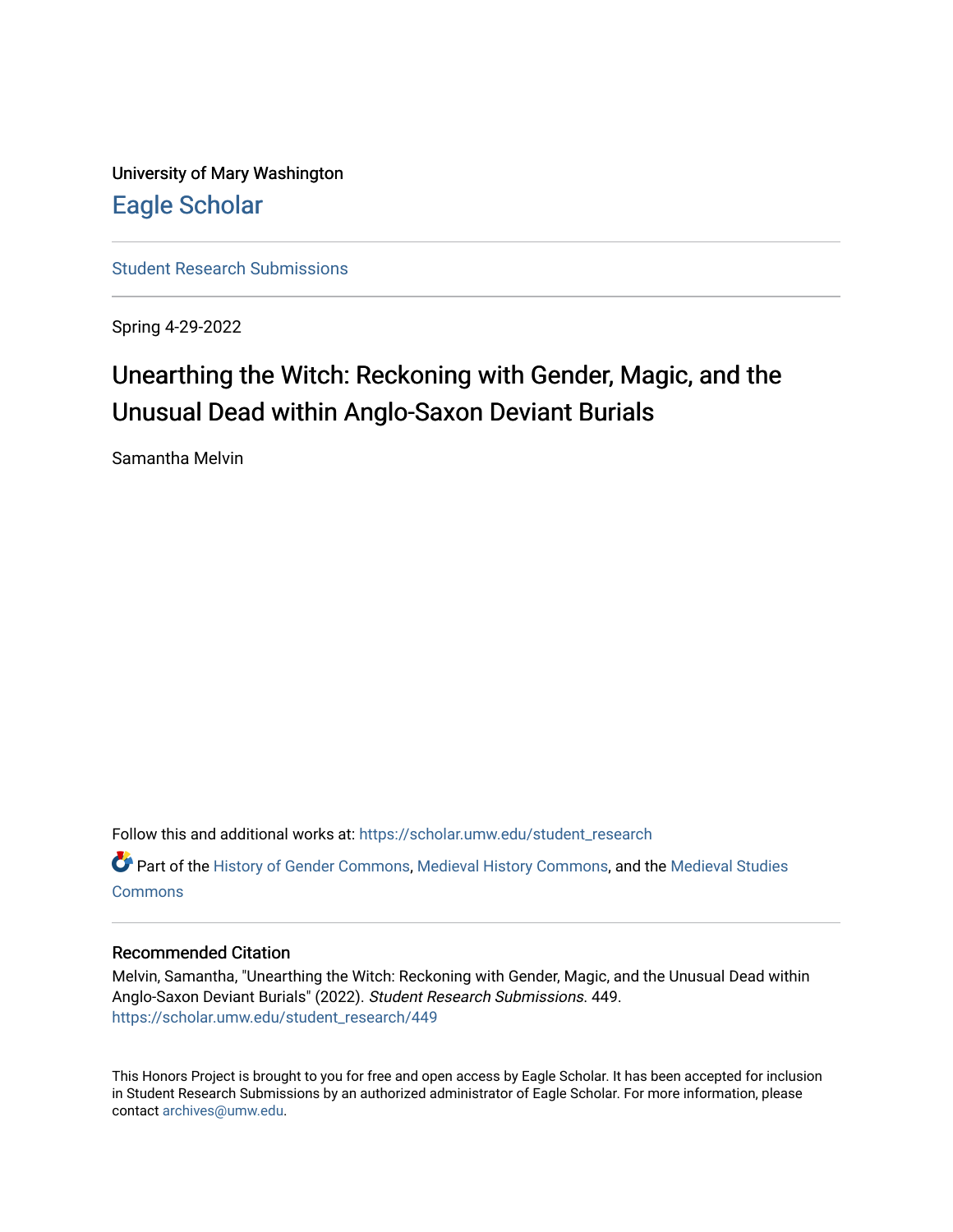University of Mary Washington [Eagle Scholar](https://scholar.umw.edu/) 

[Student Research Submissions](https://scholar.umw.edu/student_research) 

Spring 4-29-2022

# Unearthing the Witch: Reckoning with Gender, Magic, and the Unusual Dead within Anglo-Saxon Deviant Burials

Samantha Melvin

Follow this and additional works at: [https://scholar.umw.edu/student\\_research](https://scholar.umw.edu/student_research?utm_source=scholar.umw.edu%2Fstudent_research%2F449&utm_medium=PDF&utm_campaign=PDFCoverPages)

Part of the [History of Gender Commons,](https://network.bepress.com/hgg/discipline/498?utm_source=scholar.umw.edu%2Fstudent_research%2F449&utm_medium=PDF&utm_campaign=PDFCoverPages) [Medieval History Commons,](https://network.bepress.com/hgg/discipline/503?utm_source=scholar.umw.edu%2Fstudent_research%2F449&utm_medium=PDF&utm_campaign=PDFCoverPages) and the [Medieval Studies](https://network.bepress.com/hgg/discipline/480?utm_source=scholar.umw.edu%2Fstudent_research%2F449&utm_medium=PDF&utm_campaign=PDFCoverPages)  **[Commons](https://network.bepress.com/hgg/discipline/480?utm_source=scholar.umw.edu%2Fstudent_research%2F449&utm_medium=PDF&utm_campaign=PDFCoverPages)** 

## Recommended Citation

Melvin, Samantha, "Unearthing the Witch: Reckoning with Gender, Magic, and the Unusual Dead within Anglo-Saxon Deviant Burials" (2022). Student Research Submissions. 449. [https://scholar.umw.edu/student\\_research/449](https://scholar.umw.edu/student_research/449?utm_source=scholar.umw.edu%2Fstudent_research%2F449&utm_medium=PDF&utm_campaign=PDFCoverPages)

This Honors Project is brought to you for free and open access by Eagle Scholar. It has been accepted for inclusion in Student Research Submissions by an authorized administrator of Eagle Scholar. For more information, please contact [archives@umw.edu](mailto:archives@umw.edu).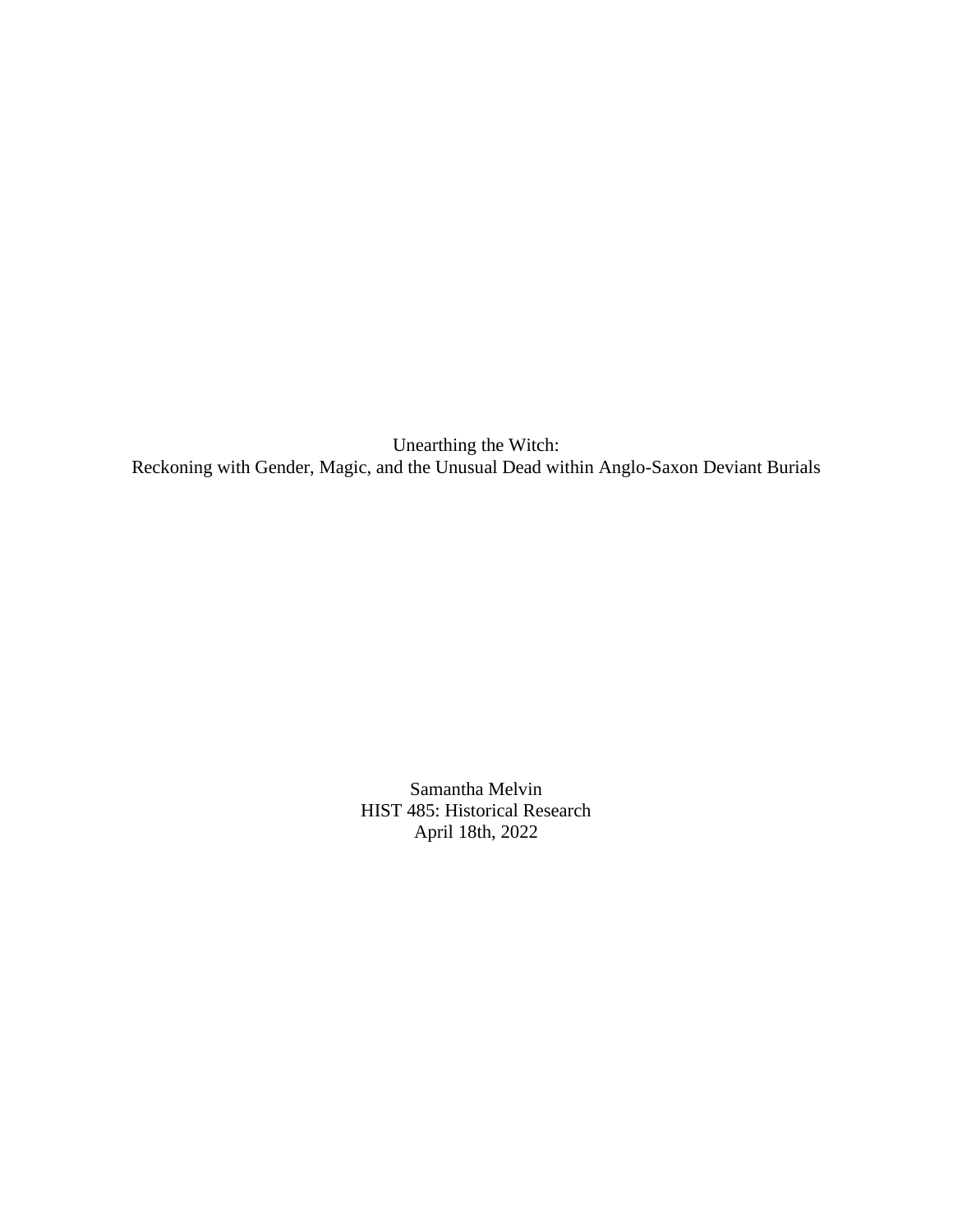Unearthing the Witch: Reckoning with Gender, Magic, and the Unusual Dead within Anglo-Saxon Deviant Burials

> Samantha Melvin HIST 485: Historical Research April 18th, 2022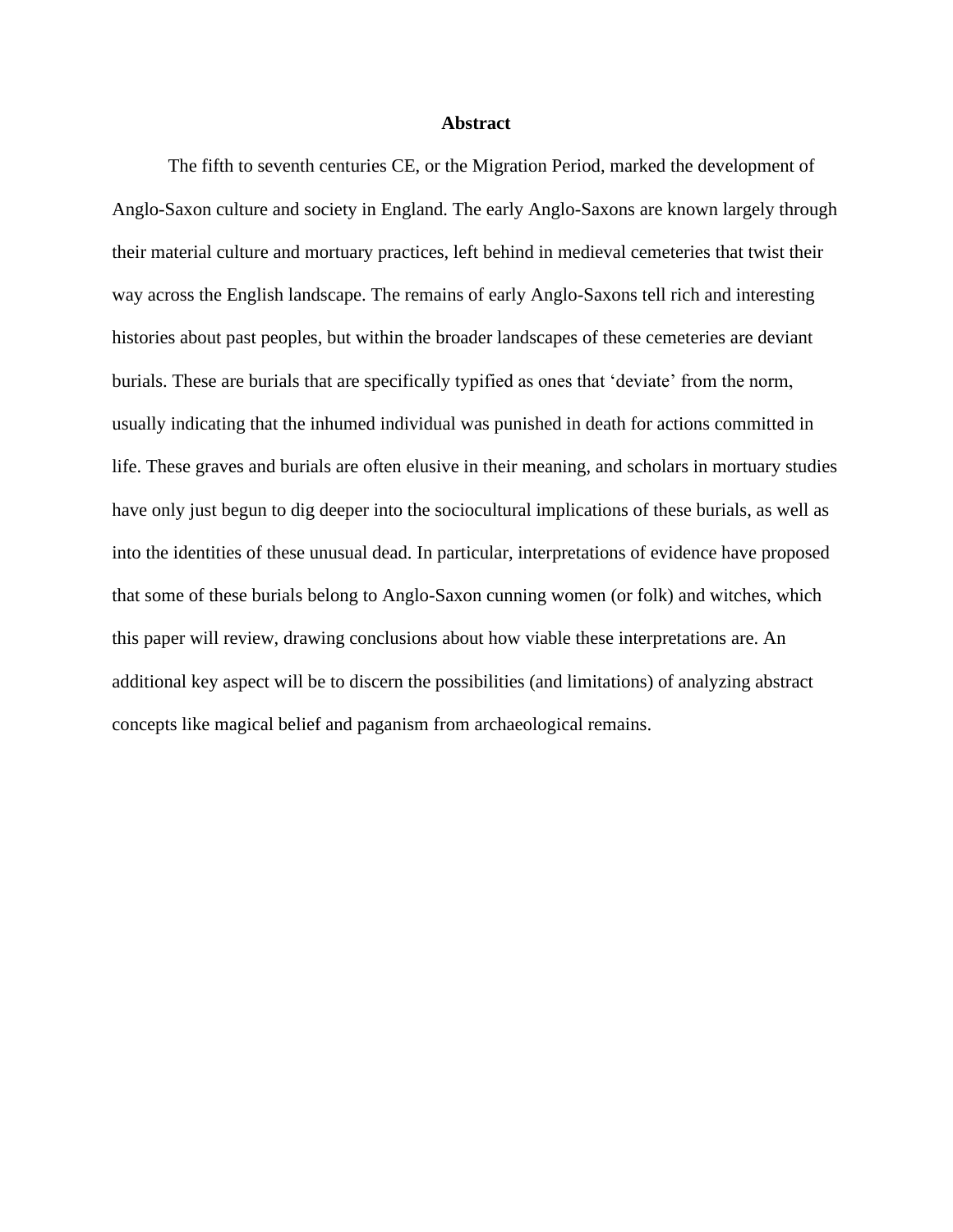### **Abstract**

The fifth to seventh centuries CE, or the Migration Period, marked the development of Anglo-Saxon culture and society in England. The early Anglo-Saxons are known largely through their material culture and mortuary practices, left behind in medieval cemeteries that twist their way across the English landscape. The remains of early Anglo-Saxons tell rich and interesting histories about past peoples, but within the broader landscapes of these cemeteries are deviant burials. These are burials that are specifically typified as ones that 'deviate' from the norm, usually indicating that the inhumed individual was punished in death for actions committed in life. These graves and burials are often elusive in their meaning, and scholars in mortuary studies have only just begun to dig deeper into the sociocultural implications of these burials, as well as into the identities of these unusual dead. In particular, interpretations of evidence have proposed that some of these burials belong to Anglo-Saxon cunning women (or folk) and witches, which this paper will review, drawing conclusions about how viable these interpretations are. An additional key aspect will be to discern the possibilities (and limitations) of analyzing abstract concepts like magical belief and paganism from archaeological remains.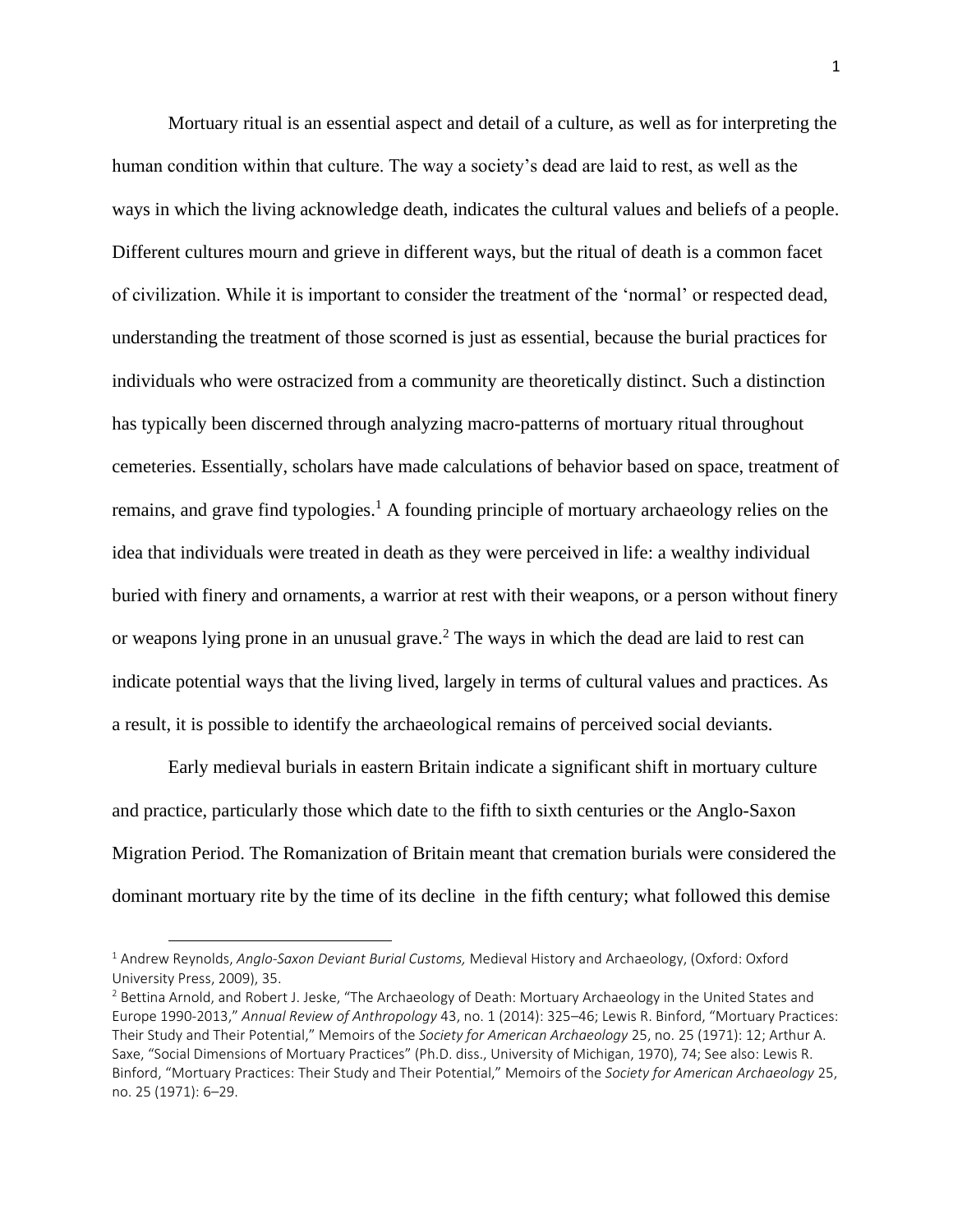Mortuary ritual is an essential aspect and detail of a culture, as well as for interpreting the human condition within that culture. The way a society's dead are laid to rest, as well as the ways in which the living acknowledge death, indicates the cultural values and beliefs of a people. Different cultures mourn and grieve in different ways, but the ritual of death is a common facet of civilization. While it is important to consider the treatment of the 'normal' or respected dead, understanding the treatment of those scorned is just as essential, because the burial practices for individuals who were ostracized from a community are theoretically distinct. Such a distinction has typically been discerned through analyzing macro-patterns of mortuary ritual throughout cemeteries. Essentially, scholars have made calculations of behavior based on space, treatment of remains, and grave find typologies.<sup>1</sup> A founding principle of mortuary archaeology relies on the idea that individuals were treated in death as they were perceived in life: a wealthy individual buried with finery and ornaments, a warrior at rest with their weapons, or a person without finery or weapons lying prone in an unusual grave.<sup>2</sup> The ways in which the dead are laid to rest can indicate potential ways that the living lived, largely in terms of cultural values and practices. As a result, it is possible to identify the archaeological remains of perceived social deviants.

Early medieval burials in eastern Britain indicate a significant shift in mortuary culture and practice, particularly those which date to the fifth to sixth centuries or the Anglo-Saxon Migration Period. The Romanization of Britain meant that cremation burials were considered the dominant mortuary rite by the time of its decline in the fifth century; what followed this demise

<sup>1</sup> Andrew Reynolds, *Anglo-Saxon Deviant Burial Customs,* Medieval History and Archaeology, (Oxford: Oxford University Press, 2009), 35.

<sup>&</sup>lt;sup>2</sup> Bettina Arnold, and Robert J. Jeske, "The Archaeology of Death: Mortuary Archaeology in the United States and Europe 1990-2013," *Annual Review of Anthropology* 43, no. 1 (2014): 325–46; Lewis R. Binford, "Mortuary Practices: Their Study and Their Potential," Memoirs of the *Society for American Archaeology* 25, no. 25 (1971): 12; Arthur A. Saxe, "Social Dimensions of Mortuary Practices" (Ph.D. diss., University of Michigan, 1970), 74; See also: Lewis R. Binford, "Mortuary Practices: Their Study and Their Potential," Memoirs of the *Society for American Archaeology* 25, no. 25 (1971): 6–29.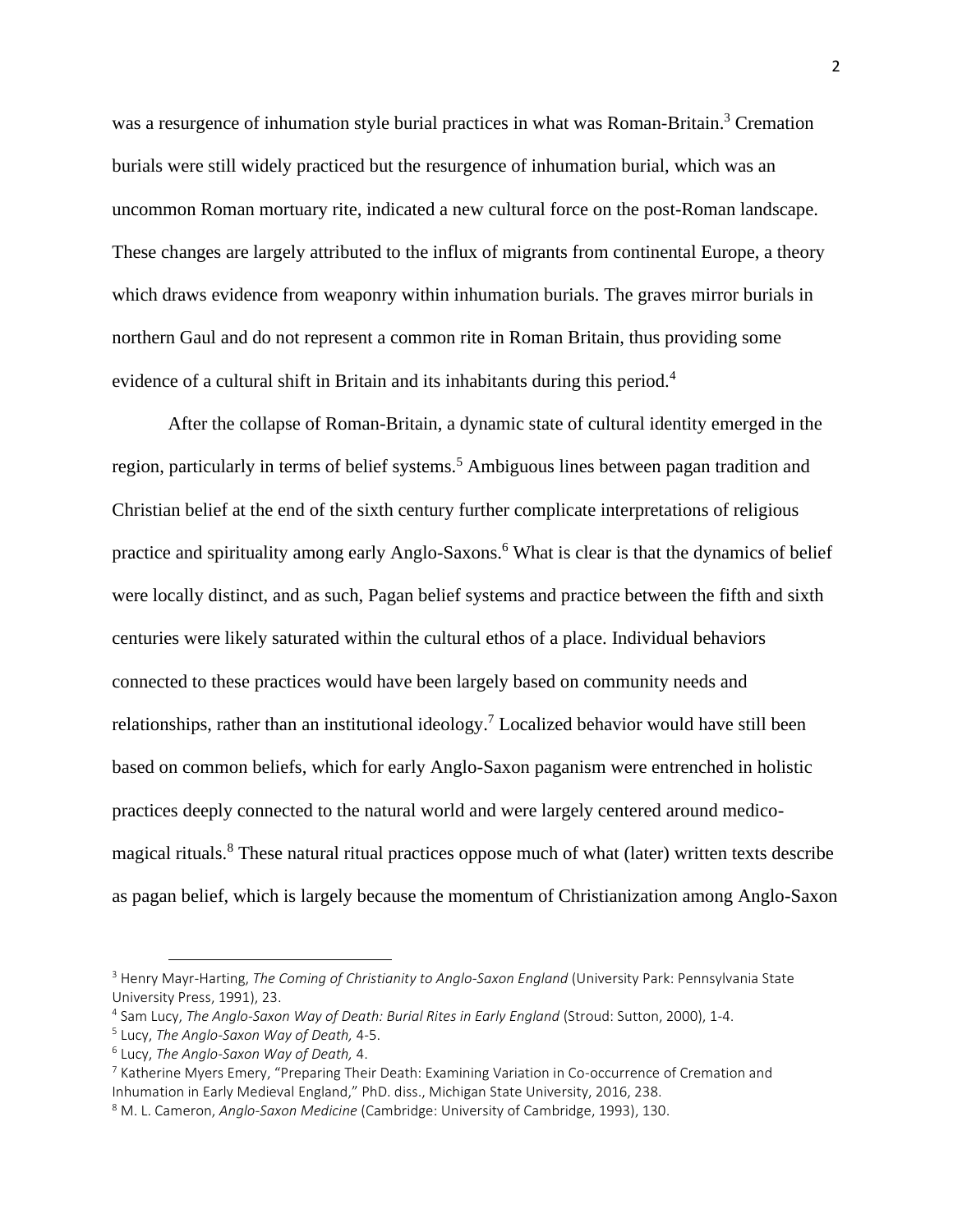was a resurgence of inhumation style burial practices in what was Roman-Britain.<sup>3</sup> Cremation burials were still widely practiced but the resurgence of inhumation burial, which was an uncommon Roman mortuary rite, indicated a new cultural force on the post-Roman landscape. These changes are largely attributed to the influx of migrants from continental Europe, a theory which draws evidence from weaponry within inhumation burials. The graves mirror burials in northern Gaul and do not represent a common rite in Roman Britain, thus providing some evidence of a cultural shift in Britain and its inhabitants during this period.<sup>4</sup>

After the collapse of Roman-Britain, a dynamic state of cultural identity emerged in the region, particularly in terms of belief systems.<sup>5</sup> Ambiguous lines between pagan tradition and Christian belief at the end of the sixth century further complicate interpretations of religious practice and spirituality among early Anglo-Saxons.<sup>6</sup> What is clear is that the dynamics of belief were locally distinct, and as such, Pagan belief systems and practice between the fifth and sixth centuries were likely saturated within the cultural ethos of a place. Individual behaviors connected to these practices would have been largely based on community needs and relationships, rather than an institutional ideology.<sup>7</sup> Localized behavior would have still been based on common beliefs, which for early Anglo-Saxon paganism were entrenched in holistic practices deeply connected to the natural world and were largely centered around medicomagical rituals.<sup>8</sup> These natural ritual practices oppose much of what (later) written texts describe as pagan belief, which is largely because the momentum of Christianization among Anglo-Saxon

<sup>3</sup> Henry Mayr-Harting, *The Coming of Christianity to Anglo-Saxon England* (University Park: Pennsylvania State University Press, 1991), 23.

<sup>4</sup> Sam Lucy, *The Anglo-Saxon Way of Death: Burial Rites in Early England* (Stroud: Sutton, 2000), 1-4.

<sup>5</sup> Lucy, *The Anglo-Saxon Way of Death,* 4-5.

<sup>6</sup> Lucy, *The Anglo-Saxon Way of Death,* 4.

<sup>7</sup> Katherine Myers Emery, "Preparing Their Death: Examining Variation in Co-occurrence of Cremation and Inhumation in Early Medieval England," PhD. diss., Michigan State University, 2016, 238.

<sup>8</sup> M. L. Cameron, *Anglo-Saxon Medicine* (Cambridge: University of Cambridge, 1993), 130.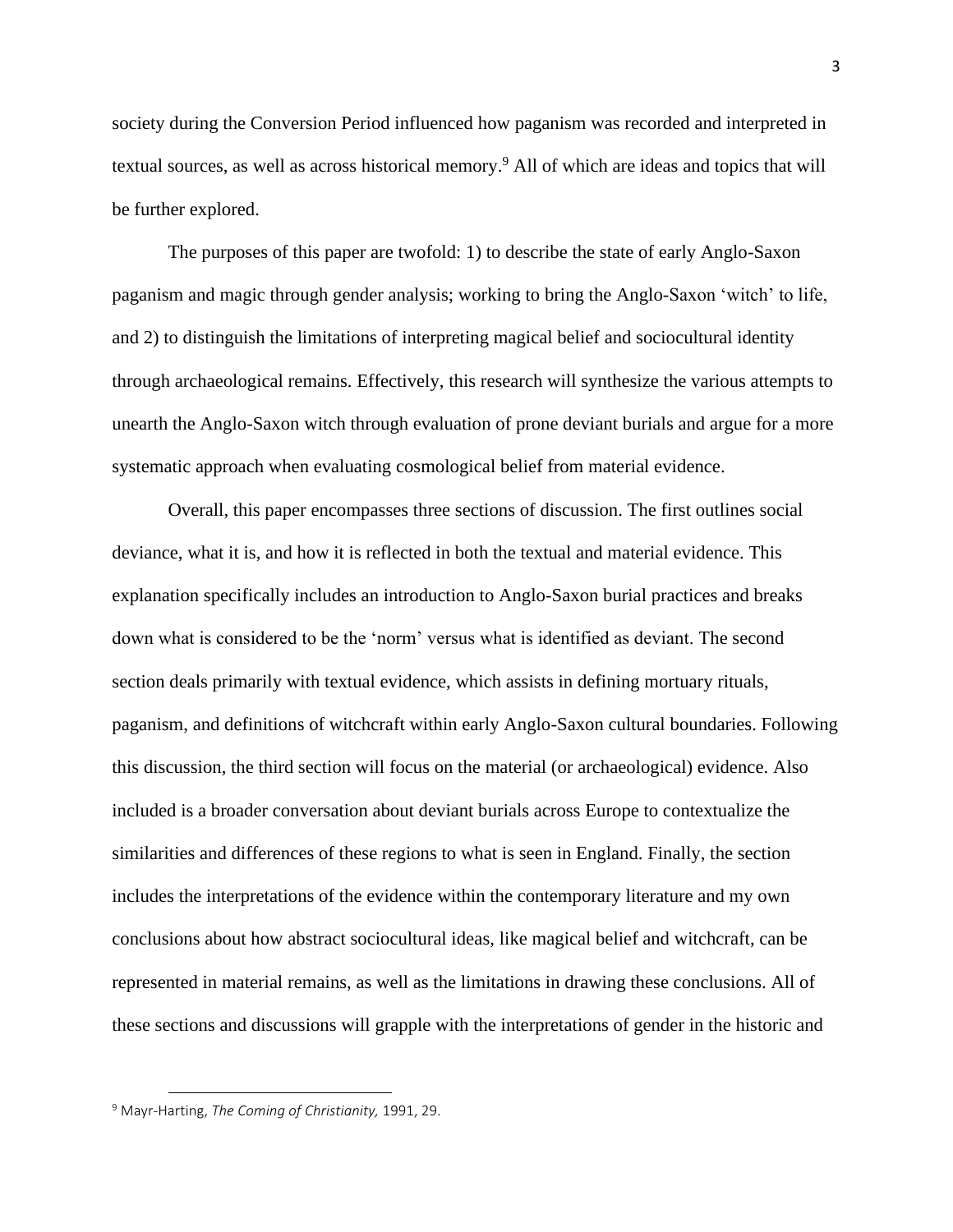society during the Conversion Period influenced how paganism was recorded and interpreted in textual sources, as well as across historical memory.<sup>9</sup> All of which are ideas and topics that will be further explored.

The purposes of this paper are twofold: 1) to describe the state of early Anglo-Saxon paganism and magic through gender analysis; working to bring the Anglo-Saxon 'witch' to life, and 2) to distinguish the limitations of interpreting magical belief and sociocultural identity through archaeological remains. Effectively, this research will synthesize the various attempts to unearth the Anglo-Saxon witch through evaluation of prone deviant burials and argue for a more systematic approach when evaluating cosmological belief from material evidence.

Overall, this paper encompasses three sections of discussion. The first outlines social deviance, what it is, and how it is reflected in both the textual and material evidence. This explanation specifically includes an introduction to Anglo-Saxon burial practices and breaks down what is considered to be the 'norm' versus what is identified as deviant. The second section deals primarily with textual evidence, which assists in defining mortuary rituals, paganism, and definitions of witchcraft within early Anglo-Saxon cultural boundaries. Following this discussion, the third section will focus on the material (or archaeological) evidence. Also included is a broader conversation about deviant burials across Europe to contextualize the similarities and differences of these regions to what is seen in England. Finally, the section includes the interpretations of the evidence within the contemporary literature and my own conclusions about how abstract sociocultural ideas, like magical belief and witchcraft, can be represented in material remains, as well as the limitations in drawing these conclusions. All of these sections and discussions will grapple with the interpretations of gender in the historic and

<sup>9</sup> Mayr-Harting, *The Coming of Christianity,* 1991, 29.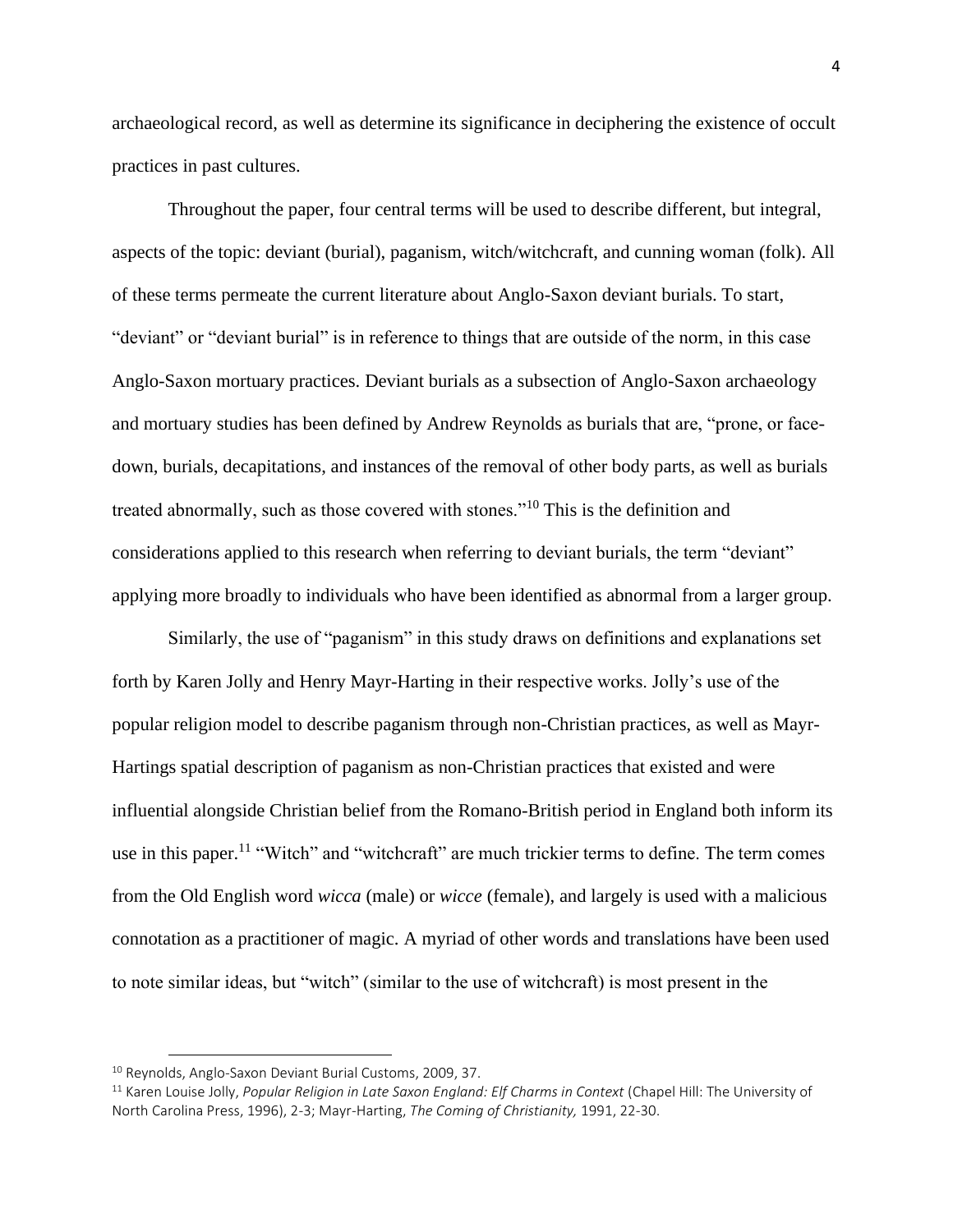archaeological record, as well as determine its significance in deciphering the existence of occult practices in past cultures.

Throughout the paper, four central terms will be used to describe different, but integral, aspects of the topic: deviant (burial), paganism, witch/witchcraft, and cunning woman (folk). All of these terms permeate the current literature about Anglo-Saxon deviant burials. To start, "deviant" or "deviant burial" is in reference to things that are outside of the norm, in this case Anglo-Saxon mortuary practices. Deviant burials as a subsection of Anglo-Saxon archaeology and mortuary studies has been defined by Andrew Reynolds as burials that are, "prone, or facedown, burials, decapitations, and instances of the removal of other body parts, as well as burials treated abnormally, such as those covered with stones."<sup>10</sup> This is the definition and considerations applied to this research when referring to deviant burials, the term "deviant" applying more broadly to individuals who have been identified as abnormal from a larger group.

Similarly, the use of "paganism" in this study draws on definitions and explanations set forth by Karen Jolly and Henry Mayr-Harting in their respective works. Jolly's use of the popular religion model to describe paganism through non-Christian practices, as well as Mayr-Hartings spatial description of paganism as non-Christian practices that existed and were influential alongside Christian belief from the Romano-British period in England both inform its use in this paper.<sup>11</sup> "Witch" and "witchcraft" are much trickier terms to define. The term comes from the Old English word *wicca* (male) or *wicce* (female), and largely is used with a malicious connotation as a practitioner of magic. A myriad of other words and translations have been used to note similar ideas, but "witch" (similar to the use of witchcraft) is most present in the

<sup>&</sup>lt;sup>10</sup> Reynolds, Anglo-Saxon Deviant Burial Customs, 2009, 37.

<sup>&</sup>lt;sup>11</sup> Karen Louise Jolly, *Popular Religion in Late Saxon England: Elf Charms in Context (Chapel Hill: The University of* North Carolina Press, 1996), 2-3; Mayr-Harting, *The Coming of Christianity,* 1991, 22-30.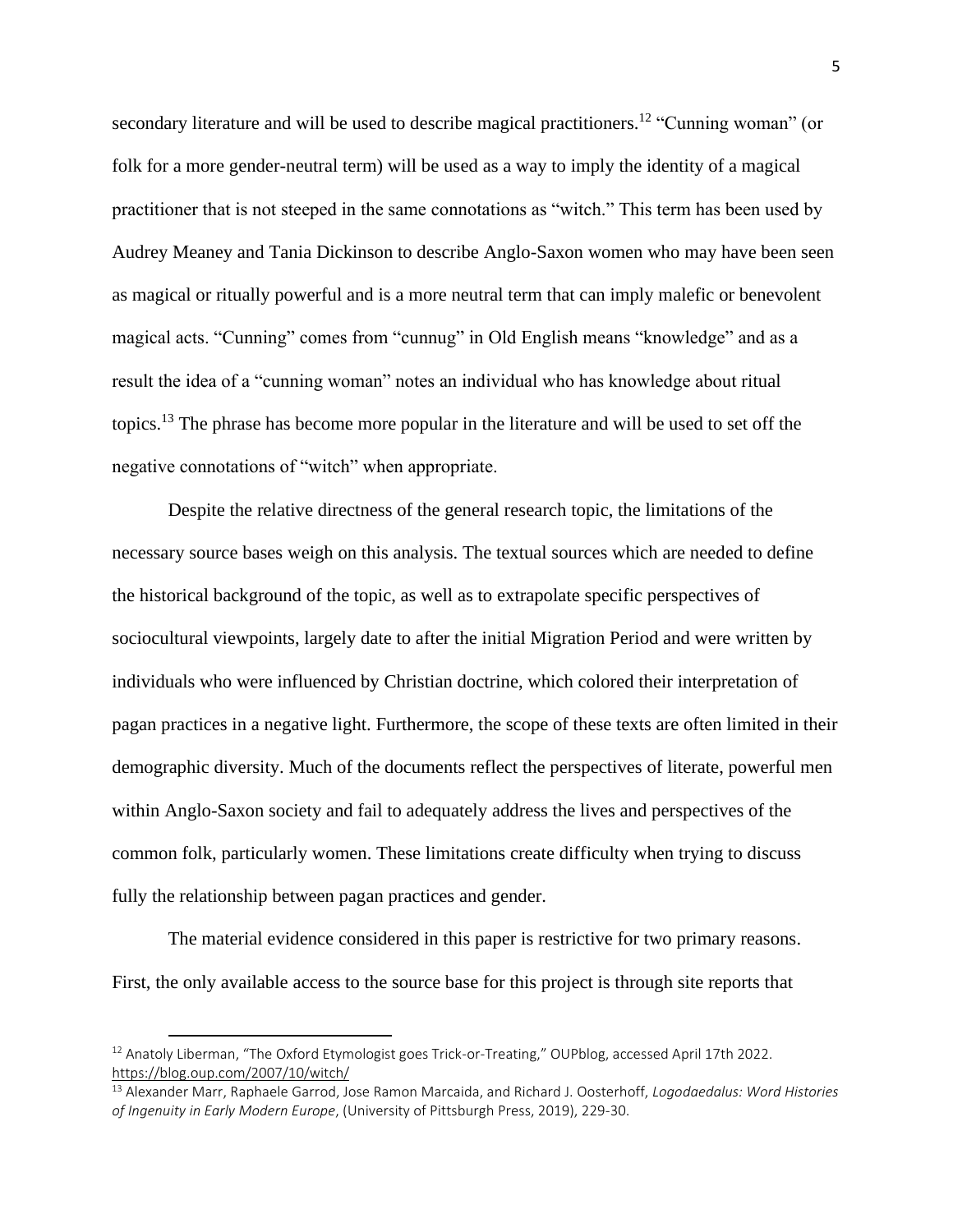secondary literature and will be used to describe magical practitioners.<sup>12</sup> "Cunning woman" (or folk for a more gender-neutral term) will be used as a way to imply the identity of a magical practitioner that is not steeped in the same connotations as "witch." This term has been used by Audrey Meaney and Tania Dickinson to describe Anglo-Saxon women who may have been seen as magical or ritually powerful and is a more neutral term that can imply malefic or benevolent magical acts. "Cunning" comes from "cunnug" in Old English means "knowledge" and as a result the idea of a "cunning woman" notes an individual who has knowledge about ritual topics.<sup>13</sup> The phrase has become more popular in the literature and will be used to set off the negative connotations of "witch" when appropriate.

Despite the relative directness of the general research topic, the limitations of the necessary source bases weigh on this analysis. The textual sources which are needed to define the historical background of the topic, as well as to extrapolate specific perspectives of sociocultural viewpoints, largely date to after the initial Migration Period and were written by individuals who were influenced by Christian doctrine, which colored their interpretation of pagan practices in a negative light. Furthermore, the scope of these texts are often limited in their demographic diversity. Much of the documents reflect the perspectives of literate, powerful men within Anglo-Saxon society and fail to adequately address the lives and perspectives of the common folk, particularly women. These limitations create difficulty when trying to discuss fully the relationship between pagan practices and gender.

The material evidence considered in this paper is restrictive for two primary reasons. First, the only available access to the source base for this project is through site reports that

<sup>&</sup>lt;sup>12</sup> Anatoly Liberman, "The Oxford Etymologist goes Trick-or-Treating," OUPblog, accessed April 17th 2022. <https://blog.oup.com/2007/10/witch/>

<sup>13</sup> Alexander Marr, Raphaele Garrod, Jose Ramon Marcaida, and Richard J. Oosterhoff, *Logodaedalus: Word Histories of Ingenuity in Early Modern Europe*, (University of Pittsburgh Press, 2019), 229-30.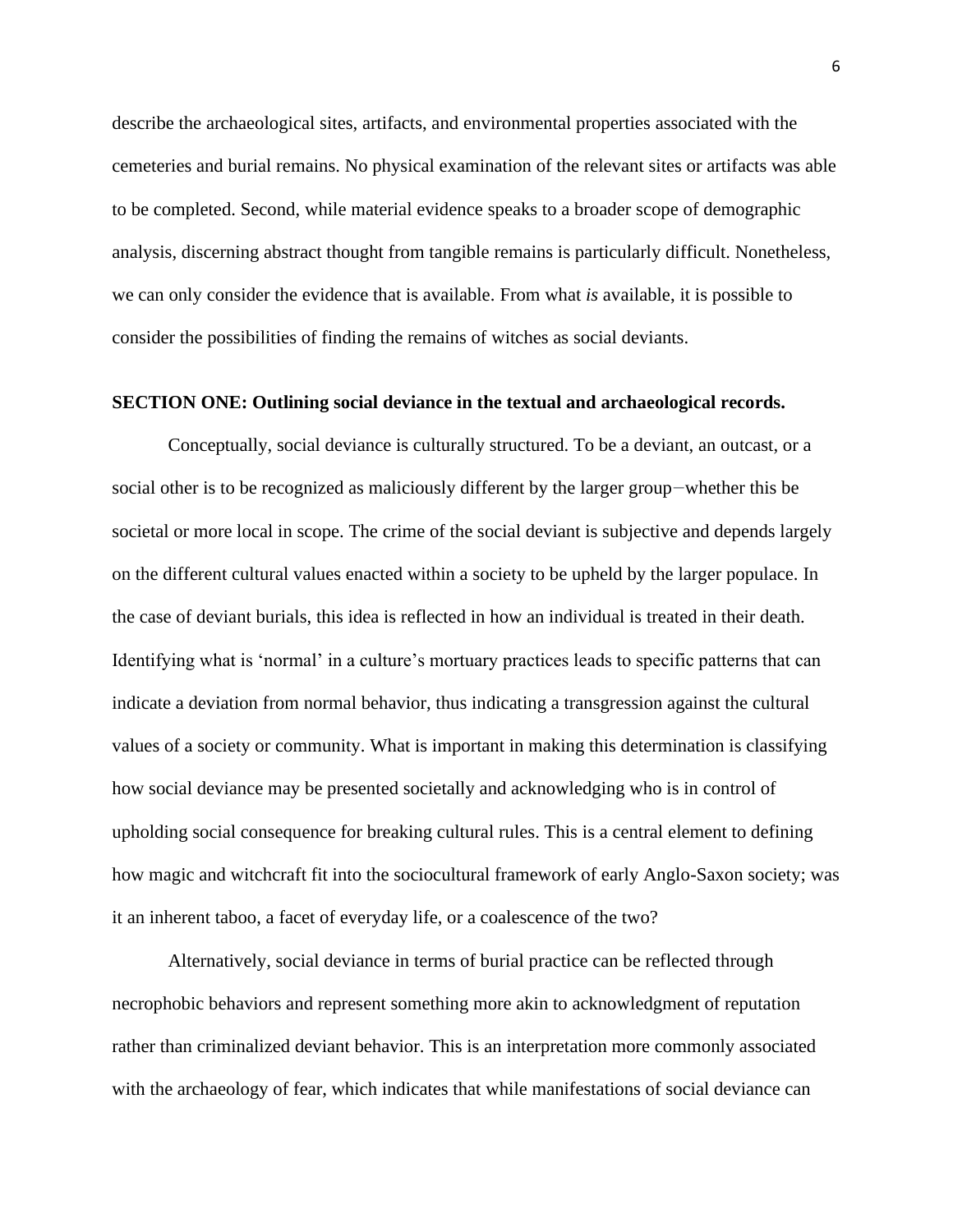describe the archaeological sites, artifacts, and environmental properties associated with the cemeteries and burial remains. No physical examination of the relevant sites or artifacts was able to be completed. Second, while material evidence speaks to a broader scope of demographic analysis, discerning abstract thought from tangible remains is particularly difficult. Nonetheless, we can only consider the evidence that is available. From what *is* available, it is possible to consider the possibilities of finding the remains of witches as social deviants.

#### **SECTION ONE: Outlining social deviance in the textual and archaeological records.**

Conceptually, social deviance is culturally structured. To be a deviant, an outcast, or a social other is to be recognized as maliciously different by the larger group—whether this be societal or more local in scope. The crime of the social deviant is subjective and depends largely on the different cultural values enacted within a society to be upheld by the larger populace. In the case of deviant burials, this idea is reflected in how an individual is treated in their death. Identifying what is 'normal' in a culture's mortuary practices leads to specific patterns that can indicate a deviation from normal behavior, thus indicating a transgression against the cultural values of a society or community. What is important in making this determination is classifying how social deviance may be presented societally and acknowledging who is in control of upholding social consequence for breaking cultural rules. This is a central element to defining how magic and witchcraft fit into the sociocultural framework of early Anglo-Saxon society; was it an inherent taboo, a facet of everyday life, or a coalescence of the two?

Alternatively, social deviance in terms of burial practice can be reflected through necrophobic behaviors and represent something more akin to acknowledgment of reputation rather than criminalized deviant behavior. This is an interpretation more commonly associated with the archaeology of fear, which indicates that while manifestations of social deviance can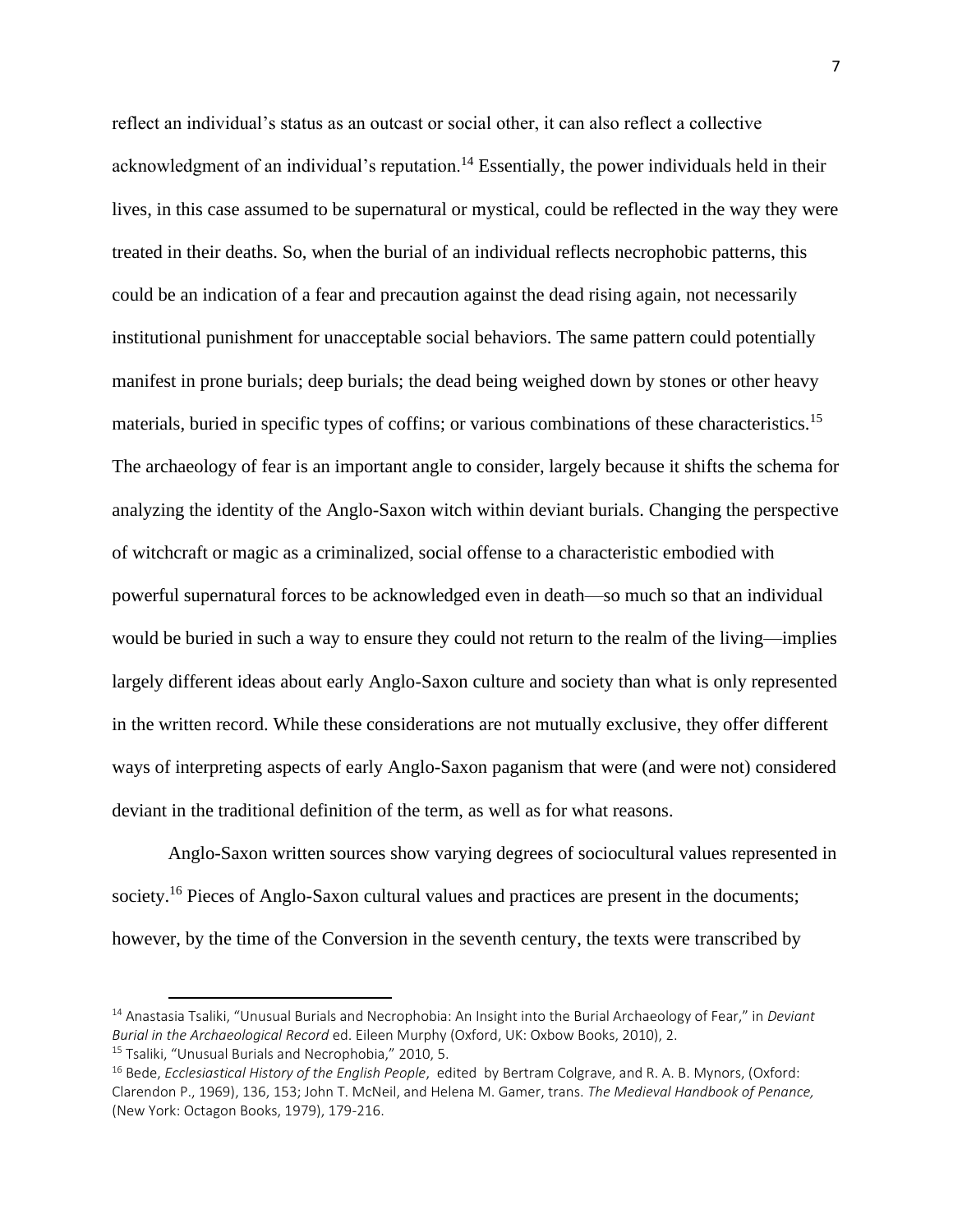reflect an individual's status as an outcast or social other, it can also reflect a collective acknowledgment of an individual's reputation.<sup>14</sup> Essentially, the power individuals held in their lives, in this case assumed to be supernatural or mystical, could be reflected in the way they were treated in their deaths. So, when the burial of an individual reflects necrophobic patterns, this could be an indication of a fear and precaution against the dead rising again, not necessarily institutional punishment for unacceptable social behaviors. The same pattern could potentially manifest in prone burials; deep burials; the dead being weighed down by stones or other heavy materials, buried in specific types of coffins; or various combinations of these characteristics.<sup>15</sup> The archaeology of fear is an important angle to consider, largely because it shifts the schema for analyzing the identity of the Anglo-Saxon witch within deviant burials. Changing the perspective of witchcraft or magic as a criminalized, social offense to a characteristic embodied with powerful supernatural forces to be acknowledged even in death—so much so that an individual would be buried in such a way to ensure they could not return to the realm of the living—implies largely different ideas about early Anglo-Saxon culture and society than what is only represented in the written record. While these considerations are not mutually exclusive, they offer different ways of interpreting aspects of early Anglo-Saxon paganism that were (and were not) considered deviant in the traditional definition of the term, as well as for what reasons.

Anglo-Saxon written sources show varying degrees of sociocultural values represented in society.<sup>16</sup> Pieces of Anglo-Saxon cultural values and practices are present in the documents; however, by the time of the Conversion in the seventh century, the texts were transcribed by

<sup>14</sup> Anastasia Tsaliki, "Unusual Burials and Necrophobia: An Insight into the Burial Archaeology of Fear," in *Deviant Burial in the Archaeological Record* ed. Eileen Murphy (Oxford, UK: Oxbow Books, 2010), 2. <sup>15</sup> Tsaliki, "Unusual Burials and Necrophobia," 2010, 5.

<sup>16</sup> Bede, *Ecclesiastical History of the English People*, edited by Bertram Colgrave, and R. A. B. Mynors, (Oxford: Clarendon P., 1969), 136, 153; John T. McNeil, and Helena M. Gamer, trans. *The Medieval Handbook of Penance,*  (New York: Octagon Books, 1979), 179-216.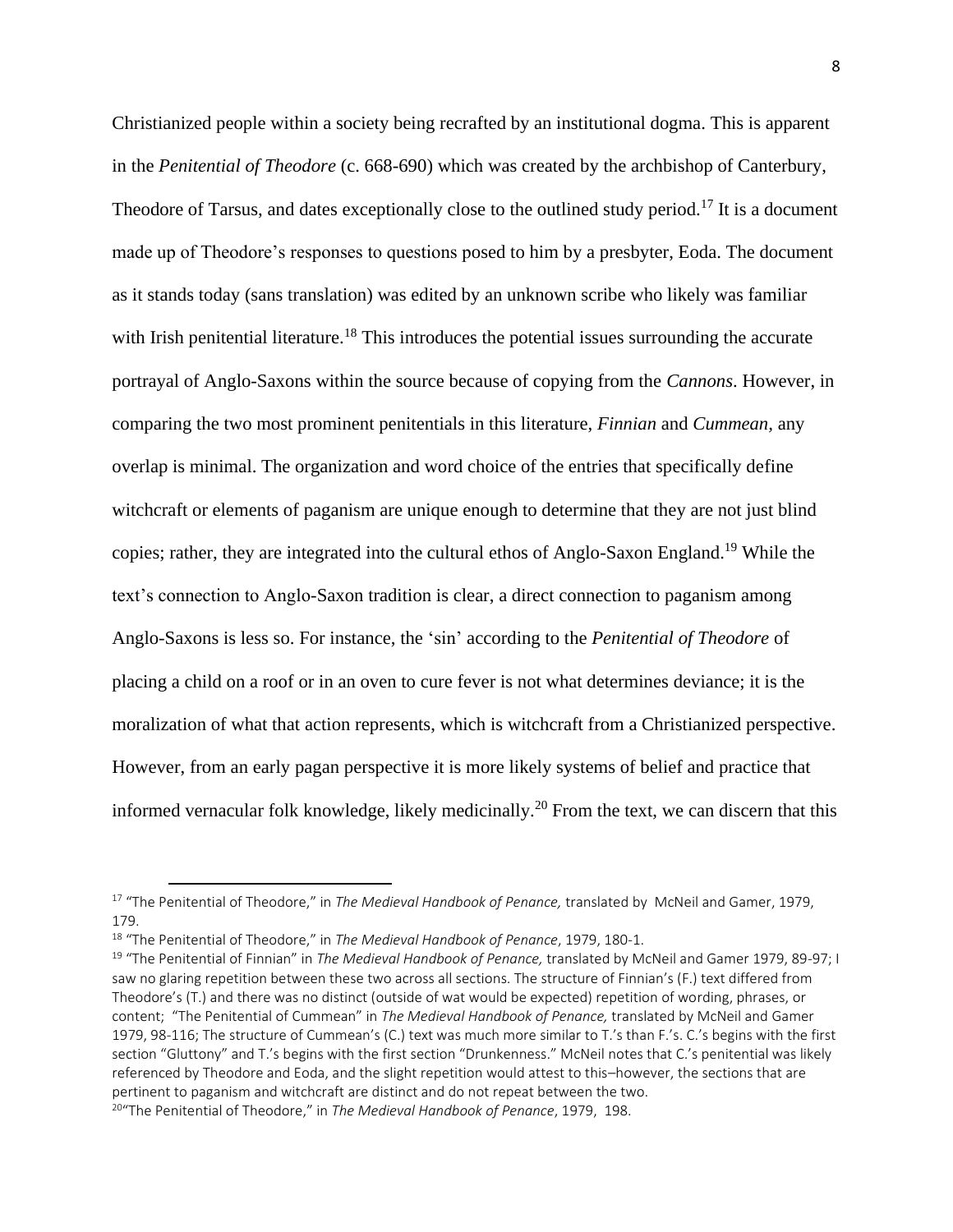Christianized people within a society being recrafted by an institutional dogma. This is apparent in the *Penitential of Theodore* (c. 668-690) which was created by the archbishop of Canterbury, Theodore of Tarsus, and dates exceptionally close to the outlined study period.<sup>17</sup> It is a document made up of Theodore's responses to questions posed to him by a presbyter, Eoda. The document as it stands today (sans translation) was edited by an unknown scribe who likely was familiar with Irish penitential literature.<sup>18</sup> This introduces the potential issues surrounding the accurate portrayal of Anglo-Saxons within the source because of copying from the *Cannons*. However, in comparing the two most prominent penitentials in this literature, *Finnian* and *Cummean,* any overlap is minimal. The organization and word choice of the entries that specifically define witchcraft or elements of paganism are unique enough to determine that they are not just blind copies; rather, they are integrated into the cultural ethos of Anglo-Saxon England.<sup>19</sup> While the text's connection to Anglo-Saxon tradition is clear, a direct connection to paganism among Anglo-Saxons is less so. For instance, the 'sin' according to the *Penitential of Theodore* of placing a child on a roof or in an oven to cure fever is not what determines deviance; it is the moralization of what that action represents, which is witchcraft from a Christianized perspective. However, from an early pagan perspective it is more likely systems of belief and practice that informed vernacular folk knowledge, likely medicinally.<sup>20</sup> From the text, we can discern that this

<sup>17</sup> "The Penitential of Theodore," in *The Medieval Handbook of Penance,* translated by McNeil and Gamer, 1979, 179.

<sup>18</sup> "The Penitential of Theodore," in *The Medieval Handbook of Penance*, 1979, 180-1.

<sup>19</sup> "The Penitential of Finnian" in *The Medieval Handbook of Penance,* translated by McNeil and Gamer 1979, 89-97; I saw no glaring repetition between these two across all sections. The structure of Finnian's (F.) text differed from Theodore's (T.) and there was no distinct (outside of wat would be expected) repetition of wording, phrases, or content; "The Penitential of Cummean" in *The Medieval Handbook of Penance,* translated by McNeil and Gamer 1979, 98-116; The structure of Cummean's (C.) text was much more similar to T.'s than F.'s. C.'s begins with the first section "Gluttony" and T.'s begins with the first section "Drunkenness." McNeil notes that C.'s penitential was likely referenced by Theodore and Eoda, and the slight repetition would attest to this–however, the sections that are pertinent to paganism and witchcraft are distinct and do not repeat between the two.

<sup>20</sup>"The Penitential of Theodore," in *The Medieval Handbook of Penance*, 1979, 198.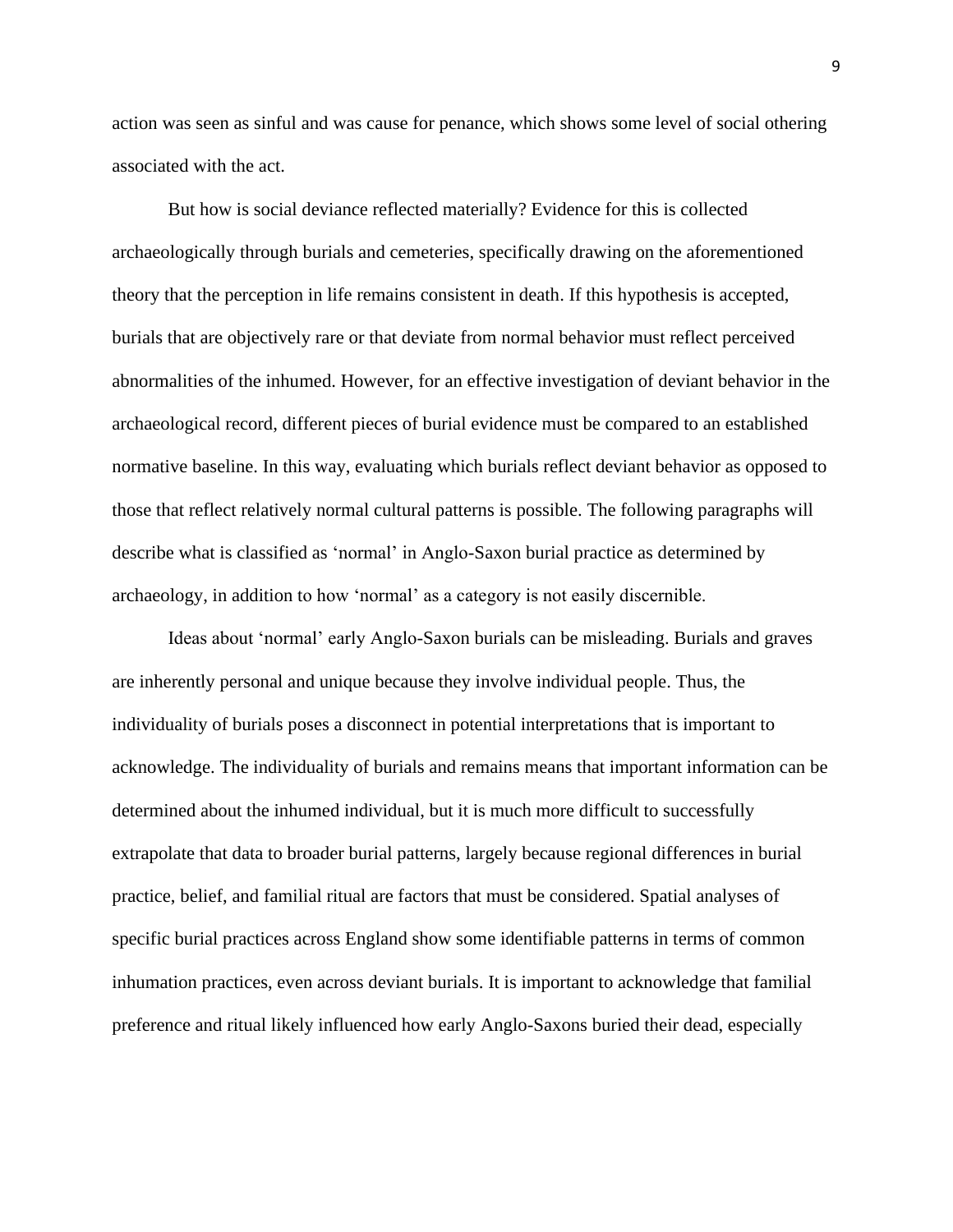action was seen as sinful and was cause for penance, which shows some level of social othering associated with the act.

But how is social deviance reflected materially? Evidence for this is collected archaeologically through burials and cemeteries, specifically drawing on the aforementioned theory that the perception in life remains consistent in death. If this hypothesis is accepted, burials that are objectively rare or that deviate from normal behavior must reflect perceived abnormalities of the inhumed. However, for an effective investigation of deviant behavior in the archaeological record, different pieces of burial evidence must be compared to an established normative baseline. In this way, evaluating which burials reflect deviant behavior as opposed to those that reflect relatively normal cultural patterns is possible. The following paragraphs will describe what is classified as 'normal' in Anglo-Saxon burial practice as determined by archaeology, in addition to how 'normal' as a category is not easily discernible.

Ideas about 'normal' early Anglo-Saxon burials can be misleading. Burials and graves are inherently personal and unique because they involve individual people. Thus, the individuality of burials poses a disconnect in potential interpretations that is important to acknowledge. The individuality of burials and remains means that important information can be determined about the inhumed individual, but it is much more difficult to successfully extrapolate that data to broader burial patterns, largely because regional differences in burial practice, belief, and familial ritual are factors that must be considered. Spatial analyses of specific burial practices across England show some identifiable patterns in terms of common inhumation practices, even across deviant burials. It is important to acknowledge that familial preference and ritual likely influenced how early Anglo-Saxons buried their dead, especially

9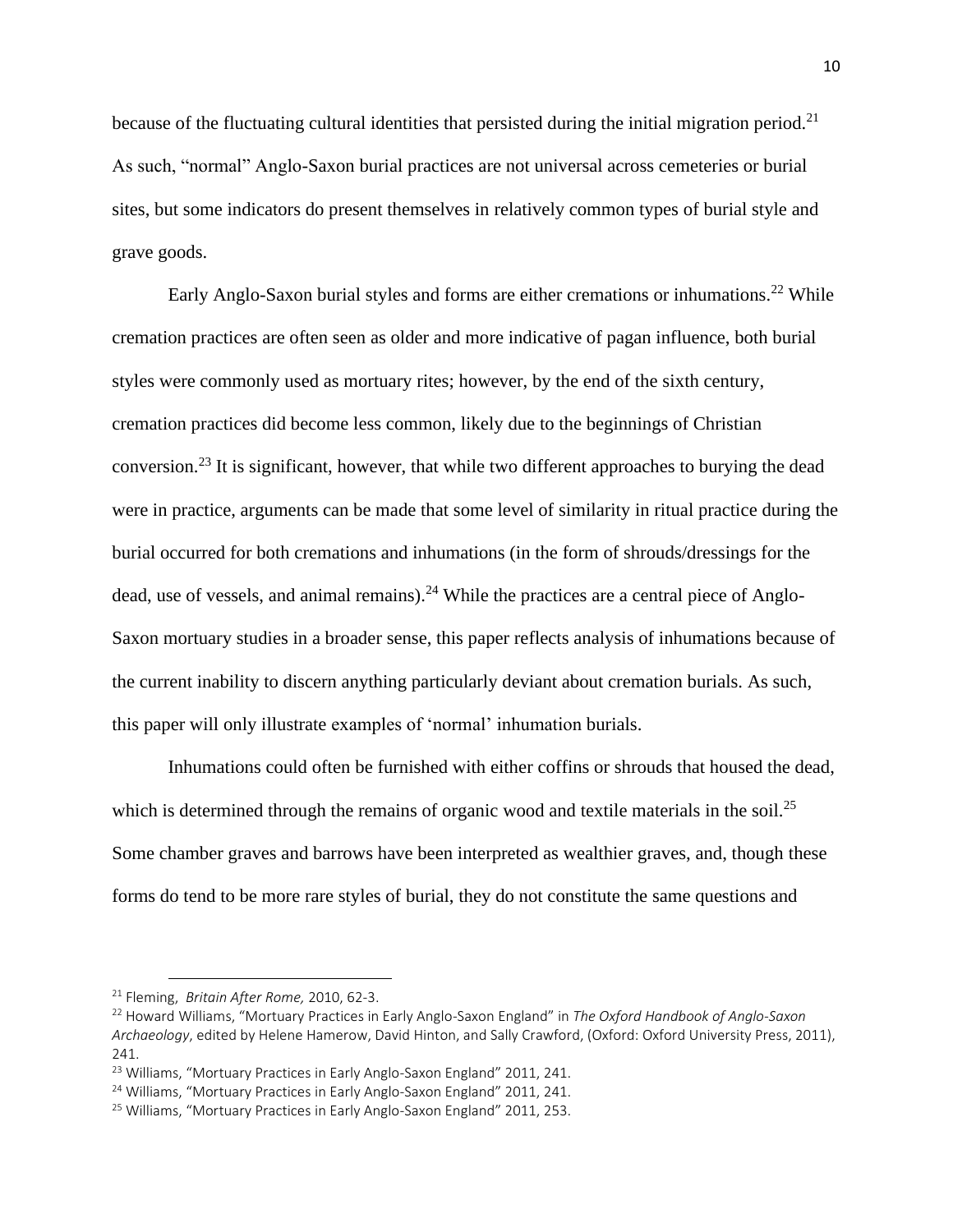because of the fluctuating cultural identities that persisted during the initial migration period.<sup>21</sup> As such, "normal" Anglo-Saxon burial practices are not universal across cemeteries or burial sites, but some indicators do present themselves in relatively common types of burial style and grave goods.

Early Anglo-Saxon burial styles and forms are either cremations or inhumations.<sup>22</sup> While cremation practices are often seen as older and more indicative of pagan influence, both burial styles were commonly used as mortuary rites; however, by the end of the sixth century, cremation practices did become less common, likely due to the beginnings of Christian conversion.<sup>23</sup> It is significant, however, that while two different approaches to burying the dead were in practice, arguments can be made that some level of similarity in ritual practice during the burial occurred for both cremations and inhumations (in the form of shrouds/dressings for the dead, use of vessels, and animal remains). $^{24}$  While the practices are a central piece of Anglo-Saxon mortuary studies in a broader sense, this paper reflects analysis of inhumations because of the current inability to discern anything particularly deviant about cremation burials. As such, this paper will only illustrate examples of 'normal' inhumation burials.

Inhumations could often be furnished with either coffins or shrouds that housed the dead, which is determined through the remains of organic wood and textile materials in the soil.<sup>25</sup> Some chamber graves and barrows have been interpreted as wealthier graves, and, though these forms do tend to be more rare styles of burial, they do not constitute the same questions and

<sup>21</sup> Fleming, *Britain After Rome,* 2010, 62-3.

<sup>22</sup> Howard Williams, "Mortuary Practices in Early Anglo-Saxon England" in *The Oxford Handbook of Anglo-Saxon Archaeology*, edited by Helene Hamerow, David Hinton, and Sally Crawford, (Oxford: Oxford University Press, 2011), 241.

<sup>&</sup>lt;sup>23</sup> Williams, "Mortuary Practices in Early Anglo-Saxon England" 2011, 241.

<sup>&</sup>lt;sup>24</sup> Williams, "Mortuary Practices in Early Anglo-Saxon England" 2011, 241.

<sup>&</sup>lt;sup>25</sup> Williams, "Mortuary Practices in Early Anglo-Saxon England" 2011, 253.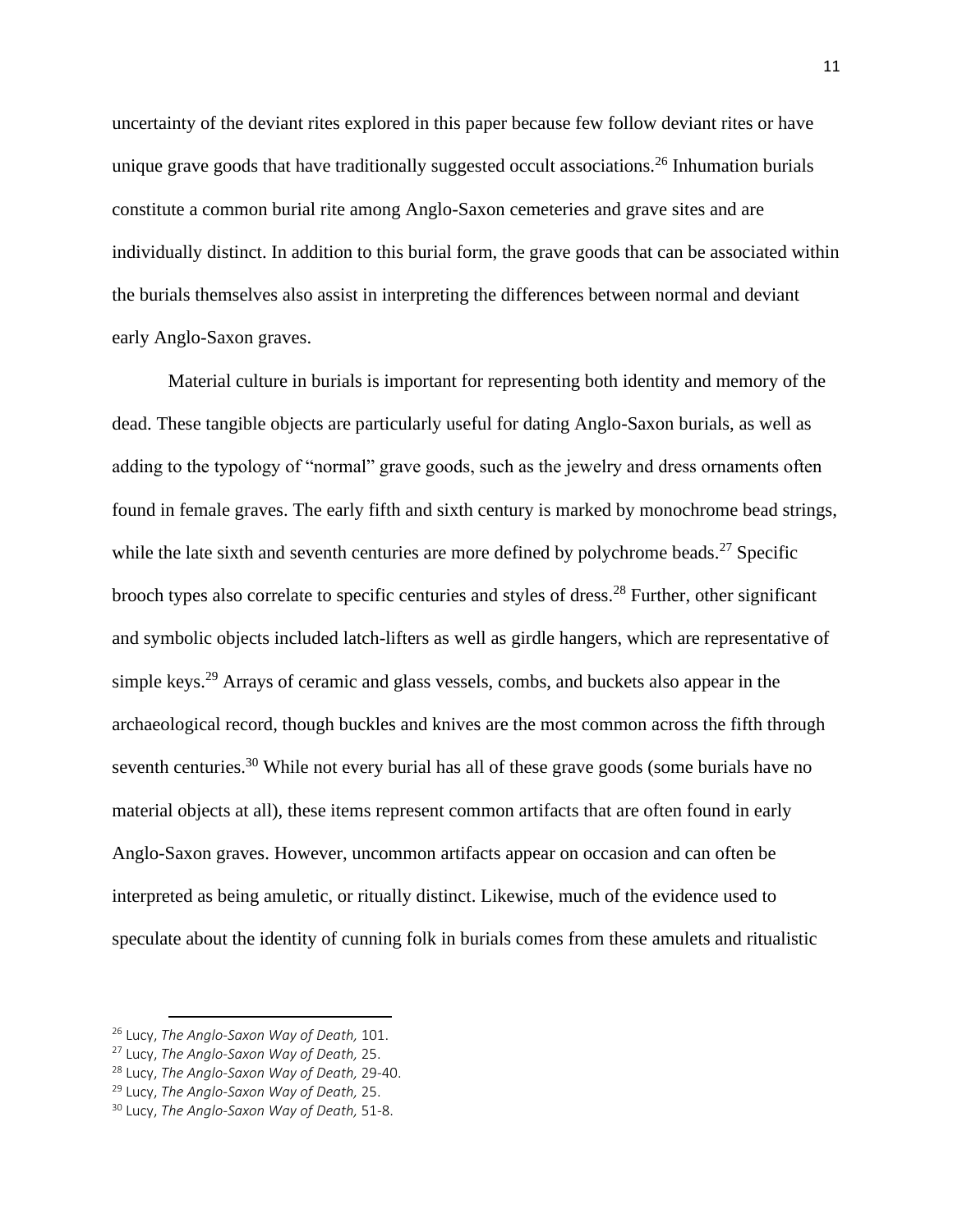uncertainty of the deviant rites explored in this paper because few follow deviant rites or have unique grave goods that have traditionally suggested occult associations. <sup>26</sup> Inhumation burials constitute a common burial rite among Anglo-Saxon cemeteries and grave sites and are individually distinct. In addition to this burial form, the grave goods that can be associated within the burials themselves also assist in interpreting the differences between normal and deviant early Anglo-Saxon graves.

Material culture in burials is important for representing both identity and memory of the dead. These tangible objects are particularly useful for dating Anglo-Saxon burials, as well as adding to the typology of "normal" grave goods, such as the jewelry and dress ornaments often found in female graves. The early fifth and sixth century is marked by monochrome bead strings, while the late sixth and seventh centuries are more defined by polychrome beads.<sup>27</sup> Specific brooch types also correlate to specific centuries and styles of dress.<sup>28</sup> Further, other significant and symbolic objects included latch-lifters as well as girdle hangers, which are representative of simple keys.<sup>29</sup> Arrays of ceramic and glass vessels, combs, and buckets also appear in the archaeological record, though buckles and knives are the most common across the fifth through seventh centuries.<sup>30</sup> While not every burial has all of these grave goods (some burials have no material objects at all), these items represent common artifacts that are often found in early Anglo-Saxon graves. However, uncommon artifacts appear on occasion and can often be interpreted as being amuletic, or ritually distinct. Likewise, much of the evidence used to speculate about the identity of cunning folk in burials comes from these amulets and ritualistic

<sup>26</sup> Lucy, *The Anglo-Saxon Way of Death,* 101.

<sup>27</sup> Lucy, *The Anglo-Saxon Way of Death,* 25.

<sup>28</sup> Lucy, *The Anglo-Saxon Way of Death,* 29-40.

<sup>29</sup> Lucy, *The Anglo-Saxon Way of Death,* 25.

<sup>30</sup> Lucy, *The Anglo-Saxon Way of Death,* 51-8.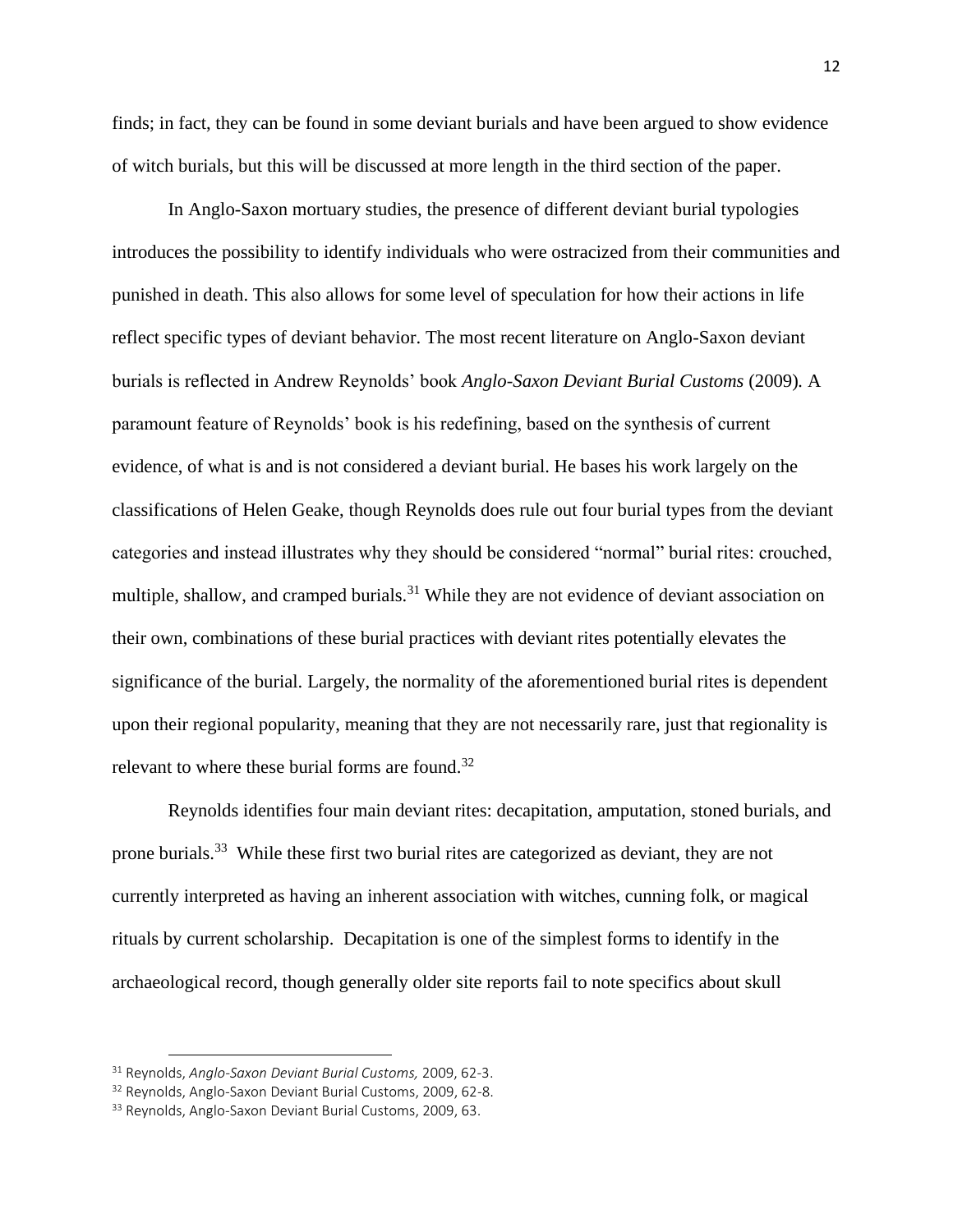finds; in fact, they can be found in some deviant burials and have been argued to show evidence of witch burials, but this will be discussed at more length in the third section of the paper.

In Anglo-Saxon mortuary studies, the presence of different deviant burial typologies introduces the possibility to identify individuals who were ostracized from their communities and punished in death. This also allows for some level of speculation for how their actions in life reflect specific types of deviant behavior. The most recent literature on Anglo-Saxon deviant burials is reflected in Andrew Reynolds' book *Anglo-Saxon Deviant Burial Customs* (2009)*.* A paramount feature of Reynolds' book is his redefining, based on the synthesis of current evidence, of what is and is not considered a deviant burial. He bases his work largely on the classifications of Helen Geake, though Reynolds does rule out four burial types from the deviant categories and instead illustrates why they should be considered "normal" burial rites: crouched, multiple, shallow, and cramped burials.<sup>31</sup> While they are not evidence of deviant association on their own, combinations of these burial practices with deviant rites potentially elevates the significance of the burial. Largely, the normality of the aforementioned burial rites is dependent upon their regional popularity, meaning that they are not necessarily rare, just that regionality is relevant to where these burial forms are found.<sup>32</sup>

Reynolds identifies four main deviant rites: decapitation, amputation, stoned burials, and prone burials.<sup>33</sup> While these first two burial rites are categorized as deviant, they are not currently interpreted as having an inherent association with witches, cunning folk, or magical rituals by current scholarship. Decapitation is one of the simplest forms to identify in the archaeological record, though generally older site reports fail to note specifics about skull

<sup>31</sup> Reynolds, *Anglo-Saxon Deviant Burial Customs,* 2009, 62-3.

<sup>32</sup> Reynolds, Anglo-Saxon Deviant Burial Customs, 2009, 62-8.

<sup>&</sup>lt;sup>33</sup> Reynolds, Anglo-Saxon Deviant Burial Customs, 2009, 63.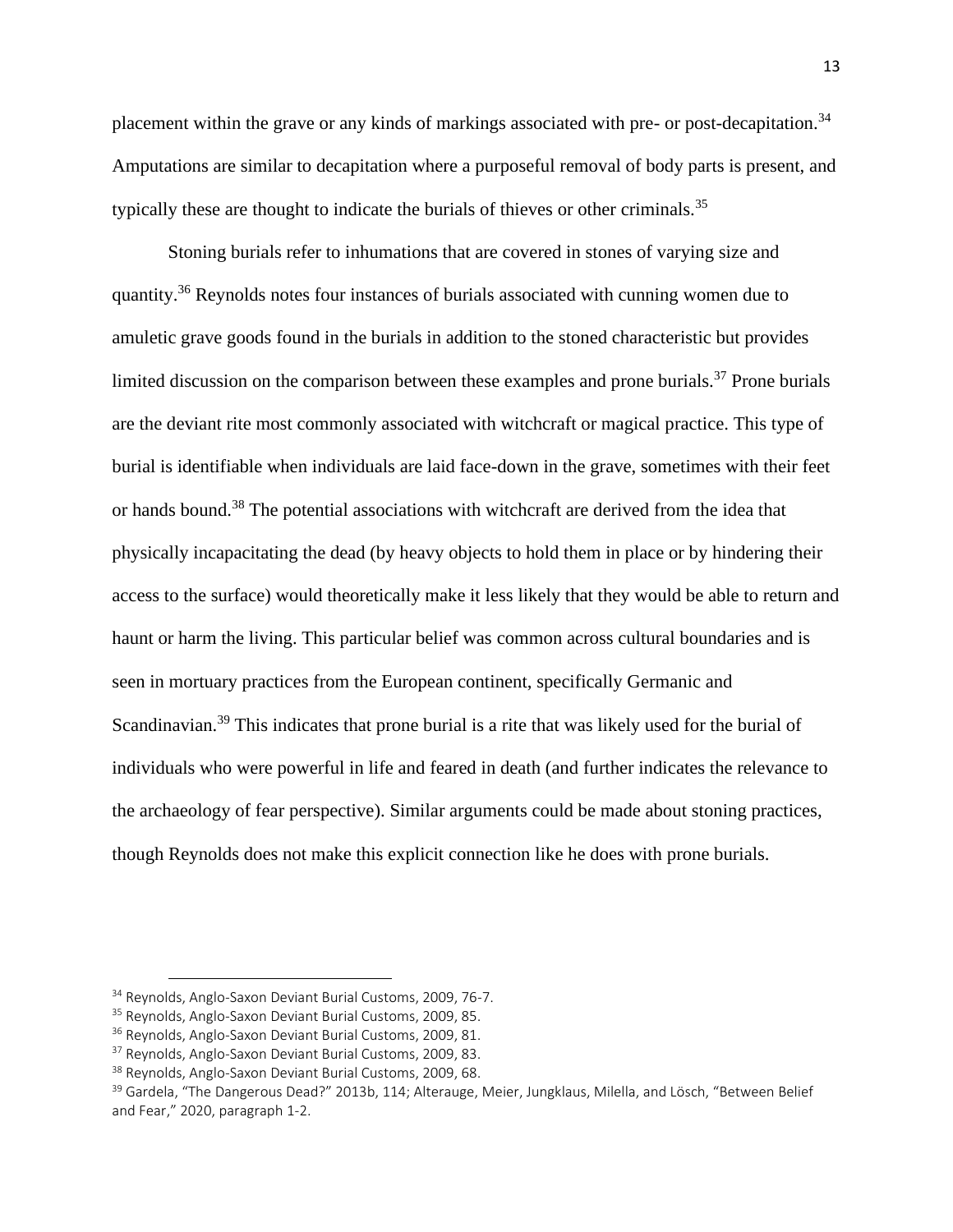placement within the grave or any kinds of markings associated with pre- or post-decapitation.<sup>34</sup> Amputations are similar to decapitation where a purposeful removal of body parts is present, and typically these are thought to indicate the burials of thieves or other criminals.<sup>35</sup>

Stoning burials refer to inhumations that are covered in stones of varying size and quantity.<sup>36</sup> Reynolds notes four instances of burials associated with cunning women due to amuletic grave goods found in the burials in addition to the stoned characteristic but provides limited discussion on the comparison between these examples and prone burials.<sup>37</sup> Prone burials are the deviant rite most commonly associated with witchcraft or magical practice. This type of burial is identifiable when individuals are laid face-down in the grave, sometimes with their feet or hands bound.<sup>38</sup> The potential associations with witchcraft are derived from the idea that physically incapacitating the dead (by heavy objects to hold them in place or by hindering their access to the surface) would theoretically make it less likely that they would be able to return and haunt or harm the living. This particular belief was common across cultural boundaries and is seen in mortuary practices from the European continent, specifically Germanic and Scandinavian.<sup>39</sup> This indicates that prone burial is a rite that was likely used for the burial of individuals who were powerful in life and feared in death (and further indicates the relevance to the archaeology of fear perspective). Similar arguments could be made about stoning practices, though Reynolds does not make this explicit connection like he does with prone burials.

<sup>34</sup> Reynolds, Anglo-Saxon Deviant Burial Customs, 2009, 76-7.

<sup>35</sup> Reynolds, Anglo-Saxon Deviant Burial Customs, 2009, 85.

<sup>&</sup>lt;sup>36</sup> Reynolds, Anglo-Saxon Deviant Burial Customs, 2009, 81.

<sup>&</sup>lt;sup>37</sup> Reynolds, Anglo-Saxon Deviant Burial Customs, 2009, 83.

<sup>38</sup> Reynolds, Anglo-Saxon Deviant Burial Customs, 2009, 68.

<sup>&</sup>lt;sup>39</sup> Gardela, "The Dangerous Dead?" 2013b, 114; Alterauge, Meier, Jungklaus, Milella, and Lösch, "Between Belief and Fear," 2020, paragraph 1-2.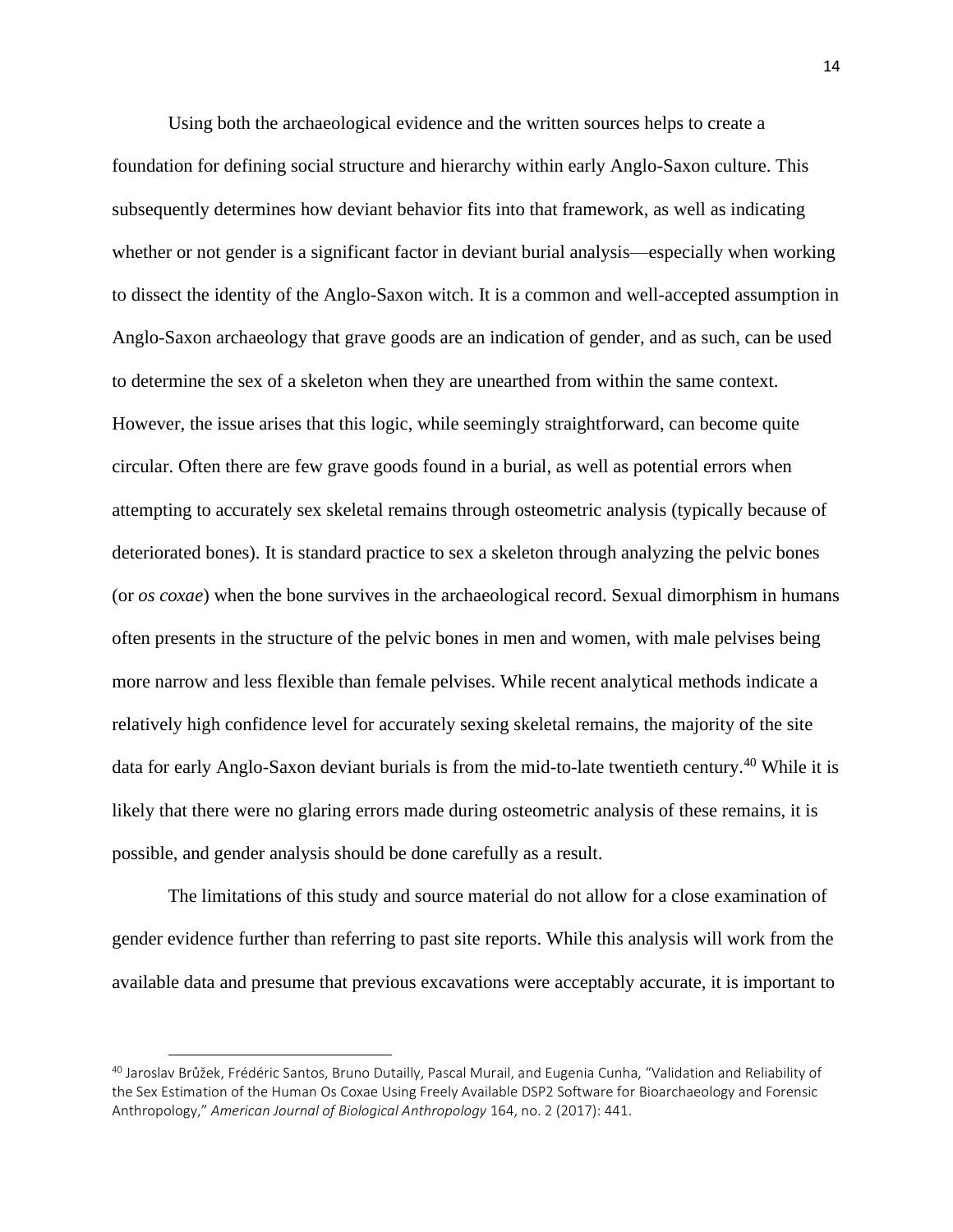Using both the archaeological evidence and the written sources helps to create a foundation for defining social structure and hierarchy within early Anglo-Saxon culture. This subsequently determines how deviant behavior fits into that framework, as well as indicating whether or not gender is a significant factor in deviant burial analysis—especially when working to dissect the identity of the Anglo-Saxon witch. It is a common and well-accepted assumption in Anglo-Saxon archaeology that grave goods are an indication of gender, and as such, can be used to determine the sex of a skeleton when they are unearthed from within the same context. However, the issue arises that this logic, while seemingly straightforward, can become quite circular. Often there are few grave goods found in a burial, as well as potential errors when attempting to accurately sex skeletal remains through osteometric analysis (typically because of deteriorated bones). It is standard practice to sex a skeleton through analyzing the pelvic bones (or *os coxae*) when the bone survives in the archaeological record. Sexual dimorphism in humans often presents in the structure of the pelvic bones in men and women, with male pelvises being more narrow and less flexible than female pelvises. While recent analytical methods indicate a relatively high confidence level for accurately sexing skeletal remains, the majority of the site data for early Anglo-Saxon deviant burials is from the mid-to-late twentieth century.<sup>40</sup> While it is likely that there were no glaring errors made during osteometric analysis of these remains, it is possible, and gender analysis should be done carefully as a result.

The limitations of this study and source material do not allow for a close examination of gender evidence further than referring to past site reports. While this analysis will work from the available data and presume that previous excavations were acceptably accurate, it is important to

<sup>40</sup> Jaroslav Brůžek, Frédéric Santos, Bruno Dutailly, Pascal Murail, and Eugenia Cunha, "Validation and Reliability of the Sex Estimation of the Human Os Coxae Using Freely Available DSP2 Software for Bioarchaeology and Forensic Anthropology," *American Journal of Biological Anthropology* 164, no. 2 (2017): 441.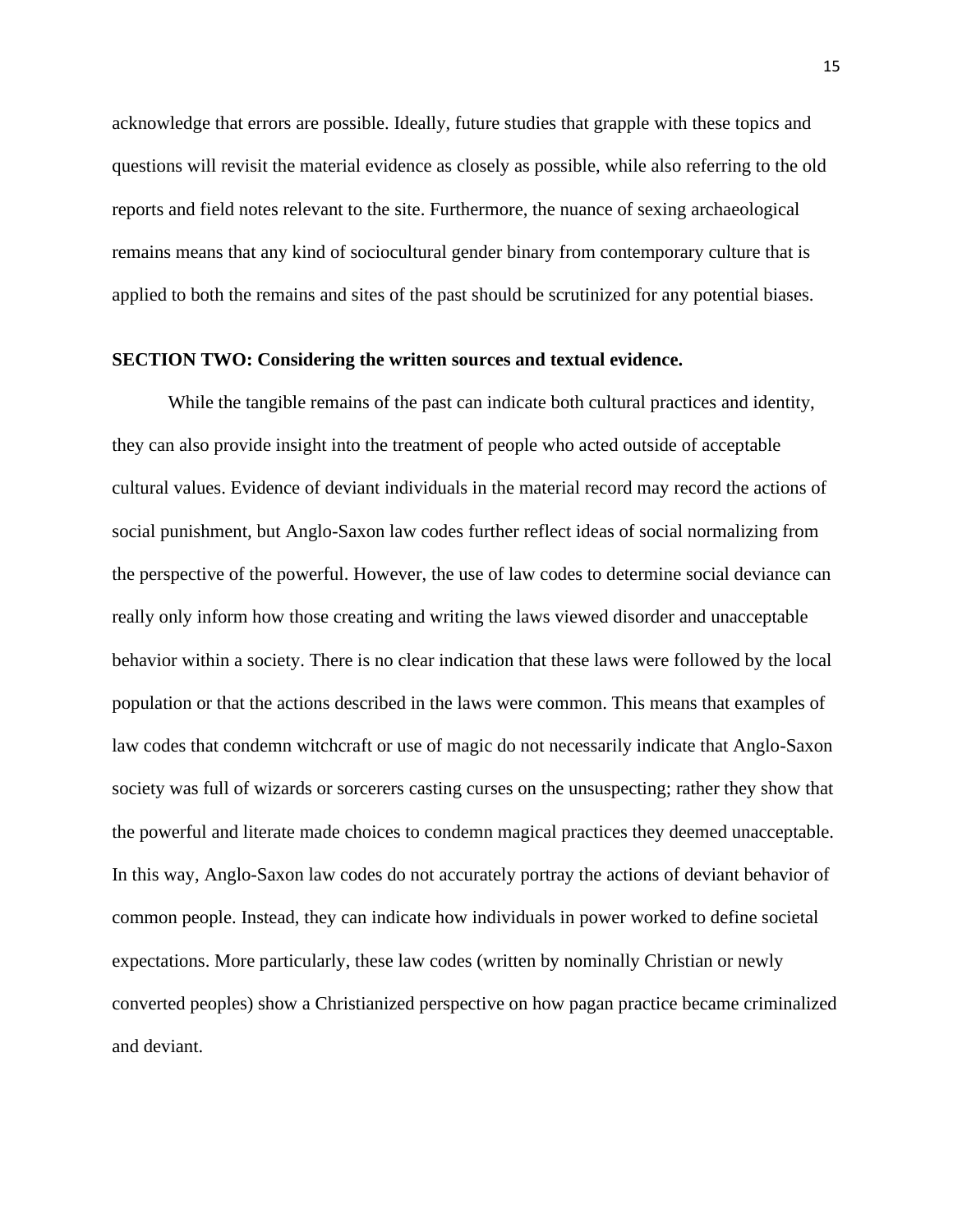acknowledge that errors are possible. Ideally, future studies that grapple with these topics and questions will revisit the material evidence as closely as possible, while also referring to the old reports and field notes relevant to the site. Furthermore, the nuance of sexing archaeological remains means that any kind of sociocultural gender binary from contemporary culture that is applied to both the remains and sites of the past should be scrutinized for any potential biases.

### **SECTION TWO: Considering the written sources and textual evidence.**

While the tangible remains of the past can indicate both cultural practices and identity, they can also provide insight into the treatment of people who acted outside of acceptable cultural values. Evidence of deviant individuals in the material record may record the actions of social punishment, but Anglo-Saxon law codes further reflect ideas of social normalizing from the perspective of the powerful. However, the use of law codes to determine social deviance can really only inform how those creating and writing the laws viewed disorder and unacceptable behavior within a society. There is no clear indication that these laws were followed by the local population or that the actions described in the laws were common. This means that examples of law codes that condemn witchcraft or use of magic do not necessarily indicate that Anglo-Saxon society was full of wizards or sorcerers casting curses on the unsuspecting; rather they show that the powerful and literate made choices to condemn magical practices they deemed unacceptable. In this way, Anglo-Saxon law codes do not accurately portray the actions of deviant behavior of common people. Instead, they can indicate how individuals in power worked to define societal expectations. More particularly, these law codes (written by nominally Christian or newly converted peoples) show a Christianized perspective on how pagan practice became criminalized and deviant.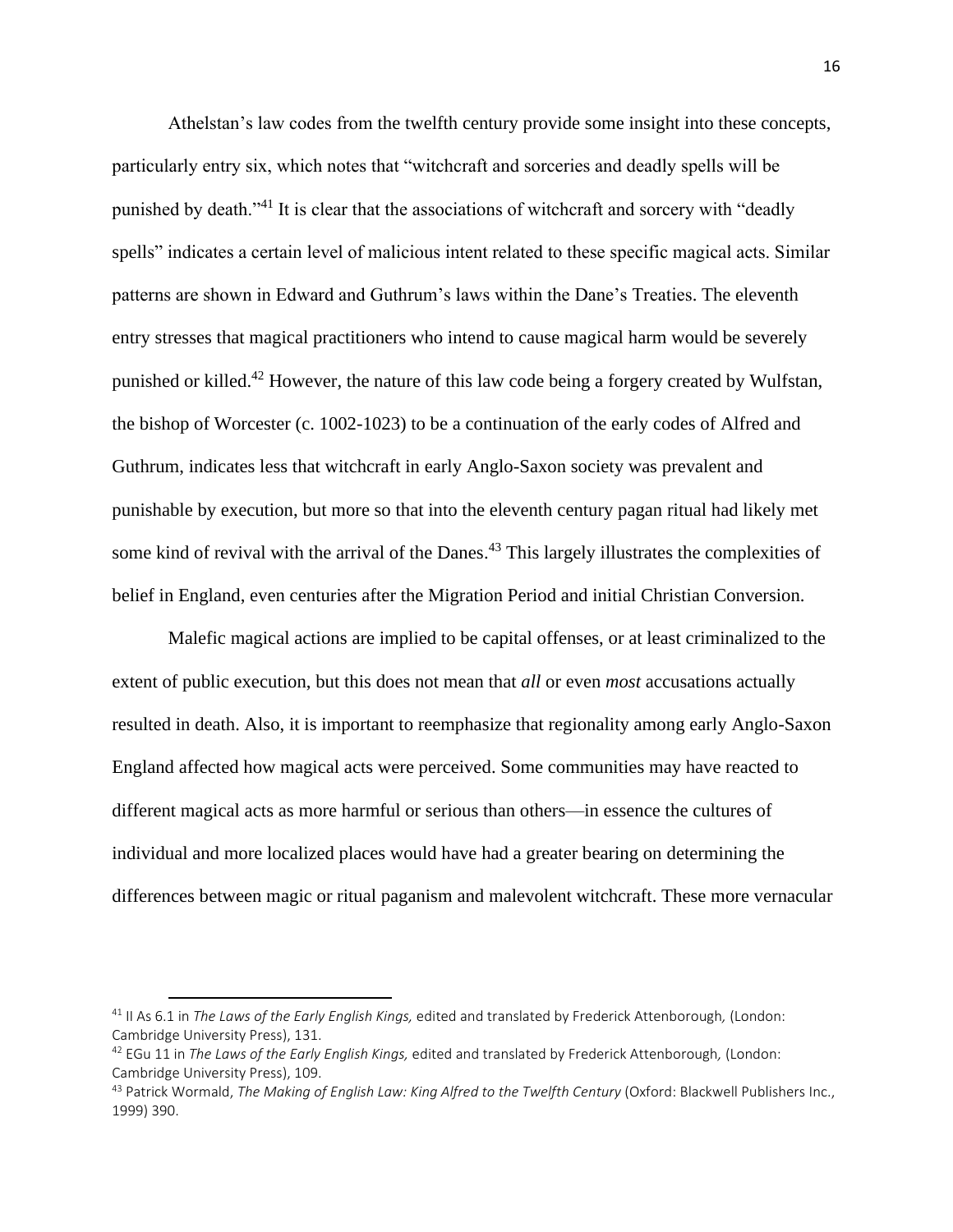Athelstan's law codes from the twelfth century provide some insight into these concepts, particularly entry six, which notes that "witchcraft and sorceries and deadly spells will be punished by death."<sup>41</sup> It is clear that the associations of witchcraft and sorcery with "deadly spells" indicates a certain level of malicious intent related to these specific magical acts. Similar patterns are shown in Edward and Guthrum's laws within the Dane's Treaties. The eleventh entry stresses that magical practitioners who intend to cause magical harm would be severely punished or killed.<sup>42</sup> However, the nature of this law code being a forgery created by Wulfstan, the bishop of Worcester (c. 1002-1023) to be a continuation of the early codes of Alfred and Guthrum, indicates less that witchcraft in early Anglo-Saxon society was prevalent and punishable by execution, but more so that into the eleventh century pagan ritual had likely met some kind of revival with the arrival of the Danes.<sup>43</sup> This largely illustrates the complexities of belief in England, even centuries after the Migration Period and initial Christian Conversion.

Malefic magical actions are implied to be capital offenses, or at least criminalized to the extent of public execution, but this does not mean that *all* or even *most* accusations actually resulted in death. Also, it is important to reemphasize that regionality among early Anglo-Saxon England affected how magical acts were perceived. Some communities may have reacted to different magical acts as more harmful or serious than others—in essence the cultures of individual and more localized places would have had a greater bearing on determining the differences between magic or ritual paganism and malevolent witchcraft. These more vernacular

<sup>41</sup> II As 6.1 in *The Laws of the Early English Kings,* edited and translated by Frederick Attenborough*,* (London: Cambridge University Press), 131.

<sup>42</sup> EGu 11 in *The Laws of the Early English Kings,* edited and translated by Frederick Attenborough*,* (London: Cambridge University Press), 109.

<sup>&</sup>lt;sup>43</sup> Patrick Wormald, *The Making of English Law: King Alfred to the Twelfth Century (Oxford: Blackwell Publishers Inc.,* 1999) 390.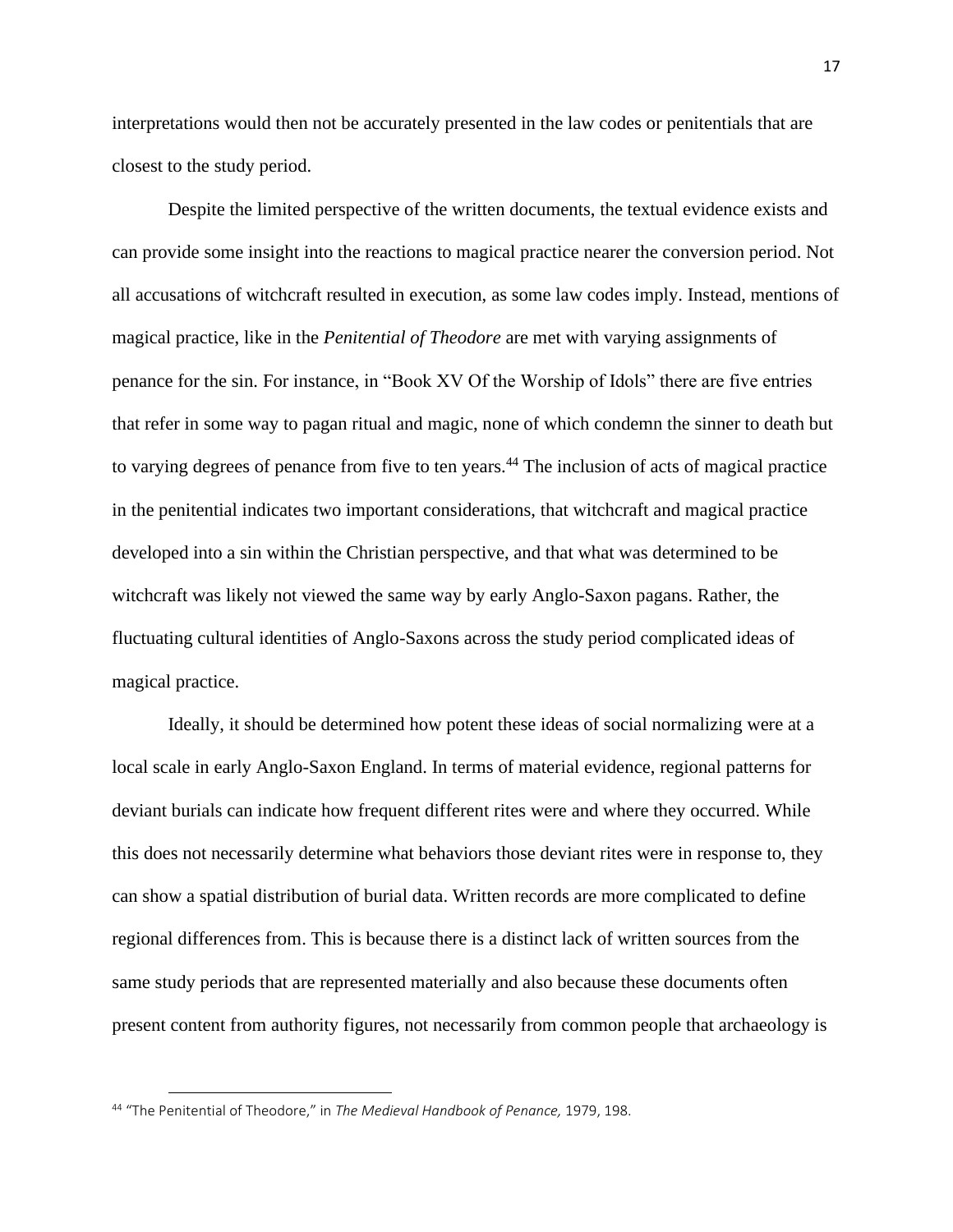interpretations would then not be accurately presented in the law codes or penitentials that are closest to the study period.

Despite the limited perspective of the written documents, the textual evidence exists and can provide some insight into the reactions to magical practice nearer the conversion period. Not all accusations of witchcraft resulted in execution, as some law codes imply. Instead, mentions of magical practice, like in the *Penitential of Theodore* are met with varying assignments of penance for the sin. For instance, in "Book XV Of the Worship of Idols" there are five entries that refer in some way to pagan ritual and magic, none of which condemn the sinner to death but to varying degrees of penance from five to ten years.<sup>44</sup> The inclusion of acts of magical practice in the penitential indicates two important considerations, that witchcraft and magical practice developed into a sin within the Christian perspective, and that what was determined to be witchcraft was likely not viewed the same way by early Anglo-Saxon pagans. Rather, the fluctuating cultural identities of Anglo-Saxons across the study period complicated ideas of magical practice.

Ideally, it should be determined how potent these ideas of social normalizing were at a local scale in early Anglo-Saxon England. In terms of material evidence, regional patterns for deviant burials can indicate how frequent different rites were and where they occurred. While this does not necessarily determine what behaviors those deviant rites were in response to, they can show a spatial distribution of burial data. Written records are more complicated to define regional differences from. This is because there is a distinct lack of written sources from the same study periods that are represented materially and also because these documents often present content from authority figures, not necessarily from common people that archaeology is

<sup>44</sup> "The Penitential of Theodore," in *The Medieval Handbook of Penance,* 1979, 198.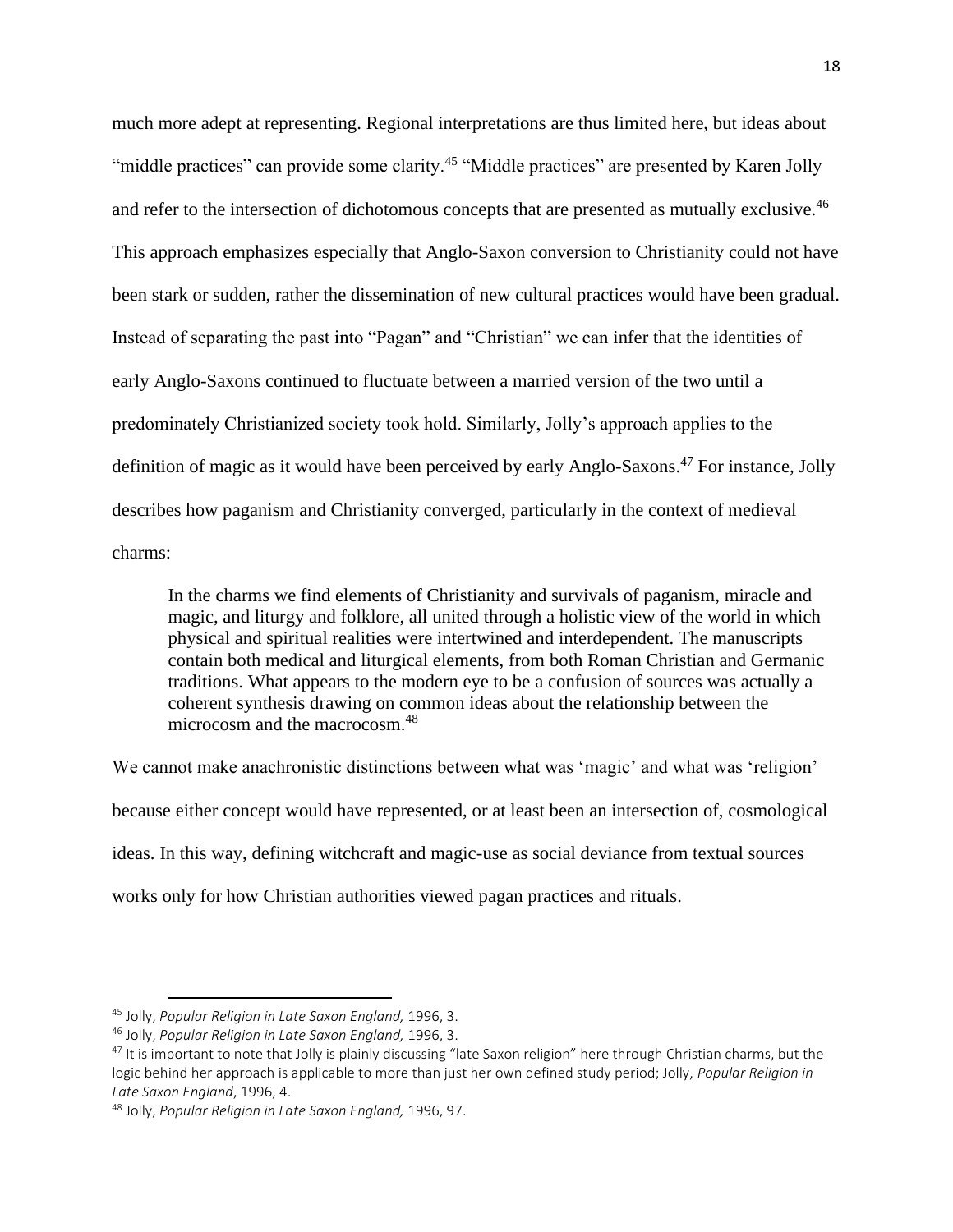much more adept at representing. Regional interpretations are thus limited here, but ideas about "middle practices" can provide some clarity.<sup>45</sup> "Middle practices" are presented by Karen Jolly and refer to the intersection of dichotomous concepts that are presented as mutually exclusive.<sup>46</sup> This approach emphasizes especially that Anglo-Saxon conversion to Christianity could not have been stark or sudden, rather the dissemination of new cultural practices would have been gradual. Instead of separating the past into "Pagan" and "Christian" we can infer that the identities of early Anglo-Saxons continued to fluctuate between a married version of the two until a predominately Christianized society took hold. Similarly, Jolly's approach applies to the definition of magic as it would have been perceived by early Anglo-Saxons.<sup>47</sup> For instance, Jolly describes how paganism and Christianity converged, particularly in the context of medieval charms:

In the charms we find elements of Christianity and survivals of paganism, miracle and magic, and liturgy and folklore, all united through a holistic view of the world in which physical and spiritual realities were intertwined and interdependent. The manuscripts contain both medical and liturgical elements, from both Roman Christian and Germanic traditions. What appears to the modern eye to be a confusion of sources was actually a coherent synthesis drawing on common ideas about the relationship between the microcosm and the macrocosm.<sup>48</sup>

We cannot make anachronistic distinctions between what was 'magic' and what was 'religion' because either concept would have represented, or at least been an intersection of, cosmological ideas. In this way, defining witchcraft and magic-use as social deviance from textual sources works only for how Christian authorities viewed pagan practices and rituals.

<sup>45</sup> Jolly, *Popular Religion in Late Saxon England,* 1996, 3.

<sup>46</sup> Jolly, *Popular Religion in Late Saxon England,* 1996, 3.

 $47$  It is important to note that Jolly is plainly discussing "late Saxon religion" here through Christian charms, but the logic behind her approach is applicable to more than just her own defined study period; Jolly, *Popular Religion in Late Saxon England*, 1996, 4.

<sup>48</sup> Jolly, *Popular Religion in Late Saxon England,* 1996, 97.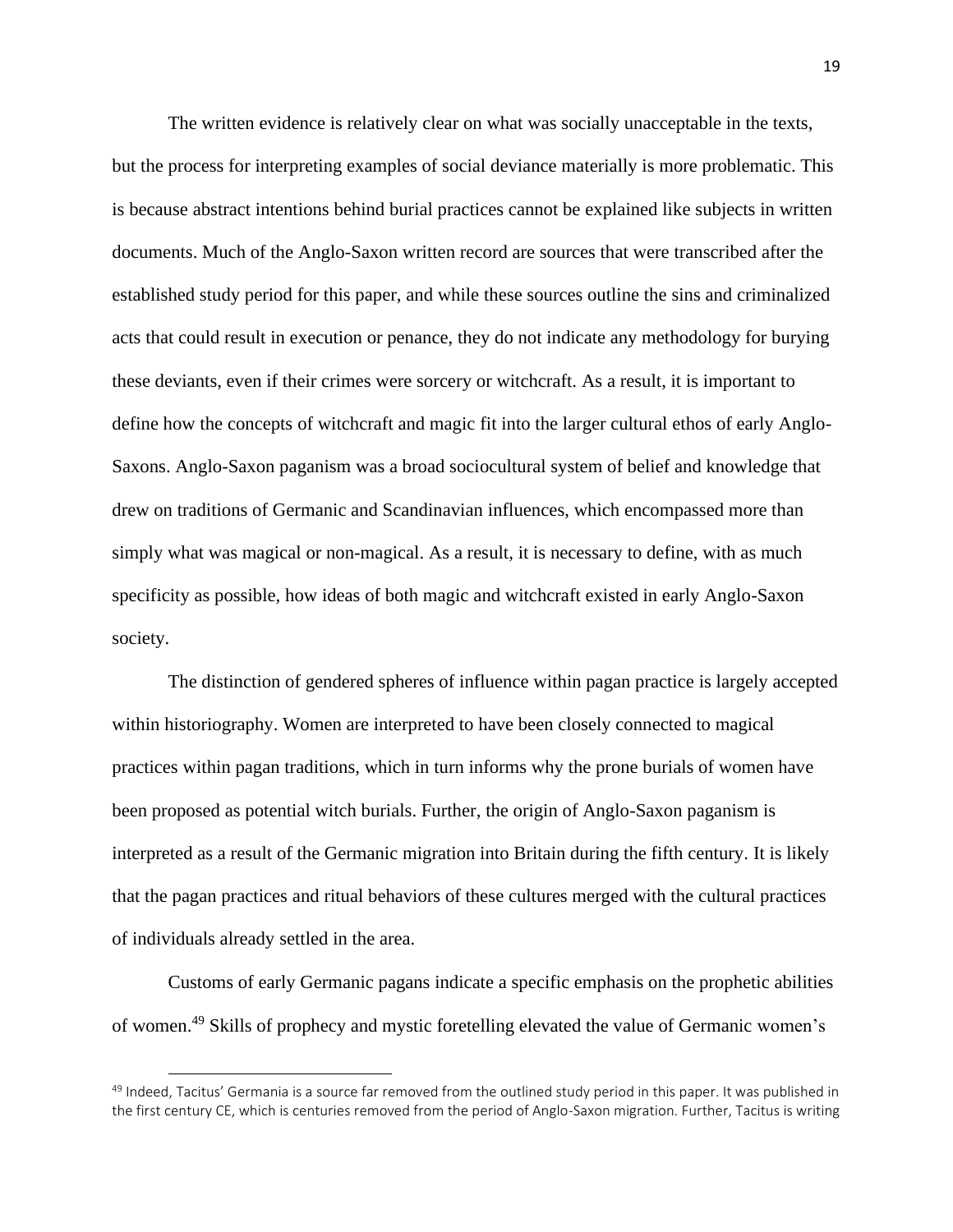The written evidence is relatively clear on what was socially unacceptable in the texts, but the process for interpreting examples of social deviance materially is more problematic. This is because abstract intentions behind burial practices cannot be explained like subjects in written documents. Much of the Anglo-Saxon written record are sources that were transcribed after the established study period for this paper, and while these sources outline the sins and criminalized acts that could result in execution or penance, they do not indicate any methodology for burying these deviants, even if their crimes were sorcery or witchcraft. As a result, it is important to define how the concepts of witchcraft and magic fit into the larger cultural ethos of early Anglo-Saxons. Anglo-Saxon paganism was a broad sociocultural system of belief and knowledge that drew on traditions of Germanic and Scandinavian influences, which encompassed more than simply what was magical or non-magical. As a result, it is necessary to define, with as much specificity as possible, how ideas of both magic and witchcraft existed in early Anglo-Saxon society.

The distinction of gendered spheres of influence within pagan practice is largely accepted within historiography. Women are interpreted to have been closely connected to magical practices within pagan traditions, which in turn informs why the prone burials of women have been proposed as potential witch burials. Further, the origin of Anglo-Saxon paganism is interpreted as a result of the Germanic migration into Britain during the fifth century. It is likely that the pagan practices and ritual behaviors of these cultures merged with the cultural practices of individuals already settled in the area.

Customs of early Germanic pagans indicate a specific emphasis on the prophetic abilities of women.<sup>49</sup> Skills of prophecy and mystic foretelling elevated the value of Germanic women's

 $49$  Indeed, Tacitus' Germania is a source far removed from the outlined study period in this paper. It was published in the first century CE, which is centuries removed from the period of Anglo-Saxon migration. Further, Tacitus is writing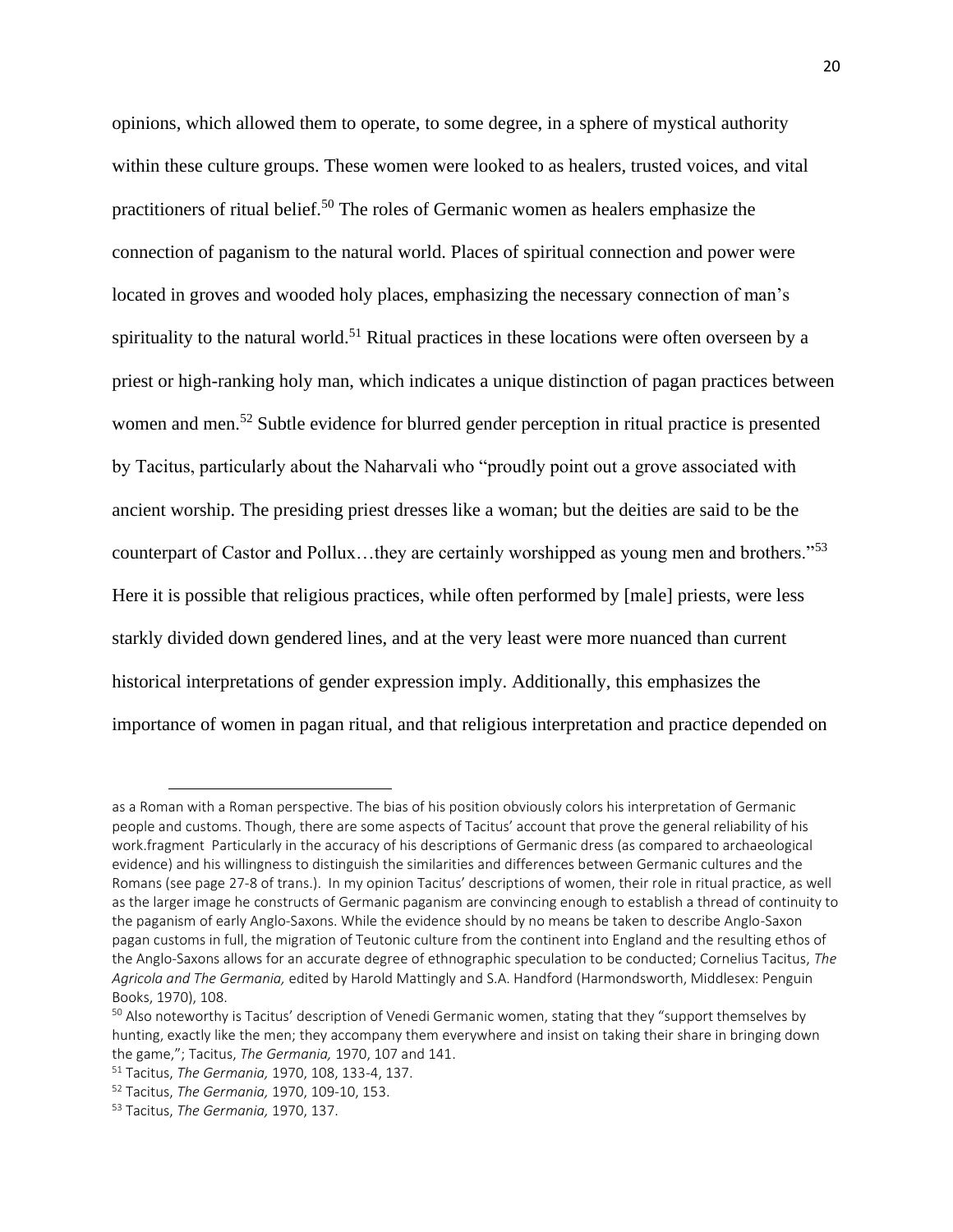opinions, which allowed them to operate, to some degree, in a sphere of mystical authority within these culture groups. These women were looked to as healers, trusted voices, and vital practitioners of ritual belief.<sup>50</sup> The roles of Germanic women as healers emphasize the connection of paganism to the natural world. Places of spiritual connection and power were located in groves and wooded holy places, emphasizing the necessary connection of man's spirituality to the natural world.<sup>51</sup> Ritual practices in these locations were often overseen by a priest or high-ranking holy man, which indicates a unique distinction of pagan practices between women and men.<sup>52</sup> Subtle evidence for blurred gender perception in ritual practice is presented by Tacitus, particularly about the Naharvali who "proudly point out a grove associated with ancient worship. The presiding priest dresses like a woman; but the deities are said to be the counterpart of Castor and Pollux…they are certainly worshipped as young men and brothers."<sup>53</sup> Here it is possible that religious practices, while often performed by [male] priests, were less starkly divided down gendered lines, and at the very least were more nuanced than current historical interpretations of gender expression imply. Additionally, this emphasizes the importance of women in pagan ritual, and that religious interpretation and practice depended on

as a Roman with a Roman perspective. The bias of his position obviously colors his interpretation of Germanic people and customs. Though, there are some aspects of Tacitus' account that prove the general reliability of his work.fragment Particularly in the accuracy of his descriptions of Germanic dress (as compared to archaeological evidence) and his willingness to distinguish the similarities and differences between Germanic cultures and the Romans (see page 27-8 of trans.). In my opinion Tacitus' descriptions of women, their role in ritual practice, as well as the larger image he constructs of Germanic paganism are convincing enough to establish a thread of continuity to the paganism of early Anglo-Saxons. While the evidence should by no means be taken to describe Anglo-Saxon pagan customs in full, the migration of Teutonic culture from the continent into England and the resulting ethos of the Anglo-Saxons allows for an accurate degree of ethnographic speculation to be conducted; Cornelius Tacitus, *The Agricola and The Germania,* edited by Harold Mattingly and S.A. Handford (Harmondsworth, Middlesex: Penguin Books, 1970), 108.

<sup>&</sup>lt;sup>50</sup> Also noteworthy is Tacitus' description of Venedi Germanic women, stating that they "support themselves by hunting, exactly like the men; they accompany them everywhere and insist on taking their share in bringing down the game,"; Tacitus, *The Germania,* 1970, 107 and 141.

<sup>51</sup> Tacitus, *The Germania,* 1970, 108, 133-4, 137.

<sup>52</sup> Tacitus, *The Germania,* 1970, 109-10, 153.

<sup>53</sup> Tacitus, *The Germania,* 1970, 137.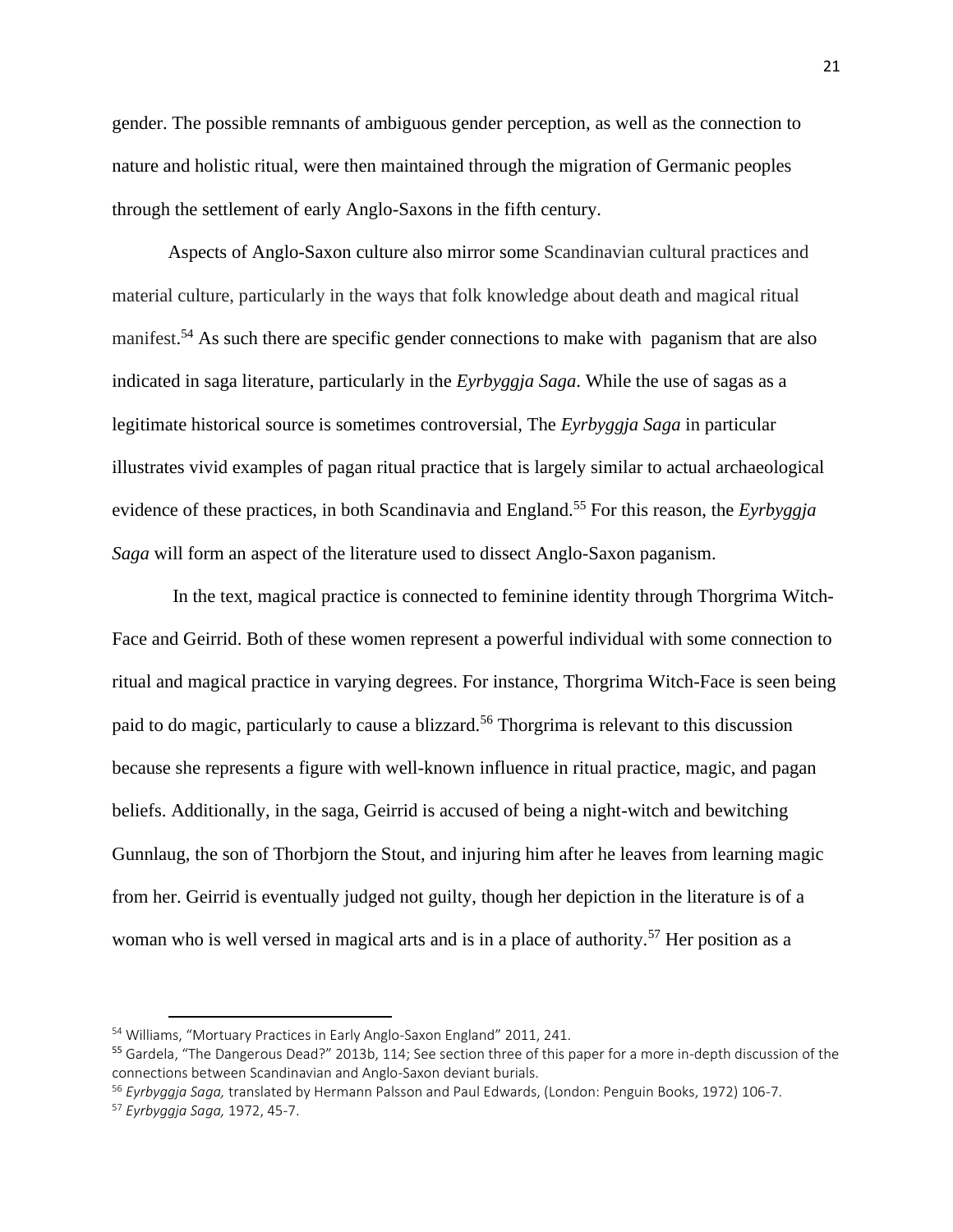gender. The possible remnants of ambiguous gender perception, as well as the connection to nature and holistic ritual, were then maintained through the migration of Germanic peoples through the settlement of early Anglo-Saxons in the fifth century.

Aspects of Anglo-Saxon culture also mirror some Scandinavian cultural practices and material culture, particularly in the ways that folk knowledge about death and magical ritual manifest.<sup>54</sup> As such there are specific gender connections to make with paganism that are also indicated in saga literature, particularly in the *Eyrbyggja Saga*. While the use of sagas as a legitimate historical source is sometimes controversial, The *Eyrbyggja Saga* in particular illustrates vivid examples of pagan ritual practice that is largely similar to actual archaeological evidence of these practices, in both Scandinavia and England.<sup>55</sup> For this reason, the *Eyrbyggja Saga* will form an aspect of the literature used to dissect Anglo-Saxon paganism.

In the text, magical practice is connected to feminine identity through Thorgrima Witch-Face and Geirrid. Both of these women represent a powerful individual with some connection to ritual and magical practice in varying degrees. For instance, Thorgrima Witch-Face is seen being paid to do magic, particularly to cause a blizzard.<sup>56</sup> Thorgrima is relevant to this discussion because she represents a figure with well-known influence in ritual practice, magic, and pagan beliefs. Additionally, in the saga, Geirrid is accused of being a night-witch and bewitching Gunnlaug, the son of Thorbjorn the Stout, and injuring him after he leaves from learning magic from her. Geirrid is eventually judged not guilty, though her depiction in the literature is of a woman who is well versed in magical arts and is in a place of authority.<sup>57</sup> Her position as a

<sup>54</sup> Williams, "Mortuary Practices in Early Anglo-Saxon England" 2011, 241.

<sup>&</sup>lt;sup>55</sup> Gardela, "The Dangerous Dead?" 2013b, 114; See section three of this paper for a more in-depth discussion of the connections between Scandinavian and Anglo-Saxon deviant burials.

<sup>56</sup> *Eyrbyggja Saga,* translated by Hermann Palsson and Paul Edwards, (London: Penguin Books, 1972) 106-7.

<sup>57</sup> *Eyrbyggja Saga,* 1972, 45-7.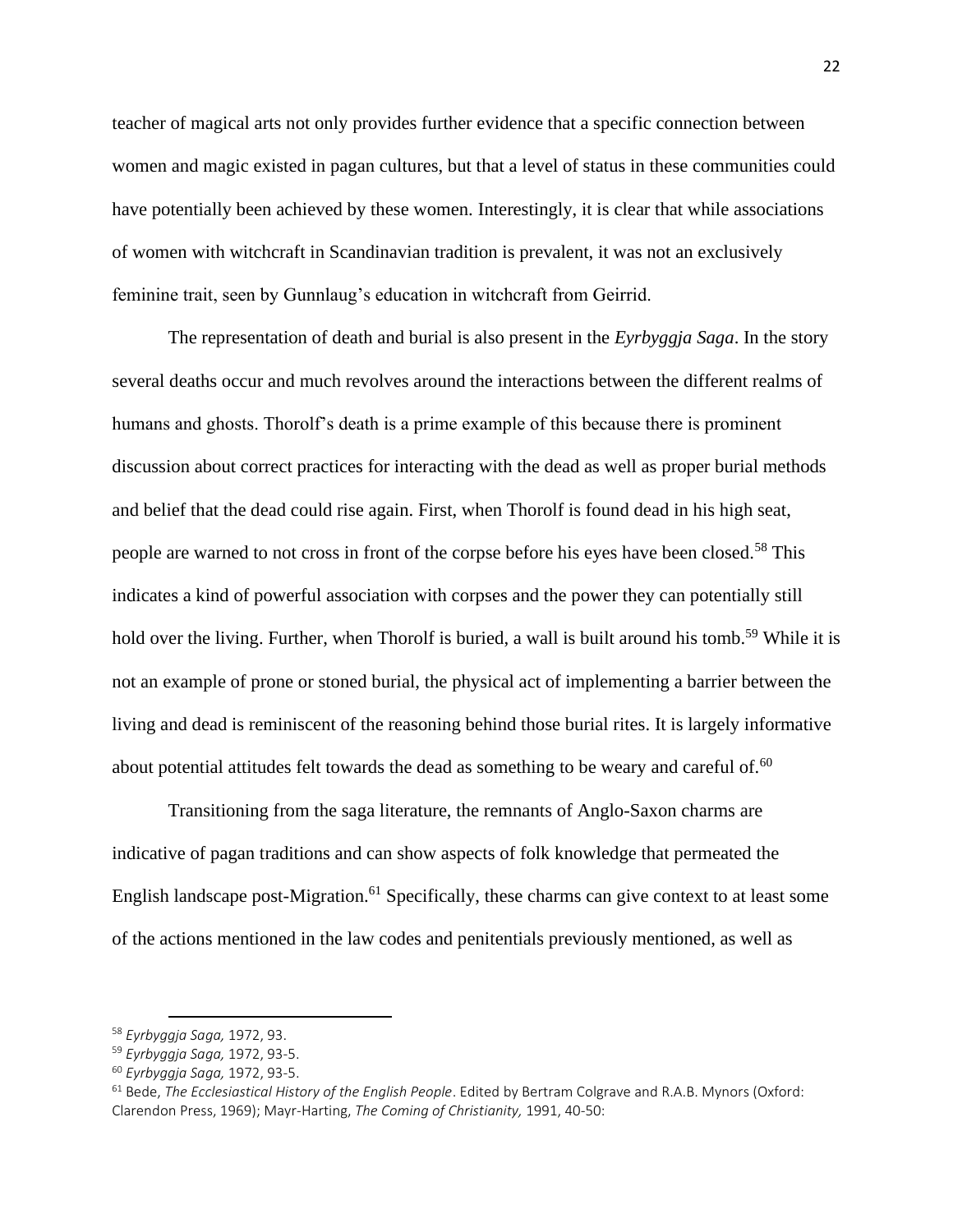teacher of magical arts not only provides further evidence that a specific connection between women and magic existed in pagan cultures, but that a level of status in these communities could have potentially been achieved by these women. Interestingly, it is clear that while associations of women with witchcraft in Scandinavian tradition is prevalent, it was not an exclusively feminine trait, seen by Gunnlaug's education in witchcraft from Geirrid.

The representation of death and burial is also present in the *Eyrbyggja Saga*. In the story several deaths occur and much revolves around the interactions between the different realms of humans and ghosts. Thorolf's death is a prime example of this because there is prominent discussion about correct practices for interacting with the dead as well as proper burial methods and belief that the dead could rise again. First, when Thorolf is found dead in his high seat, people are warned to not cross in front of the corpse before his eyes have been closed.<sup>58</sup> This indicates a kind of powerful association with corpses and the power they can potentially still hold over the living. Further, when Thorolf is buried, a wall is built around his tomb.<sup>59</sup> While it is not an example of prone or stoned burial, the physical act of implementing a barrier between the living and dead is reminiscent of the reasoning behind those burial rites. It is largely informative about potential attitudes felt towards the dead as something to be weary and careful of. $60$ 

Transitioning from the saga literature, the remnants of Anglo-Saxon charms are indicative of pagan traditions and can show aspects of folk knowledge that permeated the English landscape post-Migration.<sup>61</sup> Specifically, these charms can give context to at least some of the actions mentioned in the law codes and penitentials previously mentioned, as well as

<sup>58</sup> *Eyrbyggja Saga,* 1972, 93.

<sup>59</sup> *Eyrbyggja Saga,* 1972, 93-5.

<sup>60</sup> *Eyrbyggja Saga,* 1972, 93-5.

<sup>61</sup> Bede, *The Ecclesiastical History of the English People*. Edited by Bertram Colgrave and R.A.B. Mynors (Oxford: Clarendon Press, 1969); Mayr-Harting, *The Coming of Christianity,* 1991, 40-50: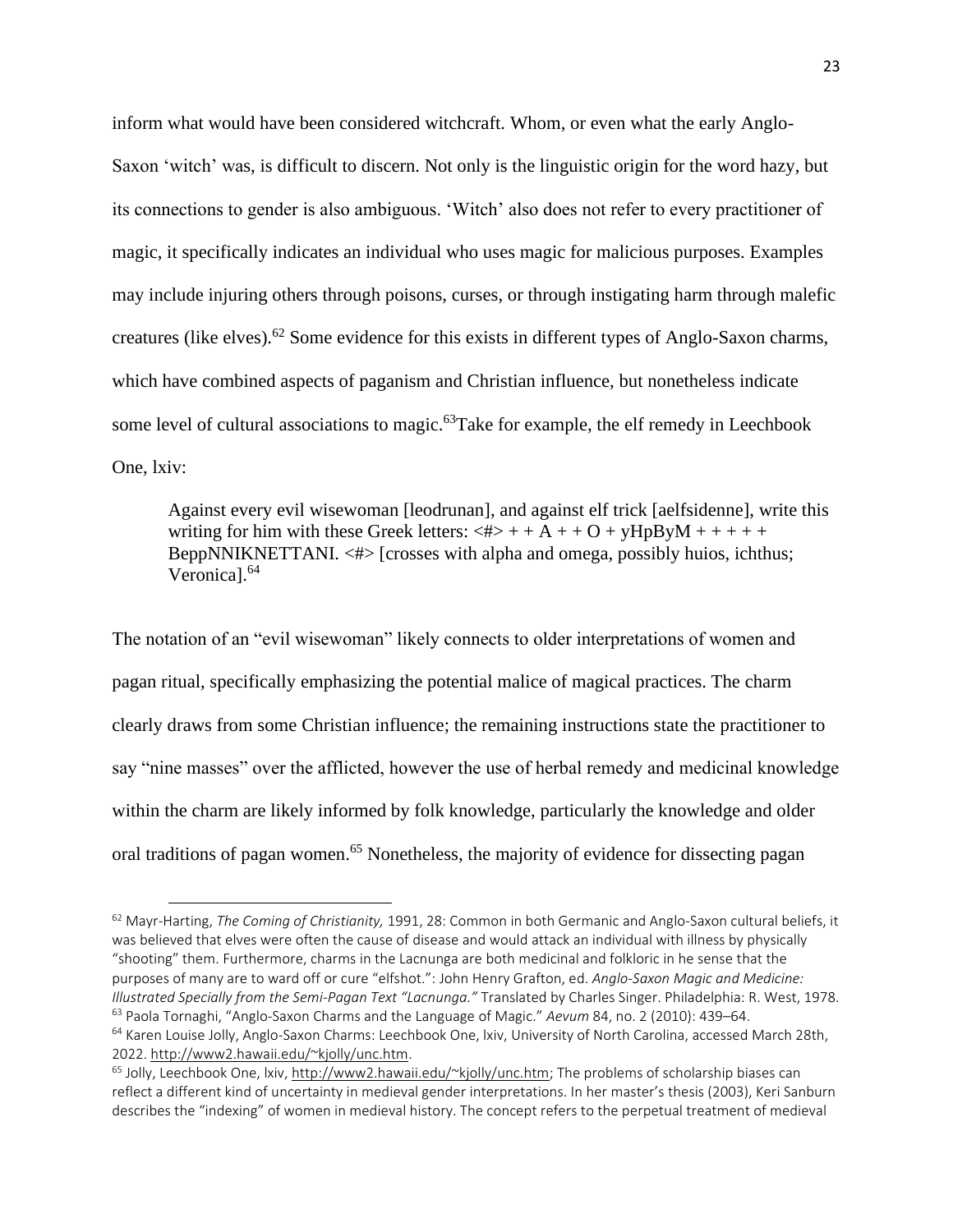inform what would have been considered witchcraft. Whom, or even what the early Anglo-Saxon 'witch' was, is difficult to discern. Not only is the linguistic origin for the word hazy, but its connections to gender is also ambiguous. 'Witch' also does not refer to every practitioner of magic, it specifically indicates an individual who uses magic for malicious purposes. Examples may include injuring others through poisons, curses, or through instigating harm through malefic creatures (like elves).<sup>62</sup> Some evidence for this exists in different types of Anglo-Saxon charms, which have combined aspects of paganism and Christian influence, but nonetheless indicate some level of cultural associations to magic.<sup>63</sup>Take for example, the elf remedy in Leechbook One, lxiv:

Against every evil wisewoman [leodrunan], and against elf trick [aelfsidenne], write this writing for him with these Greek letters:  $\langle # \rangle + + A + + O + \gamma HpB\gamma M + + + + +$ BeppNNIKNETTANI.  $\langle # \rangle$  [crosses with alpha and omega, possibly huios, ichthus; Veronical.<sup>64</sup>

The notation of an "evil wisewoman" likely connects to older interpretations of women and pagan ritual, specifically emphasizing the potential malice of magical practices. The charm clearly draws from some Christian influence; the remaining instructions state the practitioner to say "nine masses" over the afflicted, however the use of herbal remedy and medicinal knowledge within the charm are likely informed by folk knowledge, particularly the knowledge and older oral traditions of pagan women.<sup>65</sup> Nonetheless, the majority of evidence for dissecting pagan

<sup>62</sup> Mayr-Harting, *The Coming of Christianity,* 1991, 28: Common in both Germanic and Anglo-Saxon cultural beliefs, it was believed that elves were often the cause of disease and would attack an individual with illness by physically "shooting" them. Furthermore, charms in the Lacnunga are both medicinal and folkloric in he sense that the purposes of many are to ward off or cure "elfshot.": John Henry Grafton, ed. *Anglo-Saxon Magic and Medicine: Illustrated Specially from the Semi-Pagan Text "Lacnunga."* Translated by Charles Singer. Philadelphia: R. West, 1978. <sup>63</sup> Paola Tornaghi, "Anglo-Saxon Charms and the Language of Magic." *Aevum* 84, no. 2 (2010): 439–64. <sup>64</sup> Karen Louise Jolly, Anglo-Saxon Charms: Leechbook One, lxiv, University of North Carolina, accessed March 28th, 2022. [http://www2.hawaii.edu/~kjolly/unc.htm.](http://www2.hawaii.edu/~kjolly/unc.htm)

<sup>&</sup>lt;sup>65</sup> Jolly, Leechbook One, lxiv[, http://www2.hawaii.edu/~kjolly/unc.htm;](http://www2.hawaii.edu/~kjolly/unc.htm) The problems of scholarship biases can reflect a different kind of uncertainty in medieval gender interpretations. In her master's thesis (2003), Keri Sanburn describes the "indexing" of women in medieval history. The concept refers to the perpetual treatment of medieval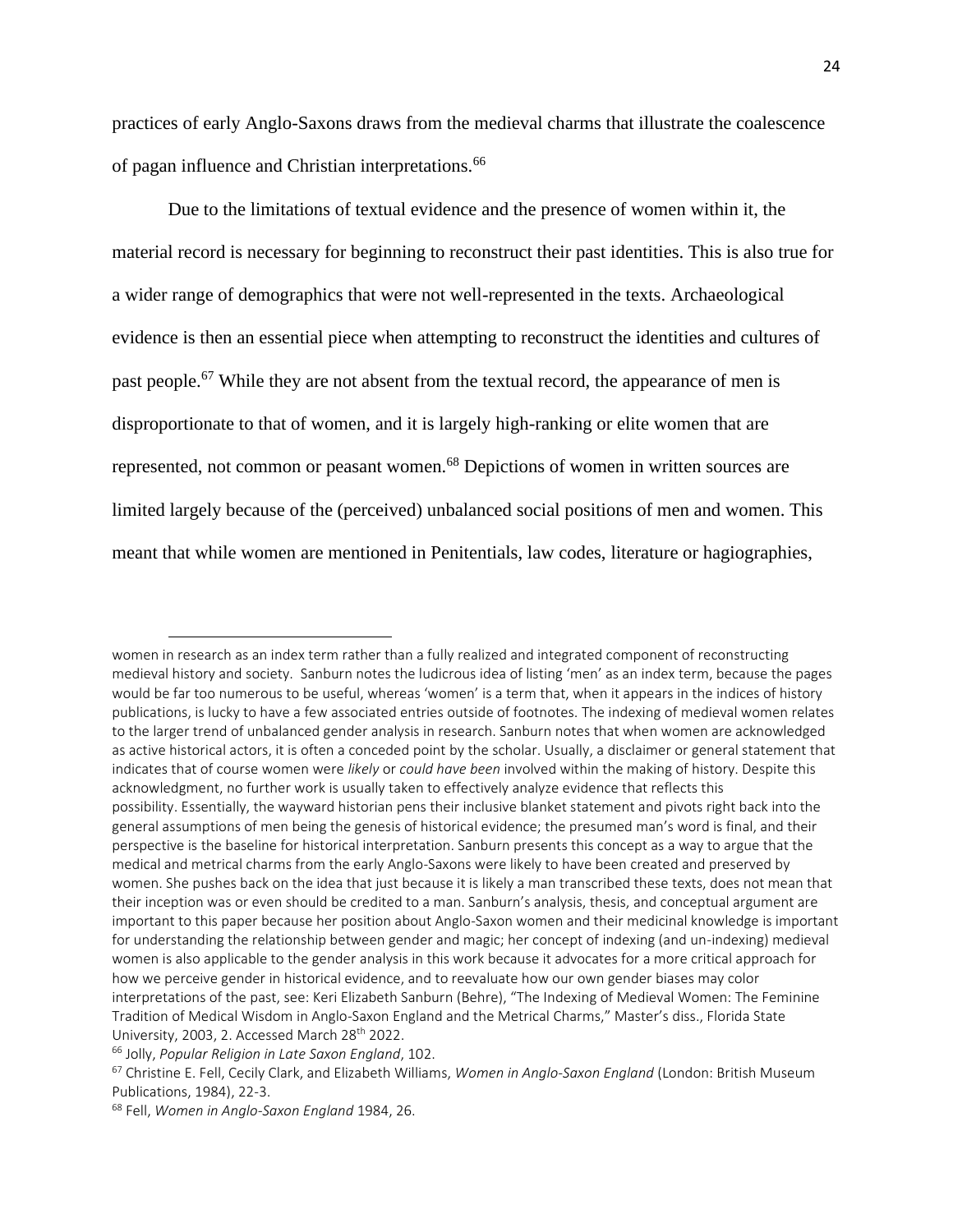practices of early Anglo-Saxons draws from the medieval charms that illustrate the coalescence of pagan influence and Christian interpretations.<sup>66</sup>

Due to the limitations of textual evidence and the presence of women within it, the material record is necessary for beginning to reconstruct their past identities. This is also true for a wider range of demographics that were not well-represented in the texts. Archaeological evidence is then an essential piece when attempting to reconstruct the identities and cultures of past people.<sup>67</sup> While they are not absent from the textual record, the appearance of men is disproportionate to that of women, and it is largely high-ranking or elite women that are represented, not common or peasant women.<sup>68</sup> Depictions of women in written sources are limited largely because of the (perceived) unbalanced social positions of men and women. This meant that while women are mentioned in Penitentials, law codes, literature or hagiographies,

women in research as an index term rather than a fully realized and integrated component of reconstructing medieval history and society. Sanburn notes the ludicrous idea of listing 'men' as an index term, because the pages would be far too numerous to be useful, whereas 'women' is a term that, when it appears in the indices of history publications, is lucky to have a few associated entries outside of footnotes. The indexing of medieval women relates to the larger trend of unbalanced gender analysis in research. Sanburn notes that when women are acknowledged as active historical actors, it is often a conceded point by the scholar. Usually, a disclaimer or general statement that indicates that of course women were *likely* or *could have been* involved within the making of history. Despite this acknowledgment, no further work is usually taken to effectively analyze evidence that reflects this possibility. Essentially, the wayward historian pens their inclusive blanket statement and pivots right back into the general assumptions of men being the genesis of historical evidence; the presumed man's word is final, and their perspective is the baseline for historical interpretation. Sanburn presents this concept as a way to argue that the medical and metrical charms from the early Anglo-Saxons were likely to have been created and preserved by women. She pushes back on the idea that just because it is likely a man transcribed these texts, does not mean that their inception was or even should be credited to a man. Sanburn's analysis, thesis, and conceptual argument are important to this paper because her position about Anglo-Saxon women and their medicinal knowledge is important for understanding the relationship between gender and magic; her concept of indexing (and un-indexing) medieval women is also applicable to the gender analysis in this work because it advocates for a more critical approach for how we perceive gender in historical evidence, and to reevaluate how our own gender biases may color interpretations of the past, see: Keri Elizabeth Sanburn (Behre), "The Indexing of Medieval Women: The Feminine Tradition of Medical Wisdom in Anglo-Saxon England and the Metrical Charms," Master's diss., Florida State University, 2003, 2. Accessed March 28<sup>th</sup> 2022.

<sup>66</sup> Jolly, *Popular Religion in Late Saxon England*, 102.

<sup>67</sup> Christine E. Fell, Cecily Clark, and Elizabeth Williams, *Women in Anglo-Saxon England* (London: British Museum Publications, 1984), 22-3.

<sup>68</sup> Fell, *Women in Anglo-Saxon England* 1984, 26.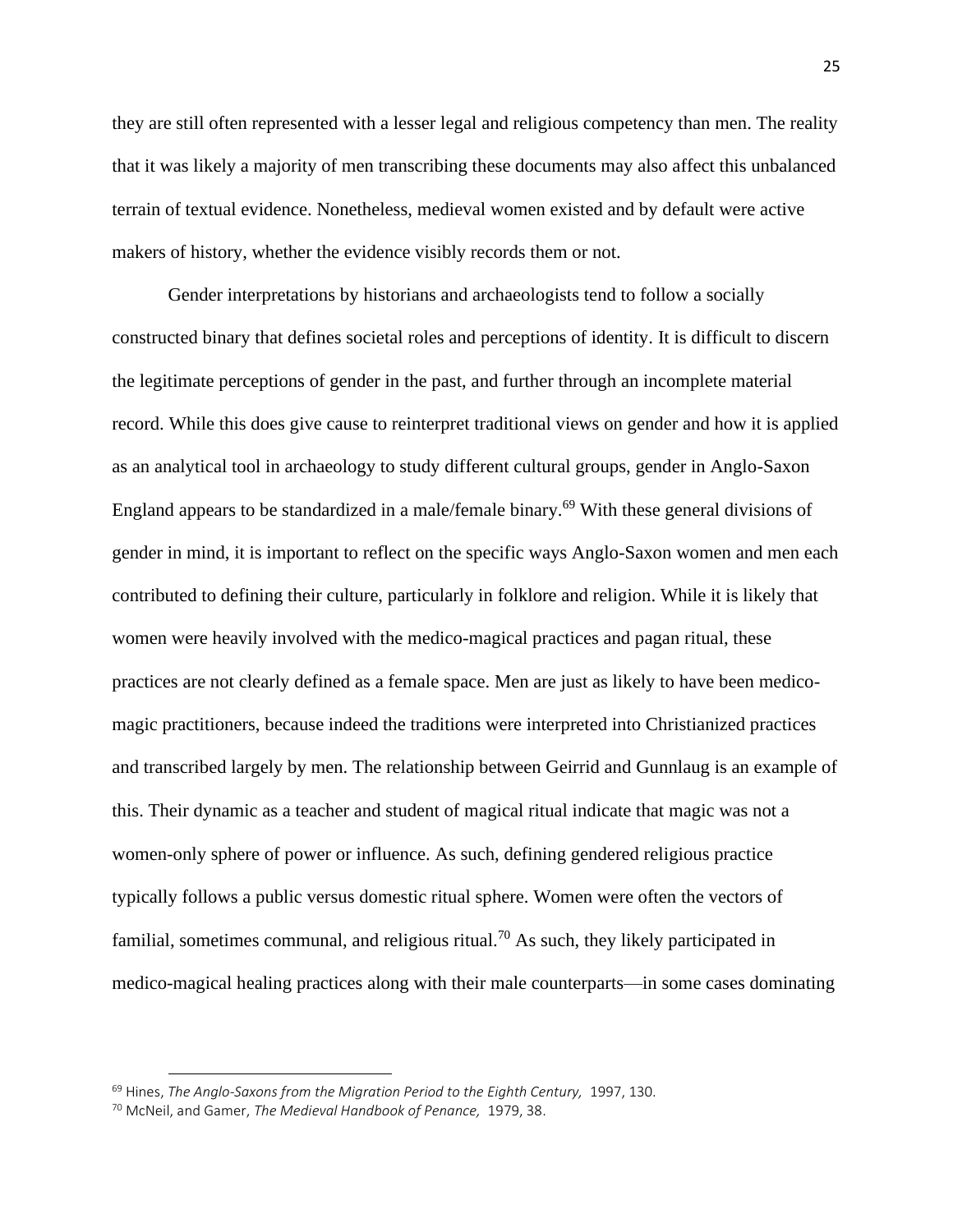they are still often represented with a lesser legal and religious competency than men. The reality that it was likely a majority of men transcribing these documents may also affect this unbalanced terrain of textual evidence. Nonetheless, medieval women existed and by default were active makers of history, whether the evidence visibly records them or not.

Gender interpretations by historians and archaeologists tend to follow a socially constructed binary that defines societal roles and perceptions of identity. It is difficult to discern the legitimate perceptions of gender in the past, and further through an incomplete material record. While this does give cause to reinterpret traditional views on gender and how it is applied as an analytical tool in archaeology to study different cultural groups, gender in Anglo-Saxon England appears to be standardized in a male/female binary.<sup>69</sup> With these general divisions of gender in mind, it is important to reflect on the specific ways Anglo-Saxon women and men each contributed to defining their culture, particularly in folklore and religion. While it is likely that women were heavily involved with the medico-magical practices and pagan ritual, these practices are not clearly defined as a female space. Men are just as likely to have been medicomagic practitioners, because indeed the traditions were interpreted into Christianized practices and transcribed largely by men. The relationship between Geirrid and Gunnlaug is an example of this. Their dynamic as a teacher and student of magical ritual indicate that magic was not a women-only sphere of power or influence. As such, defining gendered religious practice typically follows a public versus domestic ritual sphere. Women were often the vectors of familial, sometimes communal, and religious ritual.<sup>70</sup> As such, they likely participated in medico-magical healing practices along with their male counterparts—in some cases dominating

<sup>&</sup>lt;sup>69</sup> Hines, *The Anglo-Saxons from the Migration Period to the Eighth Century, 1997, 130.* 

<sup>70</sup> McNeil, and Gamer, *The Medieval Handbook of Penance,* 1979, 38.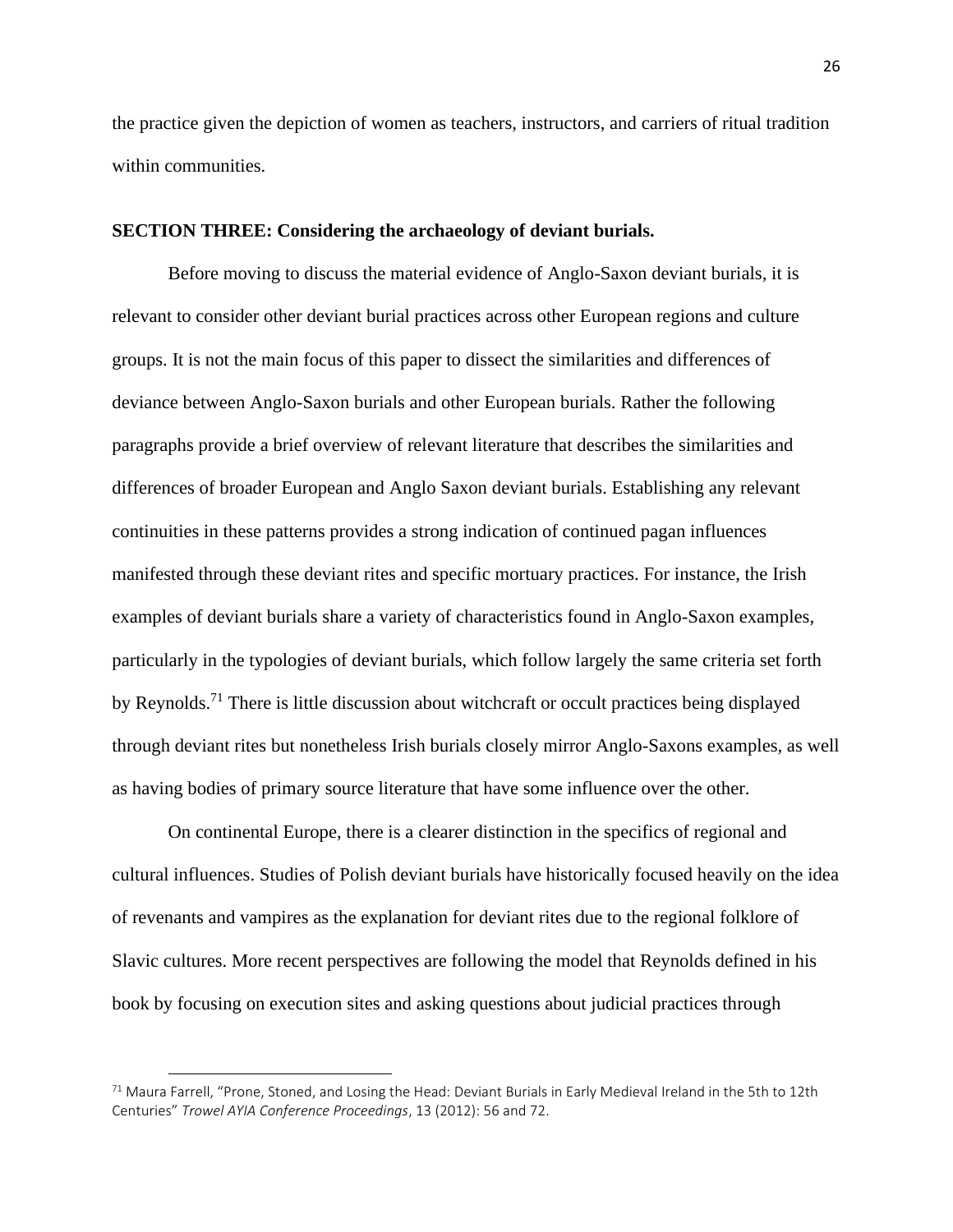the practice given the depiction of women as teachers, instructors, and carriers of ritual tradition within communities.

#### **SECTION THREE: Considering the archaeology of deviant burials.**

Before moving to discuss the material evidence of Anglo-Saxon deviant burials, it is relevant to consider other deviant burial practices across other European regions and culture groups. It is not the main focus of this paper to dissect the similarities and differences of deviance between Anglo-Saxon burials and other European burials. Rather the following paragraphs provide a brief overview of relevant literature that describes the similarities and differences of broader European and Anglo Saxon deviant burials. Establishing any relevant continuities in these patterns provides a strong indication of continued pagan influences manifested through these deviant rites and specific mortuary practices. For instance, the Irish examples of deviant burials share a variety of characteristics found in Anglo-Saxon examples, particularly in the typologies of deviant burials, which follow largely the same criteria set forth by Reynolds.<sup>71</sup> There is little discussion about witchcraft or occult practices being displayed through deviant rites but nonetheless Irish burials closely mirror Anglo-Saxons examples, as well as having bodies of primary source literature that have some influence over the other.

On continental Europe, there is a clearer distinction in the specifics of regional and cultural influences. Studies of Polish deviant burials have historically focused heavily on the idea of revenants and vampires as the explanation for deviant rites due to the regional folklore of Slavic cultures. More recent perspectives are following the model that Reynolds defined in his book by focusing on execution sites and asking questions about judicial practices through

 $71$  Maura Farrell, "Prone, Stoned, and Losing the Head: Deviant Burials in Early Medieval Ireland in the 5th to 12th Centuries" *Trowel AYIA Conference Proceedings*, 13 (2012): 56 and 72.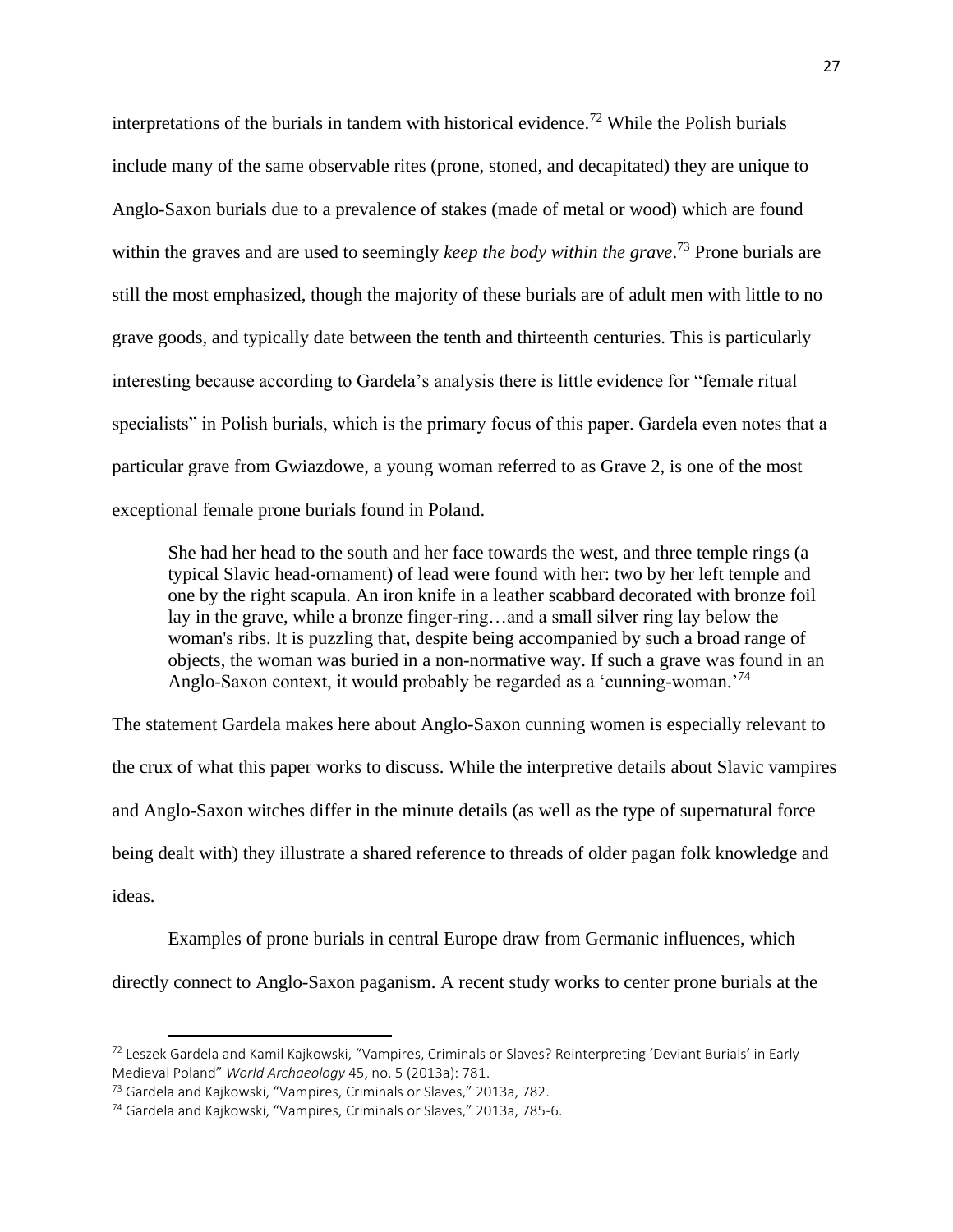interpretations of the burials in tandem with historical evidence.<sup>72</sup> While the Polish burials include many of the same observable rites (prone, stoned, and decapitated) they are unique to Anglo-Saxon burials due to a prevalence of stakes (made of metal or wood) which are found within the graves and are used to seemingly *keep the body within the grave*. <sup>73</sup> Prone burials are still the most emphasized, though the majority of these burials are of adult men with little to no grave goods, and typically date between the tenth and thirteenth centuries. This is particularly interesting because according to Gardela's analysis there is little evidence for "female ritual specialists" in Polish burials, which is the primary focus of this paper. Gardela even notes that a particular grave from Gwiazdowe, a young woman referred to as Grave 2, is one of the most exceptional female prone burials found in Poland.

She had her head to the south and her face towards the west, and three temple rings (a typical Slavic head-ornament) of lead were found with her: two by her left temple and one by the right scapula. An iron knife in a leather scabbard decorated with bronze foil lay in the grave, while a bronze finger-ring…and a small silver ring lay below the woman's ribs. It is puzzling that, despite being accompanied by such a broad range of objects, the woman was buried in a non-normative way. If such a grave was found in an Anglo-Saxon context, it would probably be regarded as a 'cunning-woman.<sup>74</sup>

The statement Gardela makes here about Anglo-Saxon cunning women is especially relevant to the crux of what this paper works to discuss. While the interpretive details about Slavic vampires and Anglo-Saxon witches differ in the minute details (as well as the type of supernatural force being dealt with) they illustrate a shared reference to threads of older pagan folk knowledge and ideas.

Examples of prone burials in central Europe draw from Germanic influences, which directly connect to Anglo-Saxon paganism. A recent study works to center prone burials at the

<sup>72</sup> Leszek Gardela and Kamil Kajkowski, "Vampires, Criminals or Slaves? Reinterpreting 'Deviant Burials' in Early Medieval Poland" *World Archaeology* 45, no. 5 (2013a): 781.

<sup>73</sup> Gardela and Kajkowski, "Vampires, Criminals or Slaves," 2013a, 782.

<sup>74</sup> Gardela and Kajkowski, "Vampires, Criminals or Slaves," 2013a, 785-6.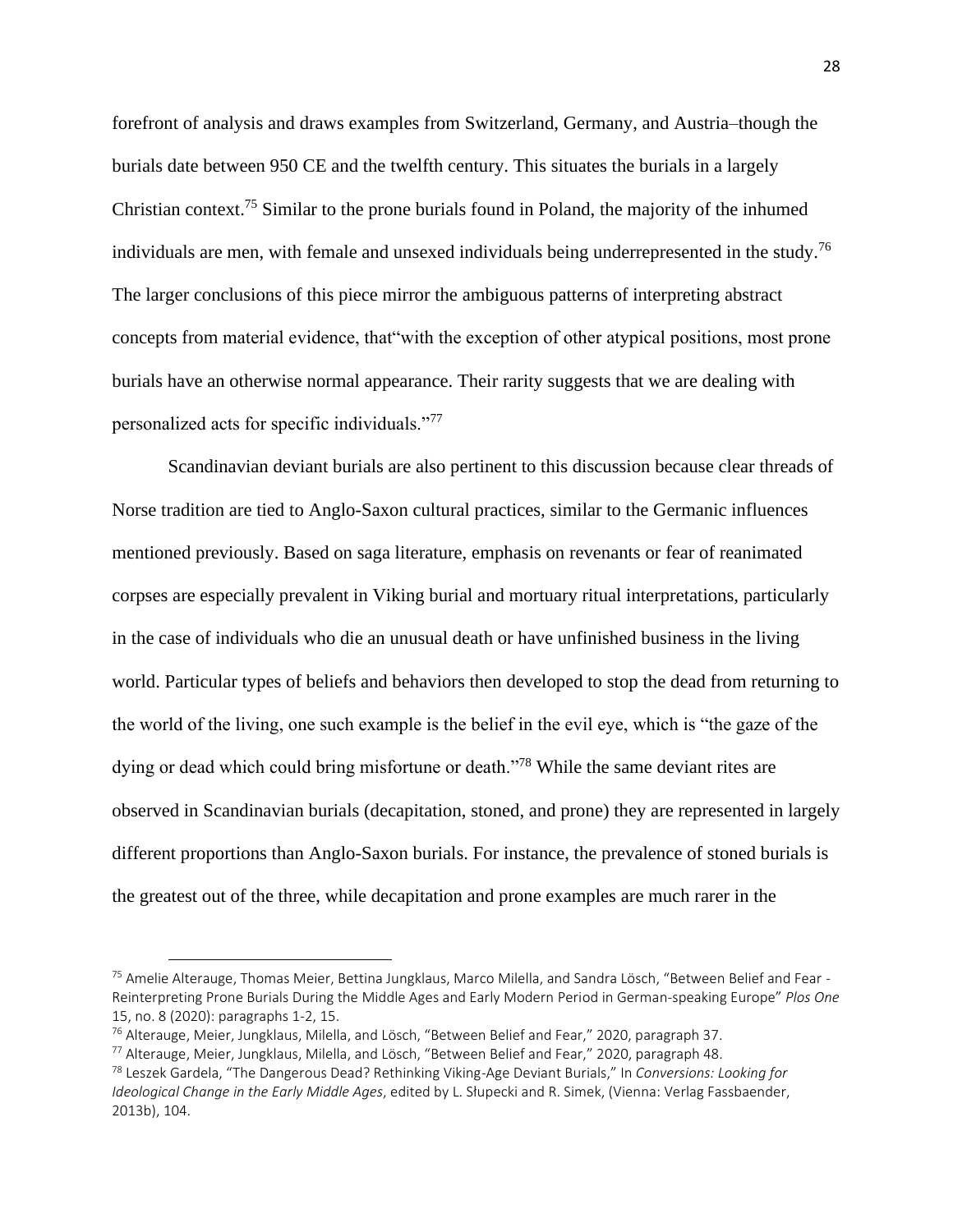forefront of analysis and draws examples from Switzerland, Germany, and Austria–though the burials date between 950 CE and the twelfth century. This situates the burials in a largely Christian context.<sup>75</sup> Similar to the prone burials found in Poland, the majority of the inhumed individuals are men, with female and unsexed individuals being underrepresented in the study.<sup>76</sup> The larger conclusions of this piece mirror the ambiguous patterns of interpreting abstract concepts from material evidence, that"with the exception of other atypical positions, most prone burials have an otherwise normal appearance. Their rarity suggests that we are dealing with personalized acts for specific individuals."<sup>77</sup>

Scandinavian deviant burials are also pertinent to this discussion because clear threads of Norse tradition are tied to Anglo-Saxon cultural practices, similar to the Germanic influences mentioned previously. Based on saga literature, emphasis on revenants or fear of reanimated corpses are especially prevalent in Viking burial and mortuary ritual interpretations, particularly in the case of individuals who die an unusual death or have unfinished business in the living world. Particular types of beliefs and behaviors then developed to stop the dead from returning to the world of the living, one such example is the belief in the evil eye, which is "the gaze of the dying or dead which could bring misfortune or death."<sup>78</sup> While the same deviant rites are observed in Scandinavian burials (decapitation, stoned, and prone) they are represented in largely different proportions than Anglo-Saxon burials. For instance, the prevalence of stoned burials is the greatest out of the three, while decapitation and prone examples are much rarer in the

<sup>75</sup> Amelie Alterauge, Thomas Meier, Bettina Jungklaus, Marco Milella, and Sandra Lösch, "Between Belief and Fear -Reinterpreting Prone Burials During the Middle Ages and Early Modern Period in German-speaking Europe" *Plos One* 15, no. 8 (2020): paragraphs 1-2, 15.

<sup>76</sup> Alterauge, Meier, Jungklaus, Milella, and Lösch, "Between Belief and Fear," 2020, paragraph 37.

<sup>77</sup> Alterauge, Meier, Jungklaus, Milella, and Lösch, "Between Belief and Fear," 2020, paragraph 48.

<sup>78</sup> Leszek Gardela, "The Dangerous Dead? Rethinking Viking-Age Deviant Burials," In *Conversions: Looking for Ideological Change in the Early Middle Ages*, edited by L. Słupecki and R. Simek, (Vienna: Verlag Fassbaender, 2013b), 104.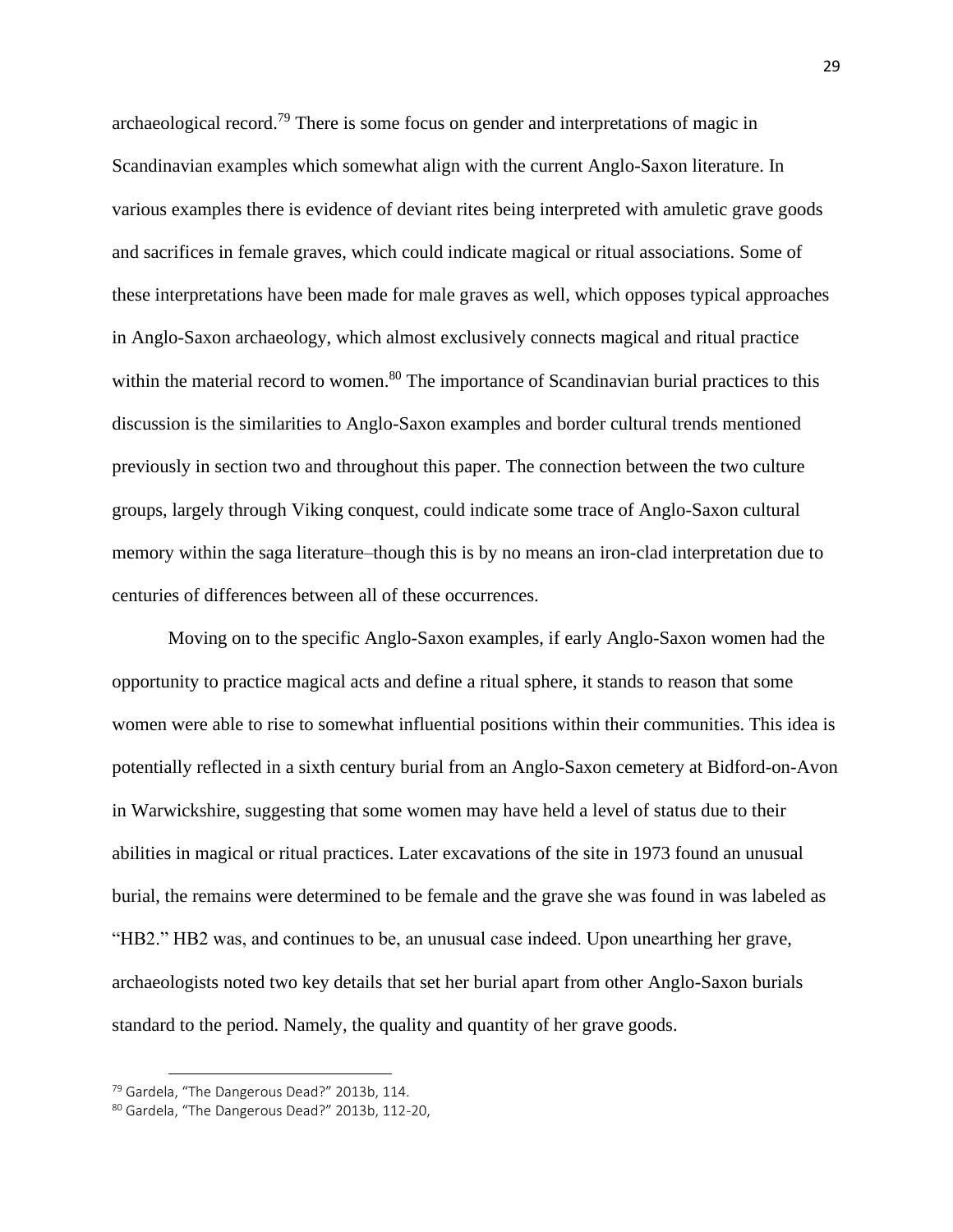archaeological record.<sup>79</sup> There is some focus on gender and interpretations of magic in Scandinavian examples which somewhat align with the current Anglo-Saxon literature. In various examples there is evidence of deviant rites being interpreted with amuletic grave goods and sacrifices in female graves, which could indicate magical or ritual associations. Some of these interpretations have been made for male graves as well, which opposes typical approaches in Anglo-Saxon archaeology, which almost exclusively connects magical and ritual practice within the material record to women.<sup>80</sup> The importance of Scandinavian burial practices to this discussion is the similarities to Anglo-Saxon examples and border cultural trends mentioned previously in section two and throughout this paper. The connection between the two culture groups, largely through Viking conquest, could indicate some trace of Anglo-Saxon cultural memory within the saga literature–though this is by no means an iron-clad interpretation due to centuries of differences between all of these occurrences.

Moving on to the specific Anglo-Saxon examples, if early Anglo-Saxon women had the opportunity to practice magical acts and define a ritual sphere, it stands to reason that some women were able to rise to somewhat influential positions within their communities. This idea is potentially reflected in a sixth century burial from an Anglo-Saxon cemetery at Bidford-on-Avon in Warwickshire, suggesting that some women may have held a level of status due to their abilities in magical or ritual practices. Later excavations of the site in 1973 found an unusual burial, the remains were determined to be female and the grave she was found in was labeled as "HB2." HB2 was, and continues to be, an unusual case indeed. Upon unearthing her grave, archaeologists noted two key details that set her burial apart from other Anglo-Saxon burials standard to the period. Namely, the quality and quantity of her grave goods.

<sup>79</sup> Gardela, "The Dangerous Dead?" 2013b, 114.

<sup>80</sup> Gardela, "The Dangerous Dead?" 2013b, 112-20,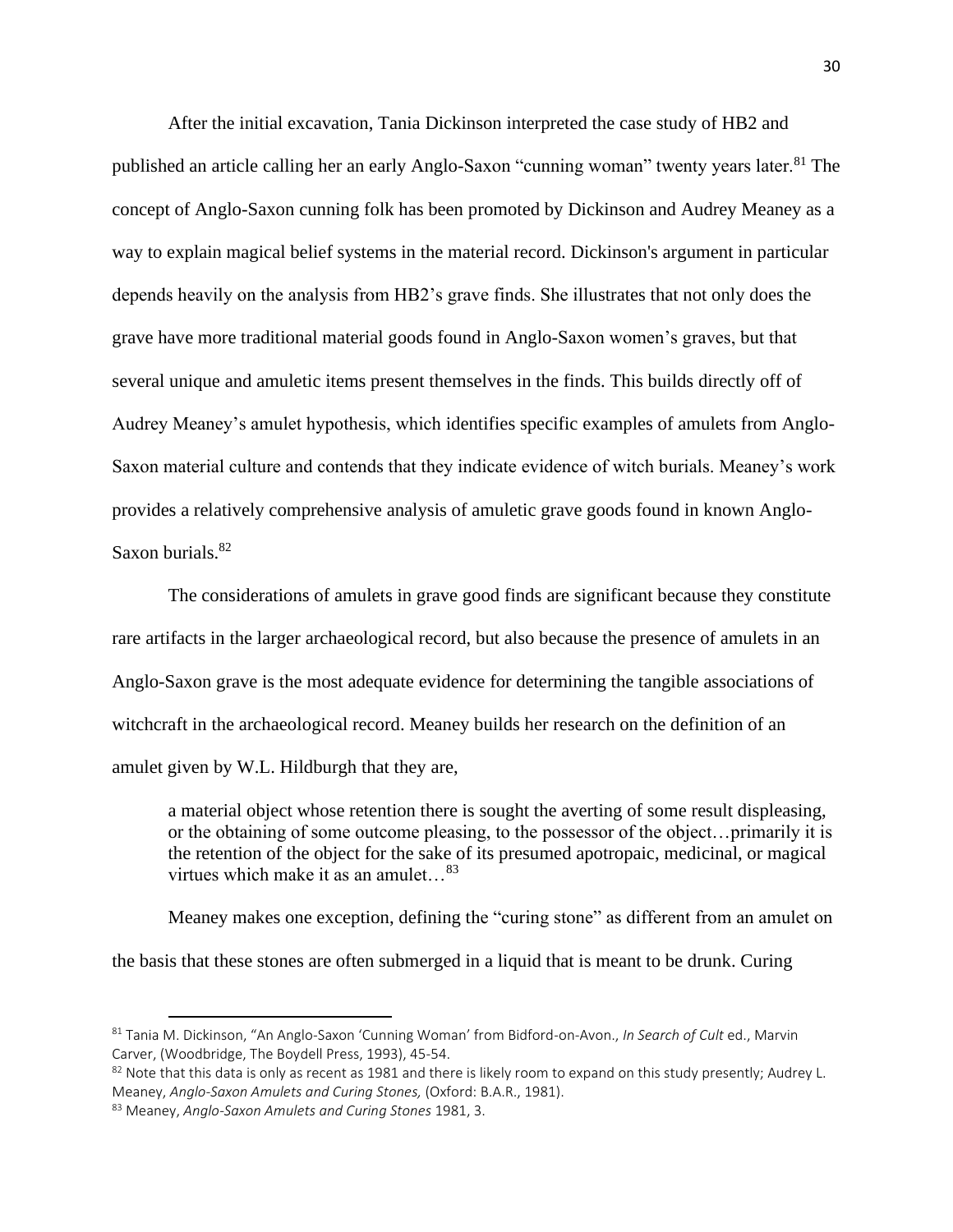After the initial excavation, Tania Dickinson interpreted the case study of HB2 and published an article calling her an early Anglo-Saxon "cunning woman" twenty years later.<sup>81</sup> The concept of Anglo-Saxon cunning folk has been promoted by Dickinson and Audrey Meaney as a way to explain magical belief systems in the material record. Dickinson's argument in particular depends heavily on the analysis from HB2's grave finds. She illustrates that not only does the grave have more traditional material goods found in Anglo-Saxon women's graves, but that several unique and amuletic items present themselves in the finds. This builds directly off of Audrey Meaney's amulet hypothesis, which identifies specific examples of amulets from Anglo-Saxon material culture and contends that they indicate evidence of witch burials. Meaney's work provides a relatively comprehensive analysis of amuletic grave goods found in known Anglo-Saxon burials.<sup>82</sup>

The considerations of amulets in grave good finds are significant because they constitute rare artifacts in the larger archaeological record, but also because the presence of amulets in an Anglo-Saxon grave is the most adequate evidence for determining the tangible associations of witchcraft in the archaeological record. Meaney builds her research on the definition of an amulet given by W.L. Hildburgh that they are,

a material object whose retention there is sought the averting of some result displeasing, or the obtaining of some outcome pleasing, to the possessor of the object…primarily it is the retention of the object for the sake of its presumed apotropaic, medicinal, or magical virtues which make it as an amulet…<sup>83</sup>

Meaney makes one exception, defining the "curing stone" as different from an amulet on the basis that these stones are often submerged in a liquid that is meant to be drunk. Curing

<sup>81</sup> Tania M. Dickinson, "An Anglo-Saxon 'Cunning Woman' from Bidford-on-Avon., *In Search of Cult* ed., Marvin Carver, (Woodbridge, The Boydell Press, 1993), 45-54.

 $82$  Note that this data is only as recent as 1981 and there is likely room to expand on this study presently; Audrey L. Meaney, *Anglo-Saxon Amulets and Curing Stones,* (Oxford: B.A.R., 1981).

<sup>83</sup> Meaney, *Anglo-Saxon Amulets and Curing Stones* 1981, 3.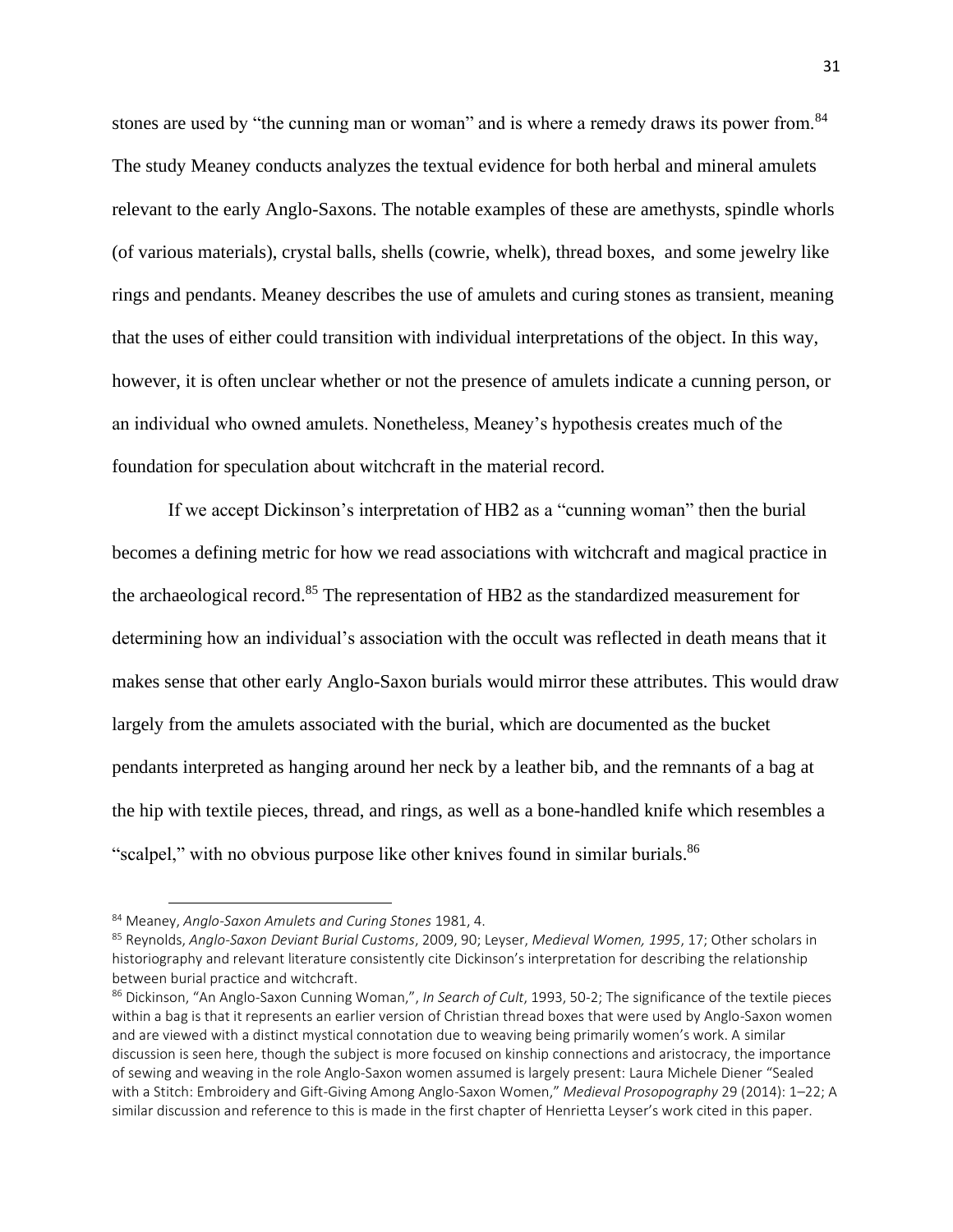stones are used by "the cunning man or woman" and is where a remedy draws its power from.<sup>84</sup> The study Meaney conducts analyzes the textual evidence for both herbal and mineral amulets relevant to the early Anglo-Saxons. The notable examples of these are amethysts, spindle whorls (of various materials), crystal balls, shells (cowrie, whelk), thread boxes, and some jewelry like rings and pendants. Meaney describes the use of amulets and curing stones as transient, meaning that the uses of either could transition with individual interpretations of the object. In this way, however, it is often unclear whether or not the presence of amulets indicate a cunning person, or an individual who owned amulets. Nonetheless, Meaney's hypothesis creates much of the foundation for speculation about witchcraft in the material record.

If we accept Dickinson's interpretation of HB2 as a "cunning woman" then the burial becomes a defining metric for how we read associations with witchcraft and magical practice in the archaeological record.<sup>85</sup> The representation of HB2 as the standardized measurement for determining how an individual's association with the occult was reflected in death means that it makes sense that other early Anglo-Saxon burials would mirror these attributes. This would draw largely from the amulets associated with the burial, which are documented as the bucket pendants interpreted as hanging around her neck by a leather bib, and the remnants of a bag at the hip with textile pieces, thread, and rings, as well as a bone-handled knife which resembles a "scalpel," with no obvious purpose like other knives found in similar burials.<sup>86</sup>

<sup>84</sup> Meaney, *Anglo-Saxon Amulets and Curing Stones* 1981, 4.

<sup>85</sup> Reynolds, *Anglo-Saxon Deviant Burial Customs*, 2009, 90; Leyser, *Medieval Women, 1995*, 17; Other scholars in historiography and relevant literature consistently cite Dickinson's interpretation for describing the relationship between burial practice and witchcraft.

<sup>86</sup> Dickinson, "An Anglo-Saxon Cunning Woman,", *In Search of Cult*, 1993, 50-2; The significance of the textile pieces within a bag is that it represents an earlier version of Christian thread boxes that were used by Anglo-Saxon women and are viewed with a distinct mystical connotation due to weaving being primarily women's work. A similar discussion is seen here, though the subject is more focused on kinship connections and aristocracy, the importance of sewing and weaving in the role Anglo-Saxon women assumed is largely present: Laura Michele Diener "Sealed with a Stitch: Embroidery and Gift-Giving Among Anglo-Saxon Women," *Medieval Prosopography* 29 (2014): 1–22; A similar discussion and reference to this is made in the first chapter of Henrietta Leyser's work cited in this paper.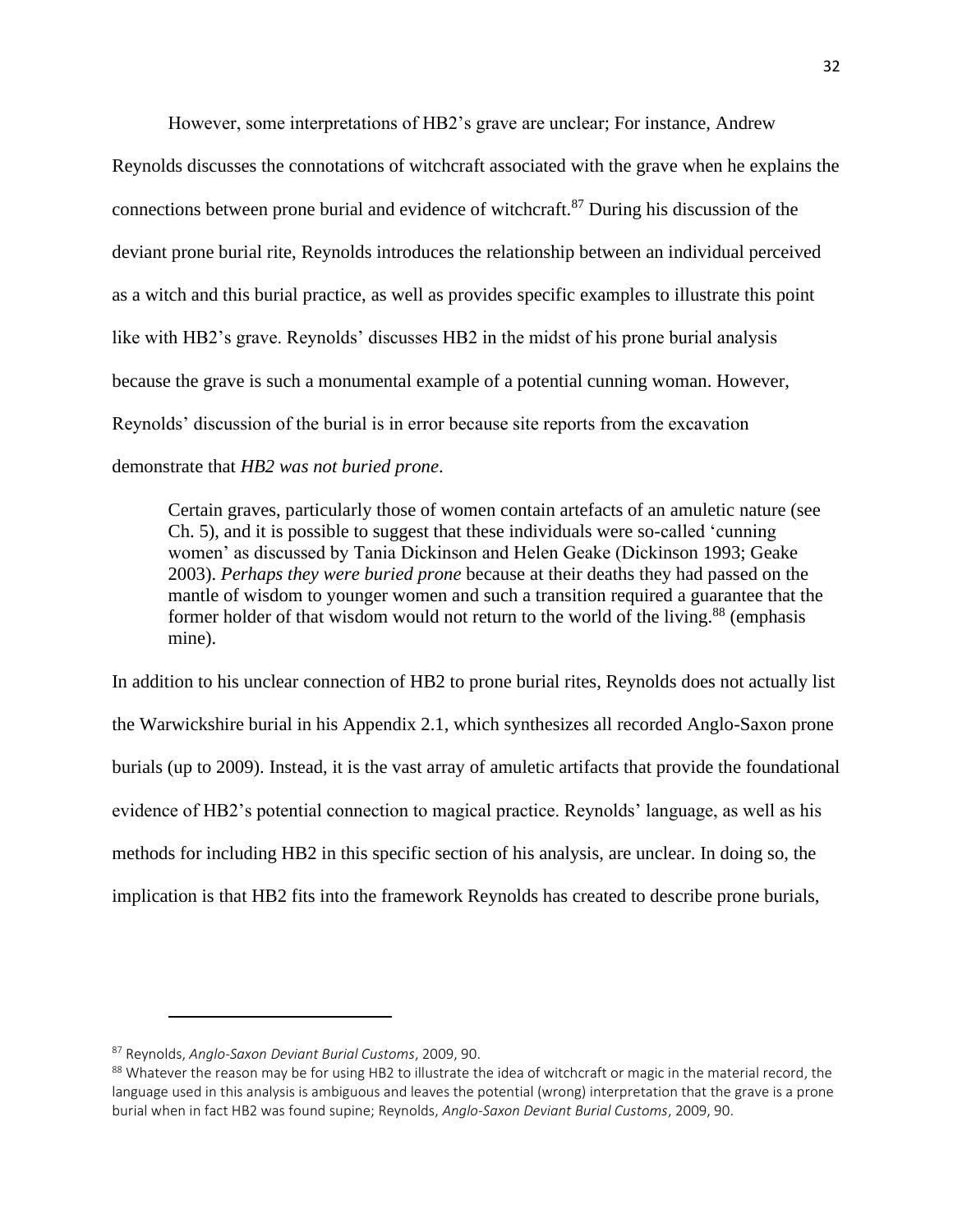However, some interpretations of HB2's grave are unclear; For instance, Andrew

Reynolds discusses the connotations of witchcraft associated with the grave when he explains the connections between prone burial and evidence of witchcraft.<sup>87</sup> During his discussion of the deviant prone burial rite, Reynolds introduces the relationship between an individual perceived as a witch and this burial practice, as well as provides specific examples to illustrate this point like with HB2's grave. Reynolds' discusses HB2 in the midst of his prone burial analysis because the grave is such a monumental example of a potential cunning woman. However, Reynolds' discussion of the burial is in error because site reports from the excavation demonstrate that *HB2 was not buried prone*.

Certain graves, particularly those of women contain artefacts of an amuletic nature (see Ch. 5), and it is possible to suggest that these individuals were so-called 'cunning women' as discussed by Tania Dickinson and Helen Geake (Dickinson 1993; Geake 2003). *Perhaps they were buried prone* because at their deaths they had passed on the mantle of wisdom to younger women and such a transition required a guarantee that the former holder of that wisdom would not return to the world of the living.<sup>88</sup> (emphasis mine).

In addition to his unclear connection of HB2 to prone burial rites, Reynolds does not actually list the Warwickshire burial in his Appendix 2.1, which synthesizes all recorded Anglo-Saxon prone burials (up to 2009). Instead, it is the vast array of amuletic artifacts that provide the foundational evidence of HB2's potential connection to magical practice. Reynolds' language, as well as his methods for including HB2 in this specific section of his analysis, are unclear. In doing so, the implication is that HB2 fits into the framework Reynolds has created to describe prone burials,

<sup>87</sup> Reynolds, *Anglo-Saxon Deviant Burial Customs*, 2009, 90.

<sup>88</sup> Whatever the reason may be for using HB2 to illustrate the idea of witchcraft or magic in the material record, the language used in this analysis is ambiguous and leaves the potential (wrong) interpretation that the grave is a prone burial when in fact HB2 was found supine; Reynolds, *Anglo-Saxon Deviant Burial Customs*, 2009, 90.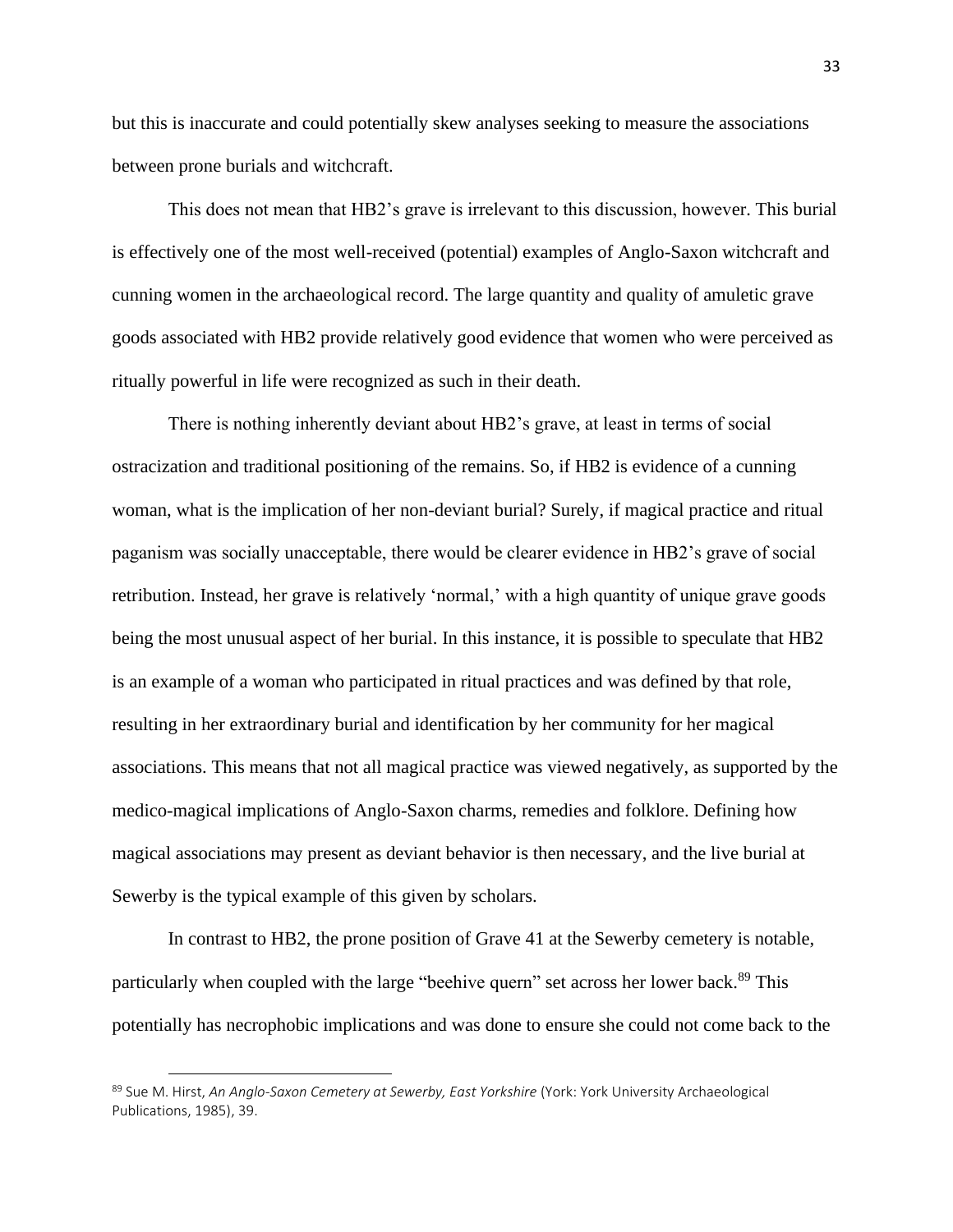but this is inaccurate and could potentially skew analyses seeking to measure the associations between prone burials and witchcraft.

This does not mean that HB2's grave is irrelevant to this discussion, however. This burial is effectively one of the most well-received (potential) examples of Anglo-Saxon witchcraft and cunning women in the archaeological record. The large quantity and quality of amuletic grave goods associated with HB2 provide relatively good evidence that women who were perceived as ritually powerful in life were recognized as such in their death.

There is nothing inherently deviant about HB2's grave, at least in terms of social ostracization and traditional positioning of the remains. So, if HB2 is evidence of a cunning woman, what is the implication of her non-deviant burial? Surely, if magical practice and ritual paganism was socially unacceptable, there would be clearer evidence in HB2's grave of social retribution. Instead, her grave is relatively 'normal,' with a high quantity of unique grave goods being the most unusual aspect of her burial. In this instance, it is possible to speculate that HB2 is an example of a woman who participated in ritual practices and was defined by that role, resulting in her extraordinary burial and identification by her community for her magical associations. This means that not all magical practice was viewed negatively, as supported by the medico-magical implications of Anglo-Saxon charms, remedies and folklore. Defining how magical associations may present as deviant behavior is then necessary, and the live burial at Sewerby is the typical example of this given by scholars.

In contrast to HB2, the prone position of Grave 41 at the Sewerby cemetery is notable, particularly when coupled with the large "beehive quern" set across her lower back.<sup>89</sup> This potentially has necrophobic implications and was done to ensure she could not come back to the

<sup>89</sup> Sue M. Hirst, *An Anglo-Saxon Cemetery at Sewerby, East Yorkshire* (York: York University Archaeological Publications, 1985), 39.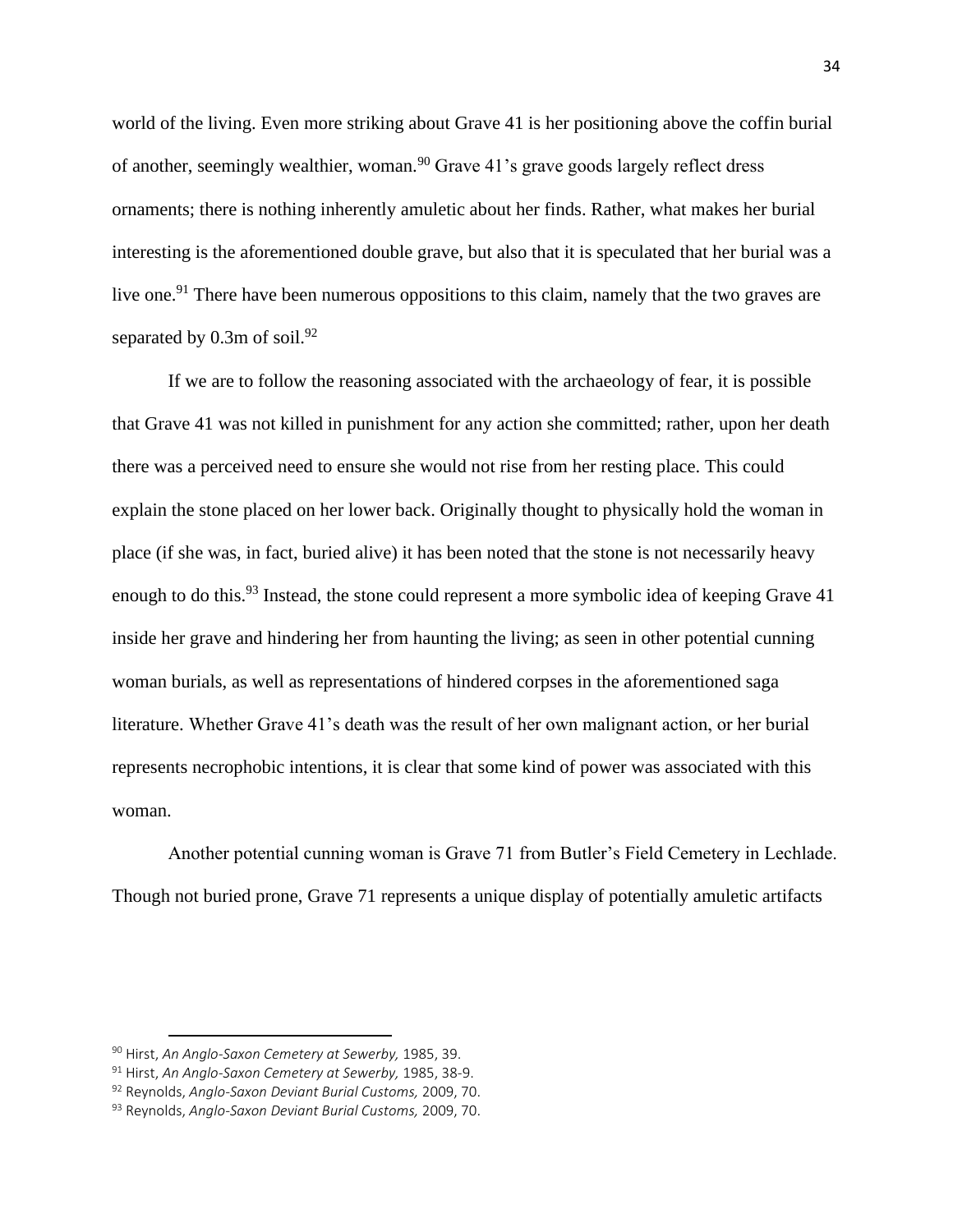world of the living. Even more striking about Grave 41 is her positioning above the coffin burial of another, seemingly wealthier, woman.<sup>90</sup> Grave 41's grave goods largely reflect dress ornaments; there is nothing inherently amuletic about her finds. Rather, what makes her burial interesting is the aforementioned double grave, but also that it is speculated that her burial was a live one.<sup>91</sup> There have been numerous oppositions to this claim, namely that the two graves are separated by  $0.3$ m of soil.<sup>92</sup>

If we are to follow the reasoning associated with the archaeology of fear, it is possible that Grave 41 was not killed in punishment for any action she committed; rather, upon her death there was a perceived need to ensure she would not rise from her resting place. This could explain the stone placed on her lower back. Originally thought to physically hold the woman in place (if she was, in fact, buried alive) it has been noted that the stone is not necessarily heavy enough to do this.<sup>93</sup> Instead, the stone could represent a more symbolic idea of keeping Grave 41 inside her grave and hindering her from haunting the living; as seen in other potential cunning woman burials, as well as representations of hindered corpses in the aforementioned saga literature. Whether Grave 41's death was the result of her own malignant action, or her burial represents necrophobic intentions, it is clear that some kind of power was associated with this woman.

Another potential cunning woman is Grave 71 from Butler's Field Cemetery in Lechlade. Though not buried prone, Grave 71 represents a unique display of potentially amuletic artifacts

<sup>90</sup> Hirst, *An Anglo-Saxon Cemetery at Sewerby,* 1985, 39.

<sup>91</sup> Hirst, *An Anglo-Saxon Cemetery at Sewerby,* 1985, 38-9.

<sup>92</sup> Reynolds, *Anglo-Saxon Deviant Burial Customs,* 2009, 70.

<sup>93</sup> Reynolds, *Anglo-Saxon Deviant Burial Customs,* 2009, 70.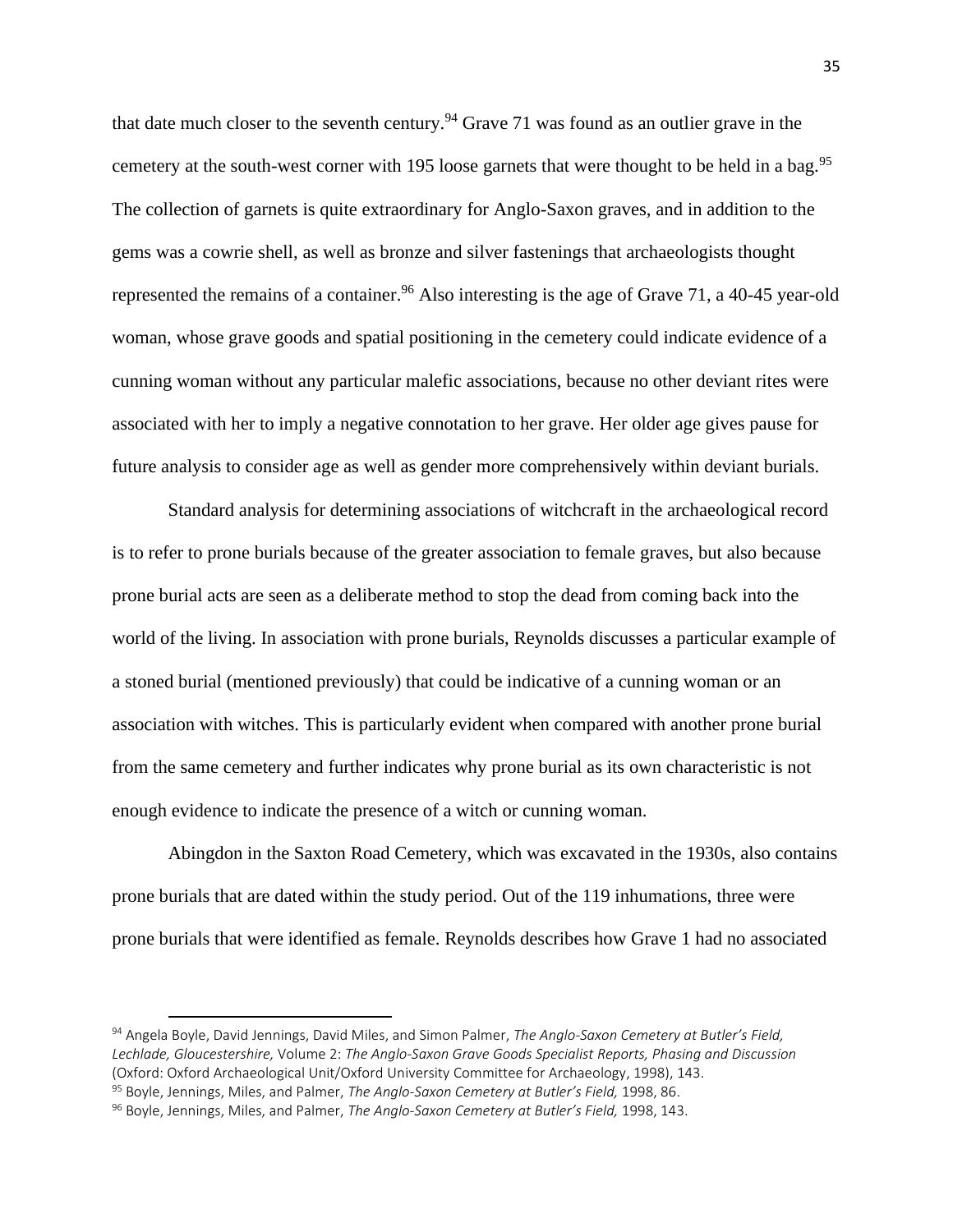that date much closer to the seventh century.<sup>94</sup> Grave 71 was found as an outlier grave in the cemetery at the south-west corner with 195 loose garnets that were thought to be held in a bag.<sup>95</sup> The collection of garnets is quite extraordinary for Anglo-Saxon graves, and in addition to the gems was a cowrie shell, as well as bronze and silver fastenings that archaeologists thought represented the remains of a container.<sup>96</sup> Also interesting is the age of Grave 71, a 40-45 year-old woman, whose grave goods and spatial positioning in the cemetery could indicate evidence of a cunning woman without any particular malefic associations, because no other deviant rites were associated with her to imply a negative connotation to her grave. Her older age gives pause for future analysis to consider age as well as gender more comprehensively within deviant burials.

Standard analysis for determining associations of witchcraft in the archaeological record is to refer to prone burials because of the greater association to female graves, but also because prone burial acts are seen as a deliberate method to stop the dead from coming back into the world of the living. In association with prone burials, Reynolds discusses a particular example of a stoned burial (mentioned previously) that could be indicative of a cunning woman or an association with witches. This is particularly evident when compared with another prone burial from the same cemetery and further indicates why prone burial as its own characteristic is not enough evidence to indicate the presence of a witch or cunning woman.

Abingdon in the Saxton Road Cemetery, which was excavated in the 1930s, also contains prone burials that are dated within the study period. Out of the 119 inhumations, three were prone burials that were identified as female. Reynolds describes how Grave 1 had no associated

<sup>94</sup> Angela Boyle, David Jennings, David Miles, and Simon Palmer, *The Anglo-Saxon Cemetery at Butler's Field, Lechlade, Gloucestershire,* Volume 2: *The Anglo-Saxon Grave Goods Specialist Reports, Phasing and Discussion*  (Oxford: Oxford Archaeological Unit/Oxford University Committee for Archaeology, 1998), 143. <sup>95</sup> Boyle, Jennings, Miles, and Palmer, *The Anglo-Saxon Cemetery at Butler's Field,* 1998, 86.

<sup>96</sup> Boyle, Jennings, Miles, and Palmer, *The Anglo-Saxon Cemetery at Butler's Field,* 1998, 143.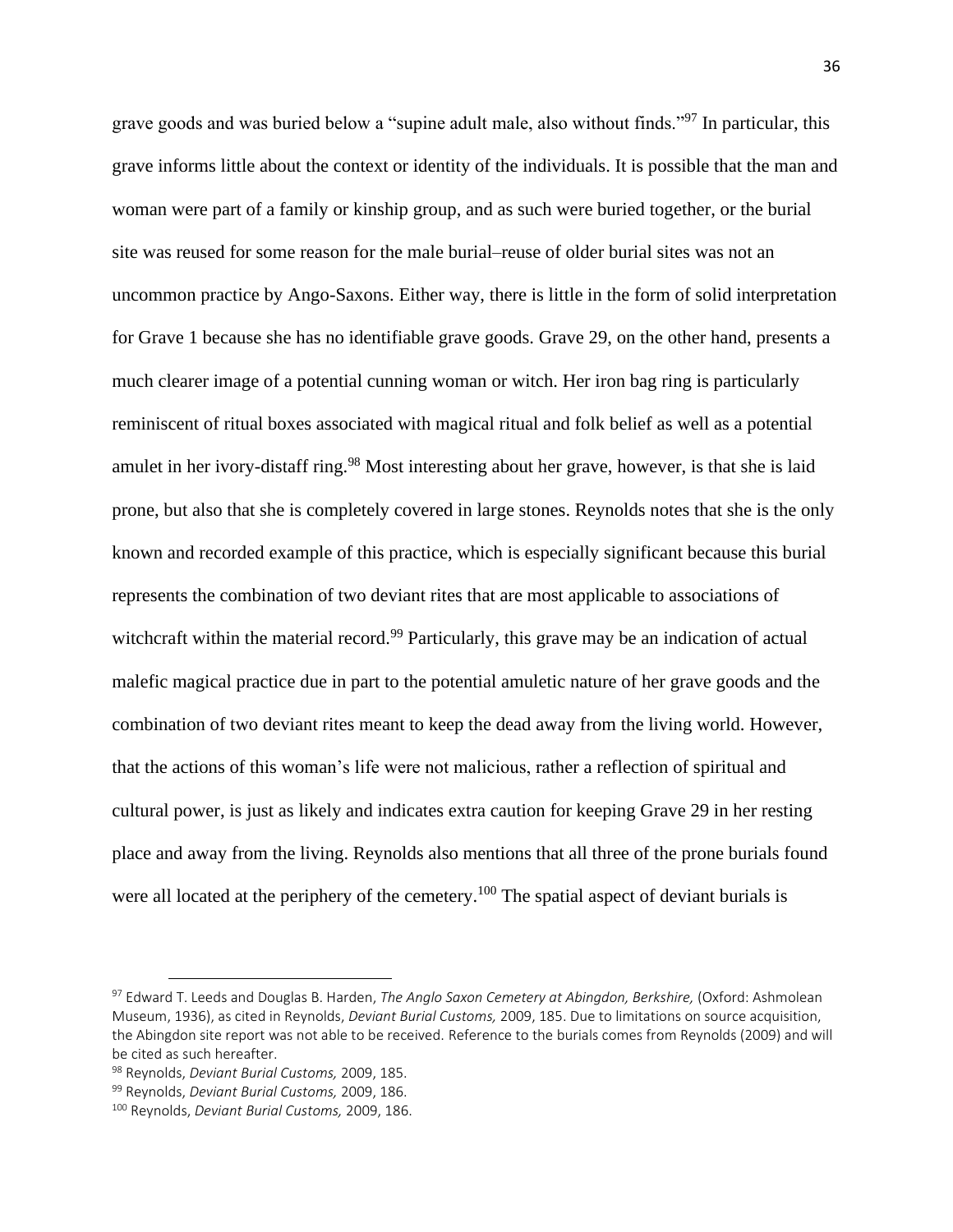grave goods and was buried below a "supine adult male, also without finds."<sup>97</sup> In particular, this grave informs little about the context or identity of the individuals. It is possible that the man and woman were part of a family or kinship group, and as such were buried together, or the burial site was reused for some reason for the male burial–reuse of older burial sites was not an uncommon practice by Ango-Saxons. Either way, there is little in the form of solid interpretation for Grave 1 because she has no identifiable grave goods. Grave 29, on the other hand, presents a much clearer image of a potential cunning woman or witch. Her iron bag ring is particularly reminiscent of ritual boxes associated with magical ritual and folk belief as well as a potential amulet in her ivory-distaff ring.<sup>98</sup> Most interesting about her grave, however, is that she is laid prone, but also that she is completely covered in large stones. Reynolds notes that she is the only known and recorded example of this practice, which is especially significant because this burial represents the combination of two deviant rites that are most applicable to associations of witchcraft within the material record.<sup>99</sup> Particularly, this grave may be an indication of actual malefic magical practice due in part to the potential amuletic nature of her grave goods and the combination of two deviant rites meant to keep the dead away from the living world. However, that the actions of this woman's life were not malicious, rather a reflection of spiritual and cultural power, is just as likely and indicates extra caution for keeping Grave 29 in her resting place and away from the living. Reynolds also mentions that all three of the prone burials found were all located at the periphery of the cemetery.<sup>100</sup> The spatial aspect of deviant burials is

<sup>97</sup> Edward T. Leeds and Douglas B. Harden, *The Anglo Saxon Cemetery at Abingdon, Berkshire,* (Oxford: Ashmolean Museum, 1936), as cited in Reynolds, *Deviant Burial Customs,* 2009, 185. Due to limitations on source acquisition, the Abingdon site report was not able to be received. Reference to the burials comes from Reynolds (2009) and will be cited as such hereafter.

<sup>98</sup> Reynolds, *Deviant Burial Customs,* 2009, 185.

<sup>99</sup> Reynolds, *Deviant Burial Customs,* 2009, 186.

<sup>100</sup> Reynolds, *Deviant Burial Customs,* 2009, 186.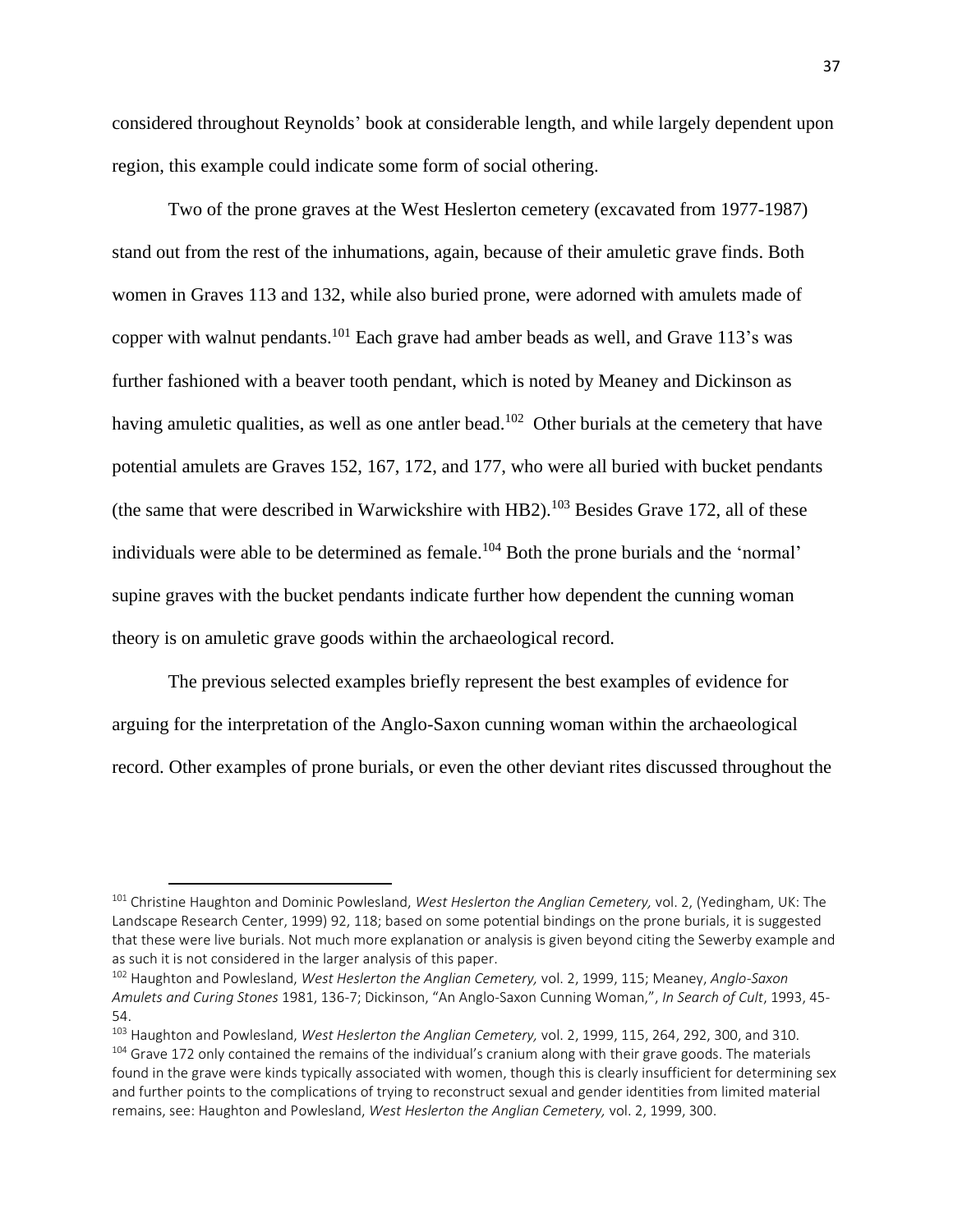considered throughout Reynolds' book at considerable length, and while largely dependent upon region, this example could indicate some form of social othering.

Two of the prone graves at the West Heslerton cemetery (excavated from 1977-1987) stand out from the rest of the inhumations, again, because of their amuletic grave finds. Both women in Graves 113 and 132, while also buried prone, were adorned with amulets made of copper with walnut pendants.<sup>101</sup> Each grave had amber beads as well, and Grave 113's was further fashioned with a beaver tooth pendant, which is noted by Meaney and Dickinson as having amuletic qualities, as well as one antler bead.<sup>102</sup> Other burials at the cemetery that have potential amulets are Graves 152, 167, 172, and 177, who were all buried with bucket pendants (the same that were described in Warwickshire with HB2).<sup>103</sup> Besides Grave 172, all of these individuals were able to be determined as female.<sup>104</sup> Both the prone burials and the 'normal' supine graves with the bucket pendants indicate further how dependent the cunning woman theory is on amuletic grave goods within the archaeological record.

The previous selected examples briefly represent the best examples of evidence for arguing for the interpretation of the Anglo-Saxon cunning woman within the archaeological record. Other examples of prone burials, or even the other deviant rites discussed throughout the

<sup>101</sup> Christine Haughton and Dominic Powlesland, *West Heslerton the Anglian Cemetery,* vol. 2, (Yedingham, UK: The Landscape Research Center, 1999) 92, 118; based on some potential bindings on the prone burials, it is suggested that these were live burials. Not much more explanation or analysis is given beyond citing the Sewerby example and as such it is not considered in the larger analysis of this paper.

<sup>102</sup> Haughton and Powlesland, *West Heslerton the Anglian Cemetery,* vol. 2, 1999, 115; Meaney, *Anglo-Saxon Amulets and Curing Stones* 1981, 136-7; Dickinson, "An Anglo-Saxon Cunning Woman,", *In Search of Cult*, 1993, 45- 54.

<sup>103</sup> Haughton and Powlesland, *West Heslerton the Anglian Cemetery,* vol. 2, 1999, 115, 264, 292, 300, and 310. <sup>104</sup> Grave 172 only contained the remains of the individual's cranium along with their grave goods. The materials found in the grave were kinds typically associated with women, though this is clearly insufficient for determining sex and further points to the complications of trying to reconstruct sexual and gender identities from limited material remains, see: Haughton and Powlesland, *West Heslerton the Anglian Cemetery,* vol. 2, 1999, 300.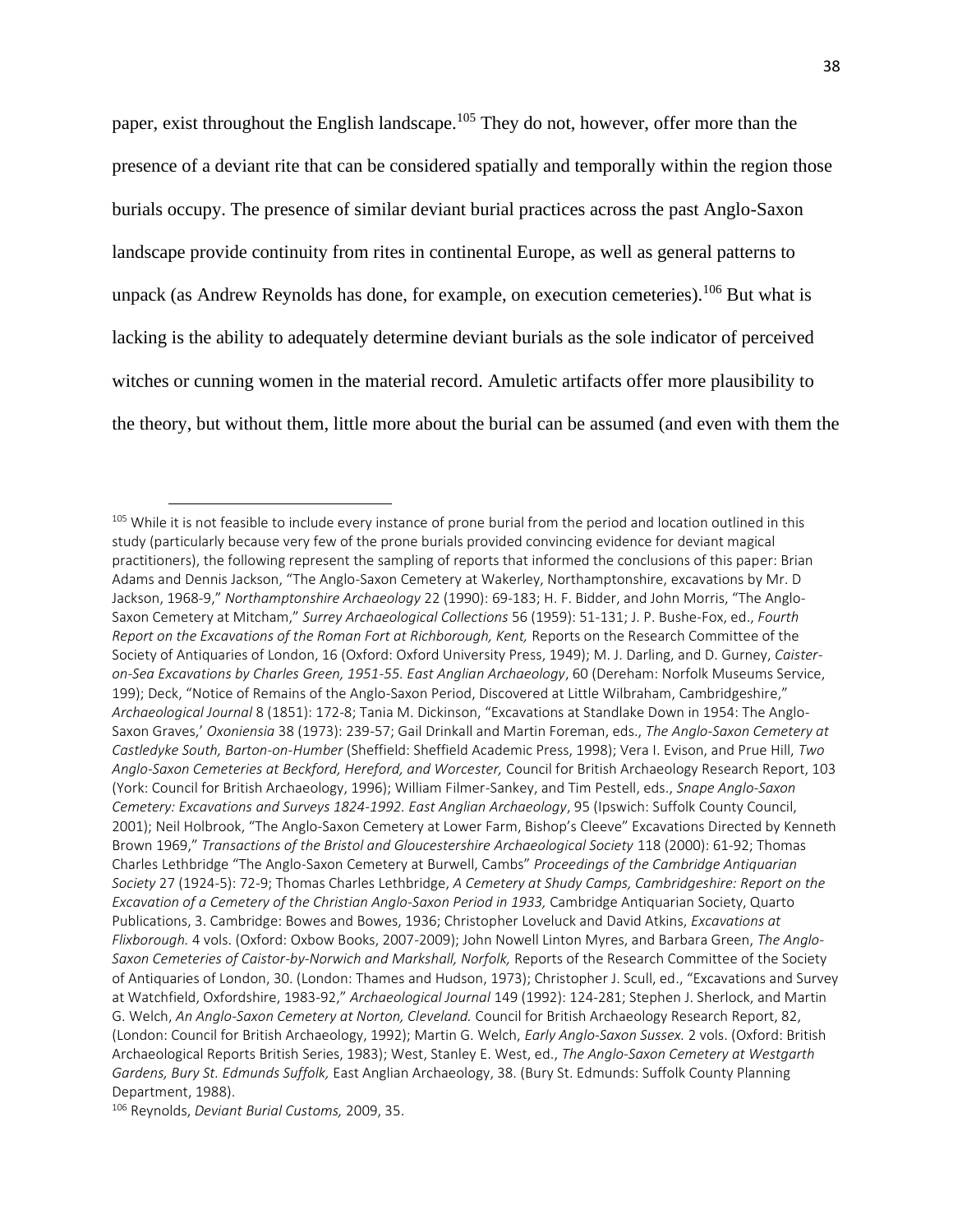paper, exist throughout the English landscape.<sup>105</sup> They do not, however, offer more than the presence of a deviant rite that can be considered spatially and temporally within the region those burials occupy. The presence of similar deviant burial practices across the past Anglo-Saxon landscape provide continuity from rites in continental Europe, as well as general patterns to unpack (as Andrew Reynolds has done, for example, on execution cemeteries).<sup>106</sup> But what is lacking is the ability to adequately determine deviant burials as the sole indicator of perceived witches or cunning women in the material record. Amuletic artifacts offer more plausibility to the theory, but without them, little more about the burial can be assumed (and even with them the

<sup>&</sup>lt;sup>105</sup> While it is not feasible to include every instance of prone burial from the period and location outlined in this study (particularly because very few of the prone burials provided convincing evidence for deviant magical practitioners), the following represent the sampling of reports that informed the conclusions of this paper: Brian Adams and Dennis Jackson, "The Anglo-Saxon Cemetery at Wakerley, Northamptonshire, excavations by Mr. D Jackson, 1968-9," *Northamptonshire Archaeology* 22 (1990): 69-183; H. F. Bidder, and John Morris, "The Anglo-Saxon Cemetery at Mitcham," *Surrey Archaeological Collections* 56 (1959): 51-131; J. P. Bushe-Fox, ed., *Fourth Report on the Excavations of the Roman Fort at Richborough, Kent,* Reports on the Research Committee of the Society of Antiquaries of London, 16 (Oxford: Oxford University Press, 1949); M. J. Darling, and D. Gurney, *Caisteron-Sea Excavations by Charles Green, 1951-55. East Anglian Archaeology*, 60 (Dereham: Norfolk Museums Service, 199); Deck, "Notice of Remains of the Anglo-Saxon Period, Discovered at Little Wilbraham, Cambridgeshire," *Archaeological Journal* 8 (1851): 172-8; Tania M. Dickinson, "Excavations at Standlake Down in 1954: The Anglo-Saxon Graves,' *Oxoniensia* 38 (1973): 239-57; Gail Drinkall and Martin Foreman, eds., *The Anglo-Saxon Cemetery at Castledyke South, Barton-on-Humber* (Sheffield: Sheffield Academic Press, 1998); Vera I. Evison, and Prue Hill, *Two Anglo-Saxon Cemeteries at Beckford, Hereford, and Worcester,* Council for British Archaeology Research Report, 103 (York: Council for British Archaeology, 1996); William Filmer-Sankey, and Tim Pestell, eds., *Snape Anglo-Saxon Cemetery: Excavations and Surveys 1824-1992. East Anglian Archaeology*, 95 (Ipswich: Suffolk County Council, 2001); Neil Holbrook, "The Anglo-Saxon Cemetery at Lower Farm, Bishop's Cleeve" Excavations Directed by Kenneth Brown 1969," *Transactions of the Bristol and Gloucestershire Archaeological Society* 118 (2000): 61-92; Thomas Charles Lethbridge "The Anglo-Saxon Cemetery at Burwell, Cambs" *Proceedings of the Cambridge Antiquarian Society* 27 (1924-5): 72-9; Thomas Charles Lethbridge, *A Cemetery at Shudy Camps, Cambridgeshire: Report on the Excavation of a Cemetery of the Christian Anglo-Saxon Period in 1933,* Cambridge Antiquarian Society, Quarto Publications, 3. Cambridge: Bowes and Bowes, 1936; Christopher Loveluck and David Atkins, *Excavations at Flixborough.* 4 vols. (Oxford: Oxbow Books, 2007-2009); John Nowell Linton Myres, and Barbara Green, *The Anglo-Saxon Cemeteries of Caistor-by-Norwich and Markshall, Norfolk,* Reports of the Research Committee of the Society of Antiquaries of London, 30. (London: Thames and Hudson, 1973); Christopher J. Scull, ed., "Excavations and Survey at Watchfield, Oxfordshire, 1983-92," *Archaeological Journal* 149 (1992): 124-281; Stephen J. Sherlock, and Martin G. Welch, *An Anglo-Saxon Cemetery at Norton, Cleveland.* Council for British Archaeology Research Report, 82, (London: Council for British Archaeology, 1992); Martin G. Welch, *Early Anglo-Saxon Sussex.* 2 vols. (Oxford: British Archaeological Reports British Series, 1983); West, Stanley E. West, ed., *The Anglo-Saxon Cemetery at Westgarth Gardens, Bury St. Edmunds Suffolk,* East Anglian Archaeology, 38. (Bury St. Edmunds: Suffolk County Planning Department, 1988).

<sup>106</sup> Reynolds, *Deviant Burial Customs,* 2009, 35.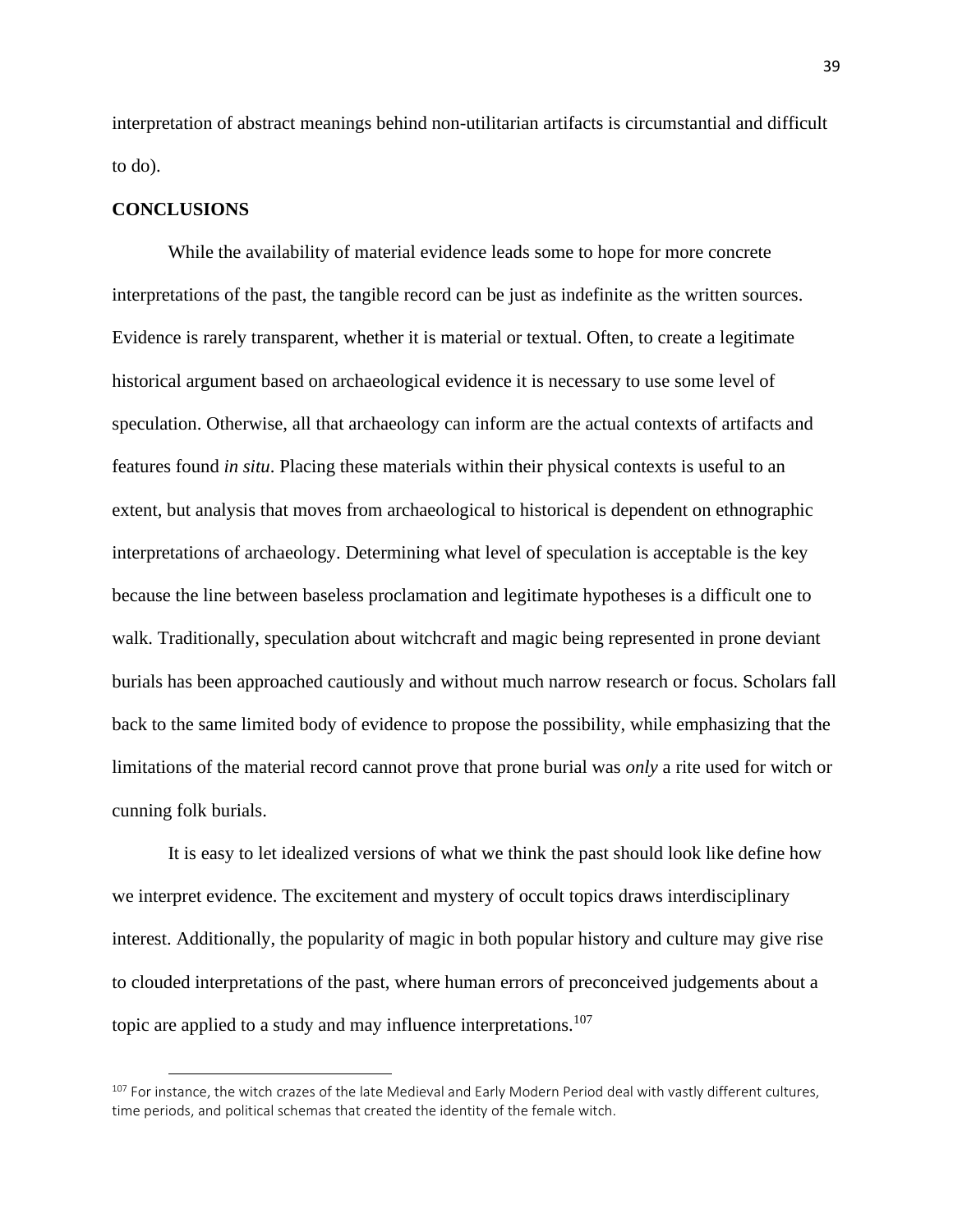interpretation of abstract meanings behind non-utilitarian artifacts is circumstantial and difficult to do).

#### **CONCLUSIONS**

While the availability of material evidence leads some to hope for more concrete interpretations of the past, the tangible record can be just as indefinite as the written sources. Evidence is rarely transparent, whether it is material or textual. Often, to create a legitimate historical argument based on archaeological evidence it is necessary to use some level of speculation. Otherwise, all that archaeology can inform are the actual contexts of artifacts and features found *in situ*. Placing these materials within their physical contexts is useful to an extent, but analysis that moves from archaeological to historical is dependent on ethnographic interpretations of archaeology. Determining what level of speculation is acceptable is the key because the line between baseless proclamation and legitimate hypotheses is a difficult one to walk. Traditionally, speculation about witchcraft and magic being represented in prone deviant burials has been approached cautiously and without much narrow research or focus. Scholars fall back to the same limited body of evidence to propose the possibility, while emphasizing that the limitations of the material record cannot prove that prone burial was *only* a rite used for witch or cunning folk burials.

It is easy to let idealized versions of what we think the past should look like define how we interpret evidence. The excitement and mystery of occult topics draws interdisciplinary interest. Additionally, the popularity of magic in both popular history and culture may give rise to clouded interpretations of the past, where human errors of preconceived judgements about a topic are applied to a study and may influence interpretations.<sup>107</sup>

 $107$  For instance, the witch crazes of the late Medieval and Early Modern Period deal with vastly different cultures, time periods, and political schemas that created the identity of the female witch.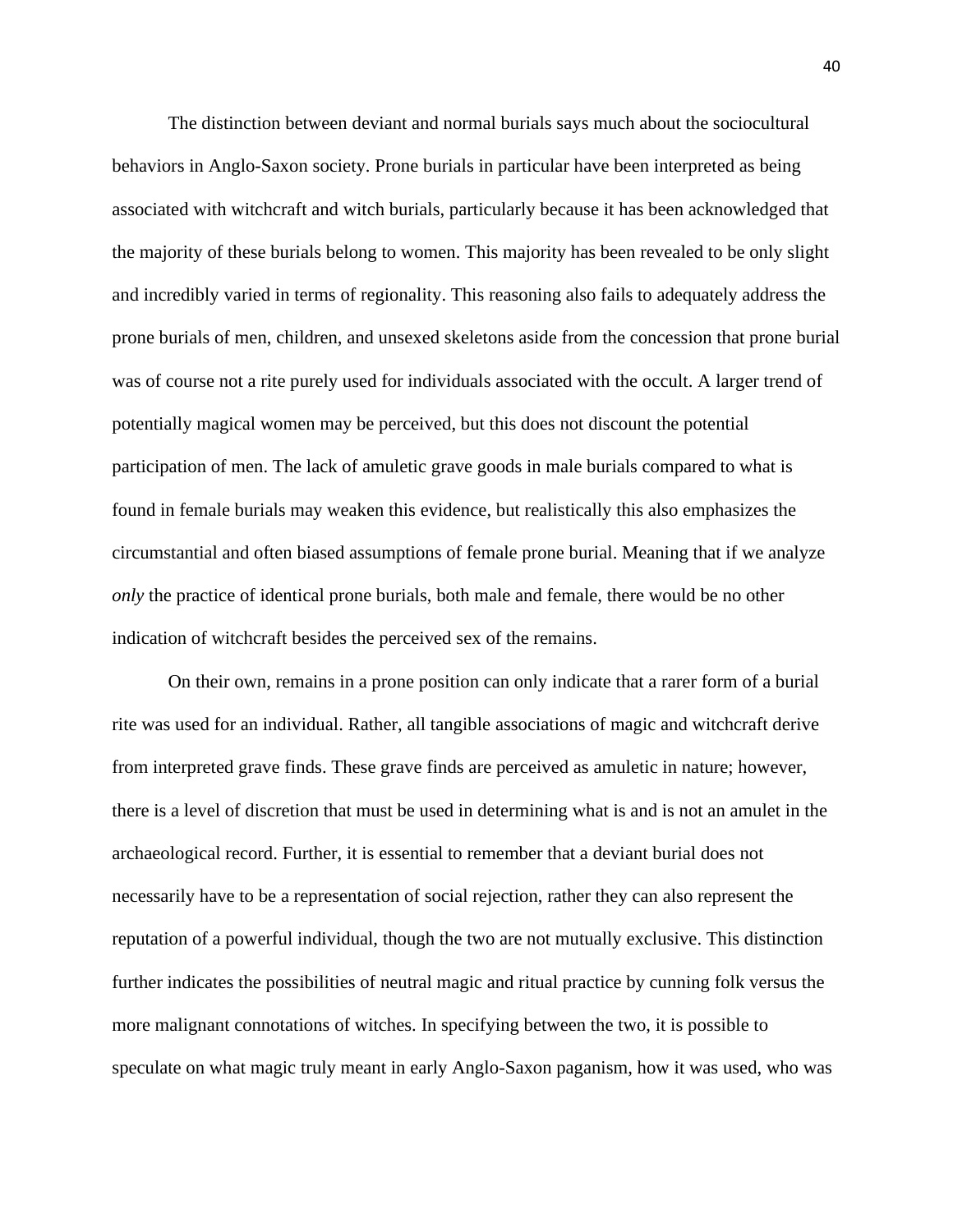The distinction between deviant and normal burials says much about the sociocultural behaviors in Anglo-Saxon society. Prone burials in particular have been interpreted as being associated with witchcraft and witch burials, particularly because it has been acknowledged that the majority of these burials belong to women. This majority has been revealed to be only slight and incredibly varied in terms of regionality. This reasoning also fails to adequately address the prone burials of men, children, and unsexed skeletons aside from the concession that prone burial was of course not a rite purely used for individuals associated with the occult. A larger trend of potentially magical women may be perceived, but this does not discount the potential participation of men. The lack of amuletic grave goods in male burials compared to what is found in female burials may weaken this evidence, but realistically this also emphasizes the circumstantial and often biased assumptions of female prone burial. Meaning that if we analyze *only* the practice of identical prone burials, both male and female, there would be no other indication of witchcraft besides the perceived sex of the remains.

On their own, remains in a prone position can only indicate that a rarer form of a burial rite was used for an individual. Rather, all tangible associations of magic and witchcraft derive from interpreted grave finds. These grave finds are perceived as amuletic in nature; however, there is a level of discretion that must be used in determining what is and is not an amulet in the archaeological record. Further, it is essential to remember that a deviant burial does not necessarily have to be a representation of social rejection, rather they can also represent the reputation of a powerful individual, though the two are not mutually exclusive. This distinction further indicates the possibilities of neutral magic and ritual practice by cunning folk versus the more malignant connotations of witches. In specifying between the two, it is possible to speculate on what magic truly meant in early Anglo-Saxon paganism, how it was used, who was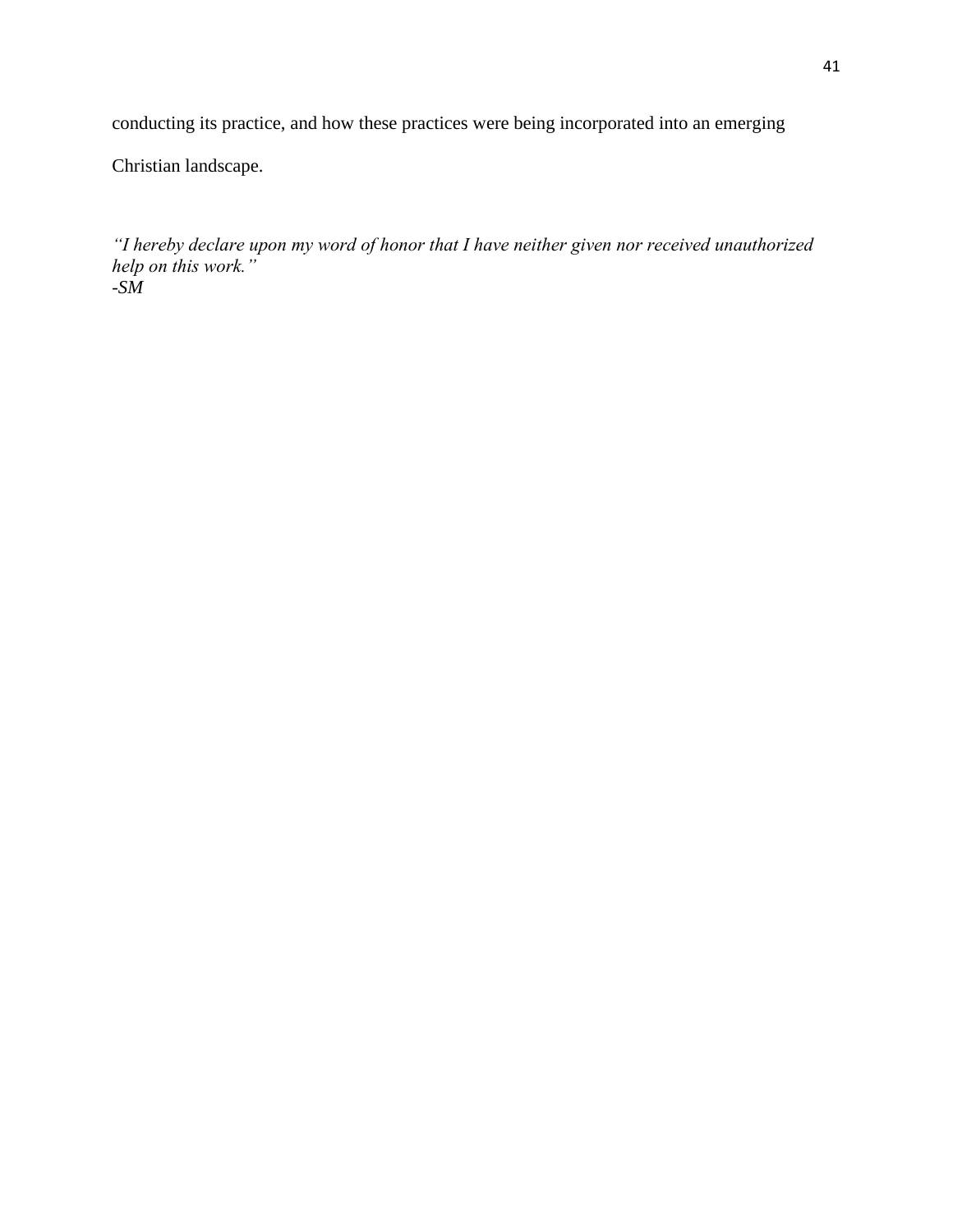conducting its practice, and how these practices were being incorporated into an emerging

Christian landscape.

*"I hereby declare upon my word of honor that I have neither given nor received unauthorized help on this work." -SM*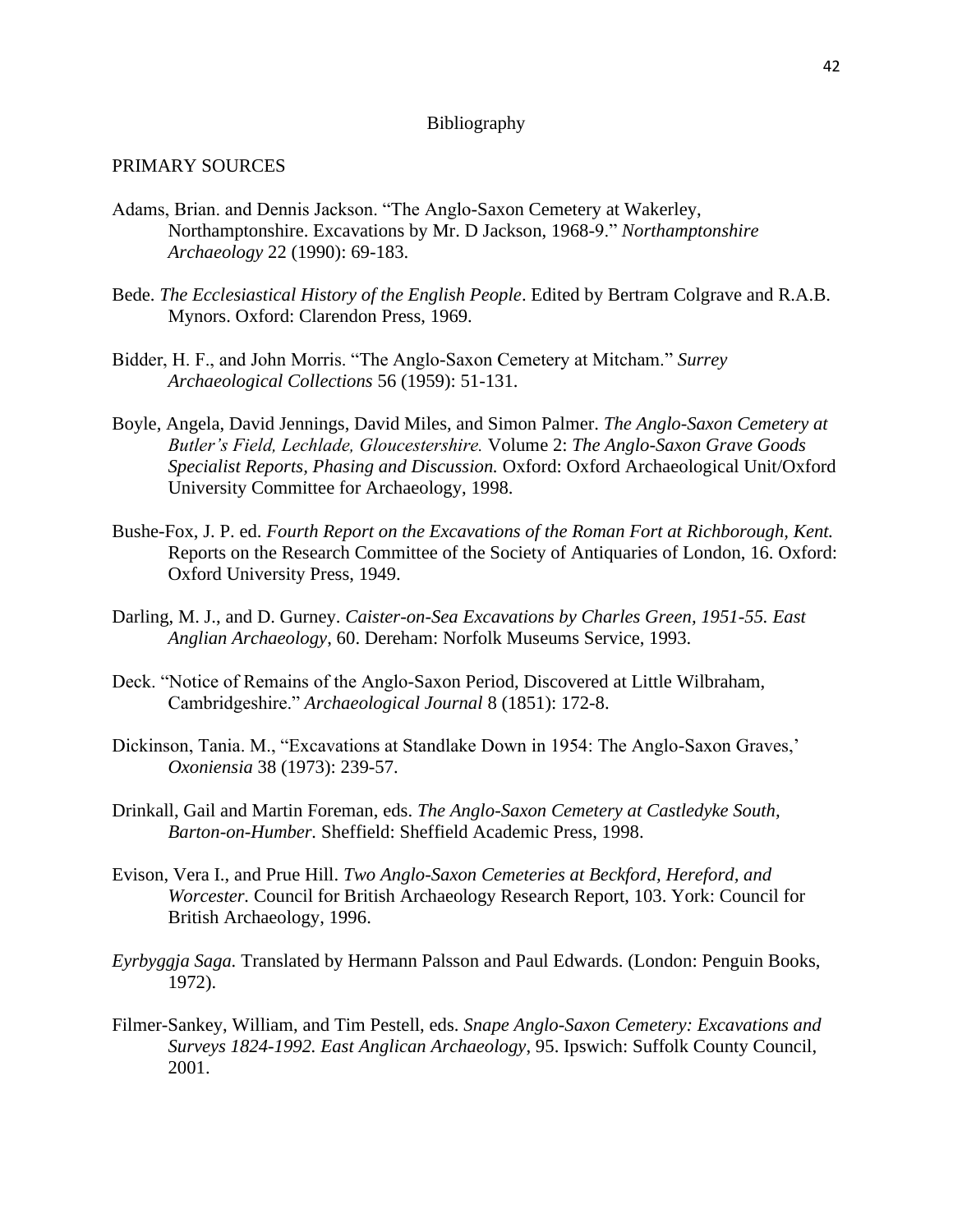#### Bibliography

### PRIMARY SOURCES

- Adams, Brian. and Dennis Jackson. "The Anglo-Saxon Cemetery at Wakerley, Northamptonshire. Excavations by Mr. D Jackson, 1968-9." *Northamptonshire Archaeology* 22 (1990): 69-183.
- Bede. *The Ecclesiastical History of the English People*. Edited by Bertram Colgrave and R.A.B. Mynors. Oxford: Clarendon Press, 1969.
- Bidder, H. F., and John Morris. "The Anglo-Saxon Cemetery at Mitcham." *Surrey Archaeological Collections* 56 (1959): 51-131.
- Boyle, Angela, David Jennings, David Miles, and Simon Palmer. *The Anglo-Saxon Cemetery at Butler's Field, Lechlade, Gloucestershire.* Volume 2: *The Anglo-Saxon Grave Goods Specialist Reports, Phasing and Discussion.* Oxford: Oxford Archaeological Unit/Oxford University Committee for Archaeology, 1998.
- Bushe-Fox, J. P. ed. *Fourth Report on the Excavations of the Roman Fort at Richborough, Kent.*  Reports on the Research Committee of the Society of Antiquaries of London, 16. Oxford: Oxford University Press, 1949.
- Darling, M. J., and D. Gurney. *Caister-on-Sea Excavations by Charles Green, 1951-55. East Anglian Archaeology*, 60. Dereham: Norfolk Museums Service, 1993.
- Deck. "Notice of Remains of the Anglo-Saxon Period, Discovered at Little Wilbraham, Cambridgeshire." *Archaeological Journal* 8 (1851): 172-8.
- Dickinson, Tania. M., "Excavations at Standlake Down in 1954: The Anglo-Saxon Graves,' *Oxoniensia* 38 (1973): 239-57.
- Drinkall, Gail and Martin Foreman, eds. *The Anglo-Saxon Cemetery at Castledyke South, Barton-on-Humber.* Sheffield: Sheffield Academic Press, 1998.
- Evison, Vera I., and Prue Hill. *Two Anglo-Saxon Cemeteries at Beckford, Hereford, and Worcester.* Council for British Archaeology Research Report, 103. York: Council for British Archaeology, 1996.
- *Eyrbyggja Saga.* Translated by Hermann Palsson and Paul Edwards. (London: Penguin Books, 1972).
- Filmer-Sankey, William, and Tim Pestell, eds. *Snape Anglo-Saxon Cemetery: Excavations and Surveys 1824-1992. East Anglican Archaeology*, 95. Ipswich: Suffolk County Council, 2001.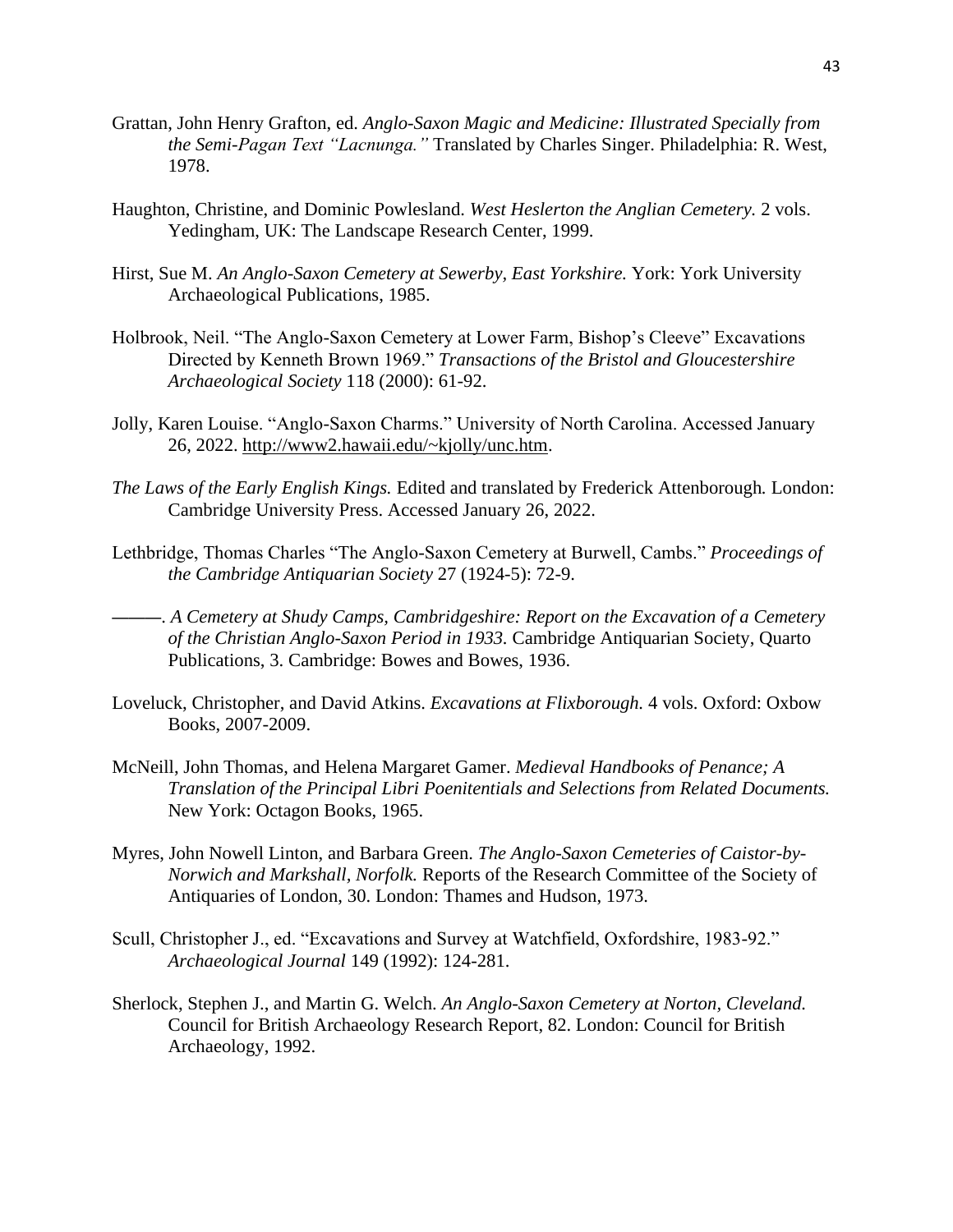- Grattan, John Henry Grafton, ed. *Anglo-Saxon Magic and Medicine: Illustrated Specially from the Semi-Pagan Text "Lacnunga."* Translated by Charles Singer. Philadelphia: R. West, 1978.
- Haughton, Christine, and Dominic Powlesland. *West Heslerton the Anglian Cemetery.* 2 vols. Yedingham, UK: The Landscape Research Center, 1999.
- Hirst, Sue M. *An Anglo-Saxon Cemetery at Sewerby, East Yorkshire.* York: York University Archaeological Publications, 1985.
- Holbrook, Neil. "The Anglo-Saxon Cemetery at Lower Farm, Bishop's Cleeve" Excavations Directed by Kenneth Brown 1969." *Transactions of the Bristol and Gloucestershire Archaeological Society* 118 (2000): 61-92.
- Jolly, Karen Louise. "Anglo-Saxon Charms." University of North Carolina. Accessed January 26, 2022. [http://www2.hawaii.edu/~kjolly/unc.htm.](http://www2.hawaii.edu/~kjolly/unc.htm)
- *The Laws of the Early English Kings.* Edited and translated by Frederick Attenborough*.* London: Cambridge University Press. Accessed January 26, 2022.
- Lethbridge, Thomas Charles "The Anglo-Saxon Cemetery at Burwell, Cambs." *Proceedings of the Cambridge Antiquarian Society* 27 (1924-5): 72-9.
- ———. *A Cemetery at Shudy Camps, Cambridgeshire: Report on the Excavation of a Cemetery of the Christian Anglo-Saxon Period in 1933.* Cambridge Antiquarian Society, Quarto Publications, 3. Cambridge: Bowes and Bowes, 1936.
- Loveluck, Christopher, and David Atkins. *Excavations at Flixborough.* 4 vols. Oxford: Oxbow Books, 2007-2009.
- McNeill, John Thomas, and Helena Margaret Gamer. *Medieval Handbooks of Penance; A Translation of the Principal Libri Poenitentials and Selections from Related Documents.* New York: Octagon Books, 1965.
- Myres, John Nowell Linton, and Barbara Green. *The Anglo-Saxon Cemeteries of Caistor-by-Norwich and Markshall, Norfolk.* Reports of the Research Committee of the Society of Antiquaries of London, 30. London: Thames and Hudson, 1973.
- Scull, Christopher J., ed. "Excavations and Survey at Watchfield, Oxfordshire, 1983-92." *Archaeological Journal* 149 (1992): 124-281.
- Sherlock, Stephen J., and Martin G. Welch. *An Anglo-Saxon Cemetery at Norton, Cleveland.*  Council for British Archaeology Research Report, 82. London: Council for British Archaeology, 1992.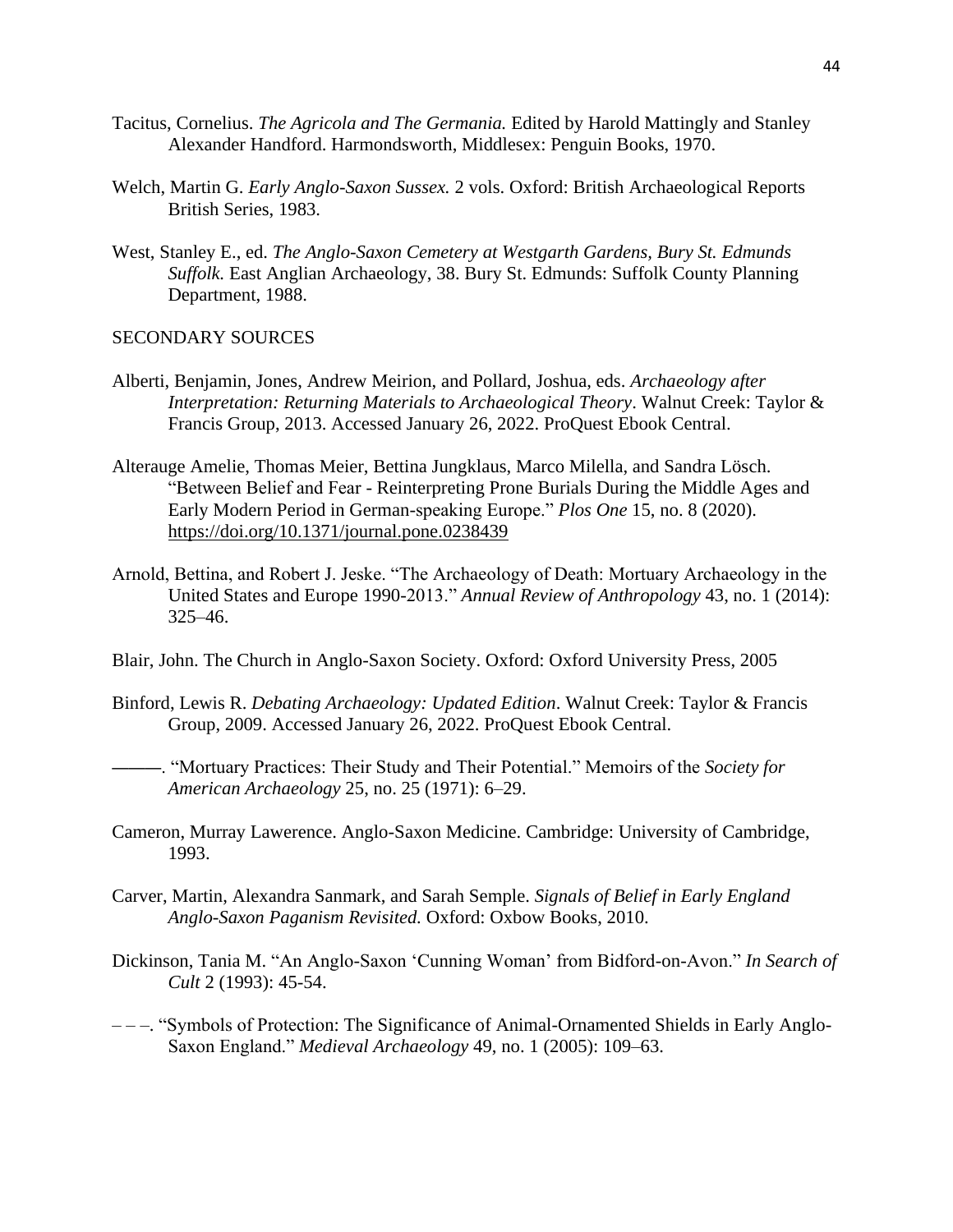- Tacitus, Cornelius. *The Agricola and The Germania.* Edited by Harold Mattingly and Stanley Alexander Handford. Harmondsworth, Middlesex: Penguin Books, 1970.
- Welch, Martin G. *Early Anglo-Saxon Sussex.* 2 vols. Oxford: British Archaeological Reports British Series, 1983.
- West, Stanley E., ed. *The Anglo-Saxon Cemetery at Westgarth Gardens, Bury St. Edmunds Suffolk.* East Anglian Archaeology, 38. Bury St. Edmunds: Suffolk County Planning Department, 1988.

## SECONDARY SOURCES

- Alberti, Benjamin, Jones, Andrew Meirion, and Pollard, Joshua, eds. *Archaeology after Interpretation: Returning Materials to Archaeological Theory*. Walnut Creek: Taylor & Francis Group, 2013. Accessed January 26, 2022. ProQuest Ebook Central.
- Alterauge Amelie, Thomas Meier, Bettina Jungklaus, Marco Milella, and Sandra Lösch. "Between Belief and Fear - Reinterpreting Prone Burials During the Middle Ages and Early Modern Period in German-speaking Europe." *Plos One* 15, no. 8 (2020). <https://doi.org/10.1371/journal.pone.0238439>
- Arnold, Bettina, and Robert J. Jeske. "The Archaeology of Death: Mortuary Archaeology in the United States and Europe 1990-2013." *Annual Review of Anthropology* 43, no. 1 (2014): 325–46.
- Blair, John. The Church in Anglo-Saxon Society. Oxford: Oxford University Press, 2005
- Binford, Lewis R. *Debating Archaeology: Updated Edition*. Walnut Creek: Taylor & Francis Group, 2009. Accessed January 26, 2022. ProQuest Ebook Central.
	- ———. "Mortuary Practices: Their Study and Their Potential." Memoirs of the *Society for American Archaeology* 25, no. 25 (1971): 6–29.
- Cameron, Murray Lawerence. Anglo-Saxon Medicine. Cambridge: University of Cambridge, 1993.
- Carver, Martin, Alexandra Sanmark, and Sarah Semple. *Signals of Belief in Early England Anglo-Saxon Paganism Revisited.* Oxford: Oxbow Books, 2010.
- Dickinson, Tania M. "An Anglo-Saxon 'Cunning Woman' from Bidford-on-Avon." *In Search of Cult* 2 (1993): 45-54.
- – –. "Symbols of Protection: The Significance of Animal-Ornamented Shields in Early Anglo-Saxon England." *Medieval Archaeology* 49, no. 1 (2005): 109–63.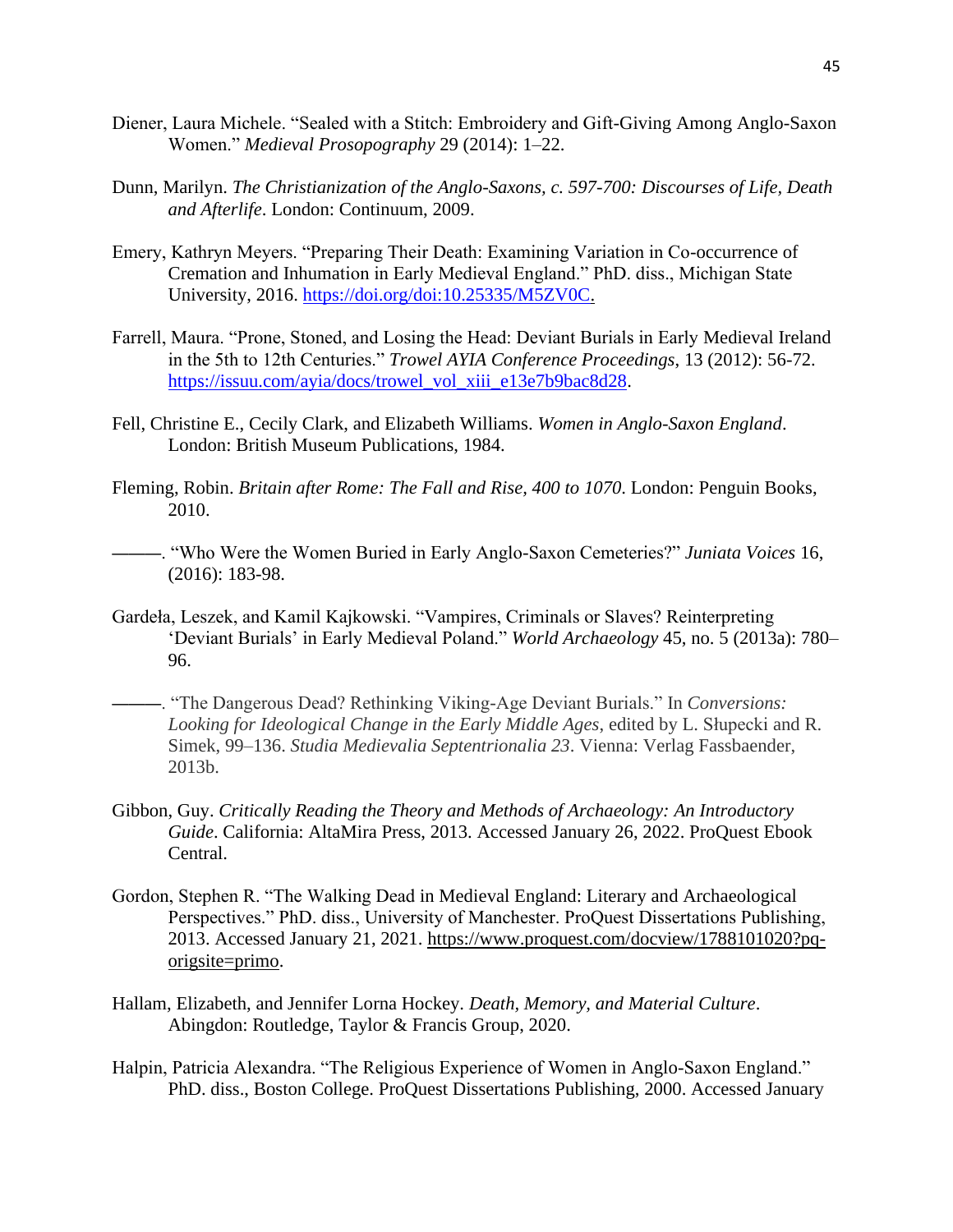- Diener, Laura Michele. "Sealed with a Stitch: Embroidery and Gift-Giving Among Anglo-Saxon Women." *Medieval Prosopography* 29 (2014): 1–22.
- Dunn, Marilyn. *The Christianization of the Anglo-Saxons, c. 597-700: Discourses of Life, Death and Afterlife*. London: Continuum, 2009.
- Emery, Kathryn Meyers. "Preparing Their Death: Examining Variation in Co-occurrence of Cremation and Inhumation in Early Medieval England." PhD. diss., Michigan State University, 2016. [https://doi.org/doi:10.25335/M5ZV0C.](https://doi.org/doi:10.25335/M5ZV0C)
- Farrell, Maura. "Prone, Stoned, and Losing the Head: Deviant Burials in Early Medieval Ireland in the 5th to 12th Centuries." *Trowel AYIA Conference Proceedings*, 13 (2012): 56-72. [https://issuu.com/ayia/docs/trowel\\_vol\\_xiii\\_e13e7b9bac8d28.](https://issuu.com/ayia/docs/trowel_vol_xiii_e13e7b9bac8d28)
- Fell, Christine E., Cecily Clark, and Elizabeth Williams. *Women in Anglo-Saxon England*. London: British Museum Publications, 1984.
- Fleming, Robin. *Britain after Rome: The Fall and Rise, 400 to 1070*. London: Penguin Books, 2010.
	- ———. "Who Were the Women Buried in Early Anglo-Saxon Cemeteries?" *Juniata Voices* 16, (2016): 183-98.
- Gardeła, Leszek, and Kamil Kajkowski. "Vampires, Criminals or Slaves? Reinterpreting 'Deviant Burials' in Early Medieval Poland." *World Archaeology* 45, no. 5 (2013a): 780– 96.
- ———. "The Dangerous Dead? Rethinking Viking-Age Deviant Burials." In *Conversions: Looking for Ideological Change in the Early Middle Ages*, edited by L. Słupecki and R. Simek, 99–136. *Studia Medievalia Septentrionalia 23*. Vienna: Verlag Fassbaender, 2013b.
- Gibbon, Guy. *Critically Reading the Theory and Methods of Archaeology: An Introductory Guide*. California: AltaMira Press, 2013. Accessed January 26, 2022. ProQuest Ebook Central.
- Gordon, Stephen R. "The Walking Dead in Medieval England: Literary and Archaeological Perspectives." PhD. diss., University of Manchester. ProQuest Dissertations Publishing, 2013. Accessed January 21, 2021. [https://www.proquest.com/docview/1788101020?pq](https://www.proquest.com/docview/1788101020?pq-origsite=primo)[origsite=primo.](https://www.proquest.com/docview/1788101020?pq-origsite=primo)
- Hallam, Elizabeth, and Jennifer Lorna Hockey. *Death, Memory, and Material Culture*. Abingdon: Routledge, Taylor & Francis Group, 2020.
- Halpin, Patricia Alexandra. "The Religious Experience of Women in Anglo-Saxon England." PhD. diss., Boston College. ProQuest Dissertations Publishing, 2000. Accessed January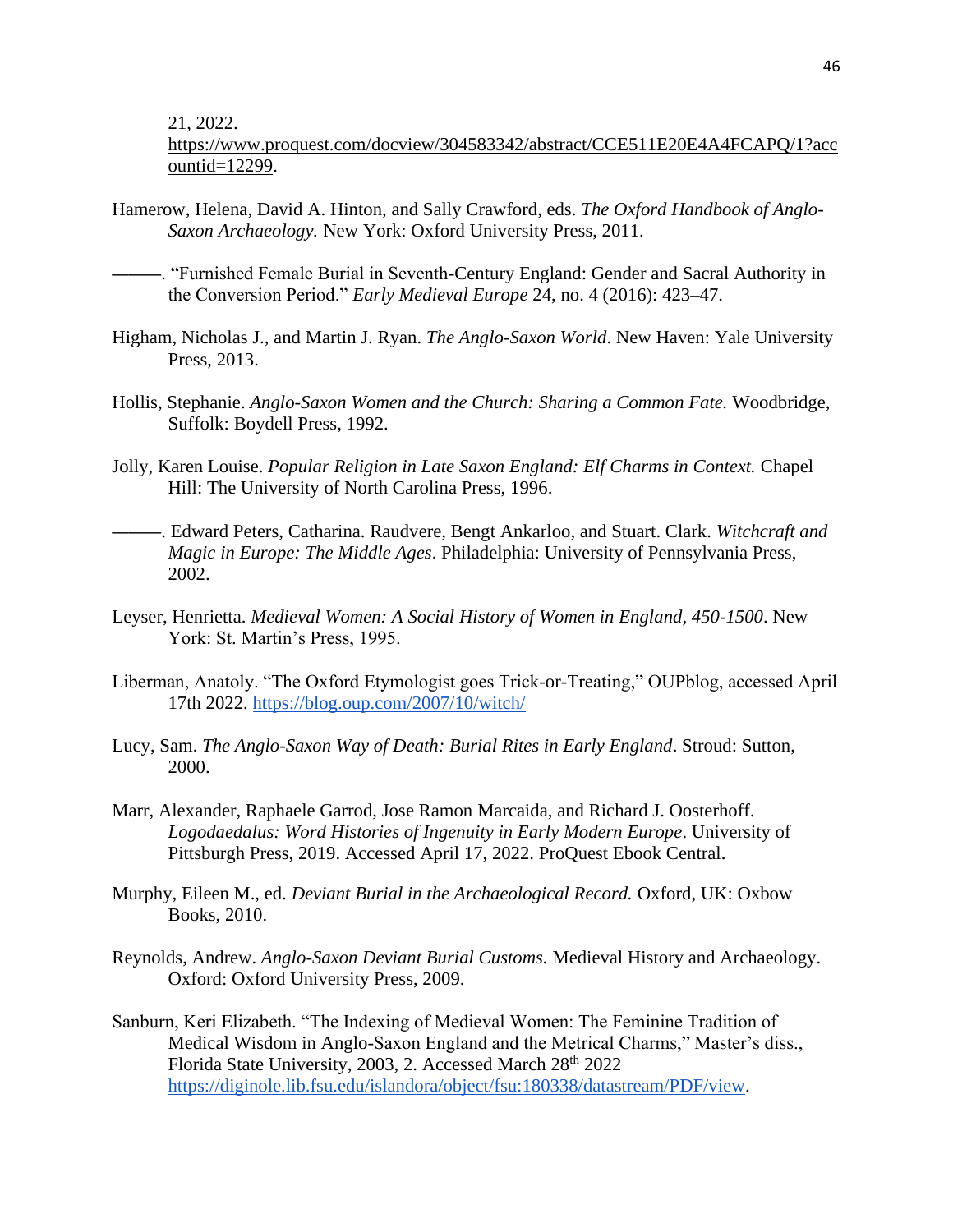21, 2022.

[https://www.proquest.com/docview/304583342/abstract/CCE511E20E4A4FCAPQ/1?acc](https://www.proquest.com/docview/304583342/abstract/CCE511E20E4A4FCAPQ/1?accountid=12299) [ountid=12299.](https://www.proquest.com/docview/304583342/abstract/CCE511E20E4A4FCAPQ/1?accountid=12299)

- Hamerow, Helena, David A. Hinton, and Sally Crawford, eds. *The Oxford Handbook of Anglo-Saxon Archaeology.* New York: Oxford University Press, 2011.
	- ———. "Furnished Female Burial in Seventh-Century England: Gender and Sacral Authority in the Conversion Period." *Early Medieval Europe* 24, no. 4 (2016): 423–47.
- Higham, Nicholas J., and Martin J. Ryan. *The Anglo-Saxon World*. New Haven: Yale University Press, 2013.
- Hollis, Stephanie. *Anglo-Saxon Women and the Church: Sharing a Common Fate.* Woodbridge, Suffolk: Boydell Press, 1992.
- Jolly, Karen Louise. *Popular Religion in Late Saxon England: Elf Charms in Context.* Chapel Hill: The University of North Carolina Press, 1996.
- ———. Edward Peters, Catharina. Raudvere, Bengt Ankarloo, and Stuart. Clark. *Witchcraft and Magic in Europe: The Middle Ages*. Philadelphia: University of Pennsylvania Press, 2002.
- Leyser, Henrietta. *Medieval Women: A Social History of Women in England, 450-1500*. New York: St. Martin's Press, 1995.
- Liberman, Anatoly. "The Oxford Etymologist goes Trick-or-Treating," OUPblog, accessed April 17th 2022.<https://blog.oup.com/2007/10/witch/>
- Lucy, Sam. *The Anglo-Saxon Way of Death: Burial Rites in Early England*. Stroud: Sutton, 2000.
- Marr, Alexander, Raphaele Garrod, Jose Ramon Marcaida, and Richard J. Oosterhoff. *Logodaedalus: Word Histories of Ingenuity in Early Modern Europe*. University of Pittsburgh Press, 2019. Accessed April 17, 2022. ProQuest Ebook Central.
- Murphy, Eileen M., ed. *Deviant Burial in the Archaeological Record.* Oxford, UK: Oxbow Books, 2010.
- Reynolds, Andrew. *Anglo-Saxon Deviant Burial Customs.* Medieval History and Archaeology. Oxford: Oxford University Press, 2009.
- Sanburn, Keri Elizabeth. "The Indexing of Medieval Women: The Feminine Tradition of Medical Wisdom in Anglo-Saxon England and the Metrical Charms," Master's diss., Florida State University, 2003, 2. Accessed March 28<sup>th</sup> 2022 [https://diginole.lib.fsu.edu/islandora/object/fsu:180338/datastream/PDF/view.](https://diginole.lib.fsu.edu/islandora/object/fsu:180338/datastream/PDF/view)